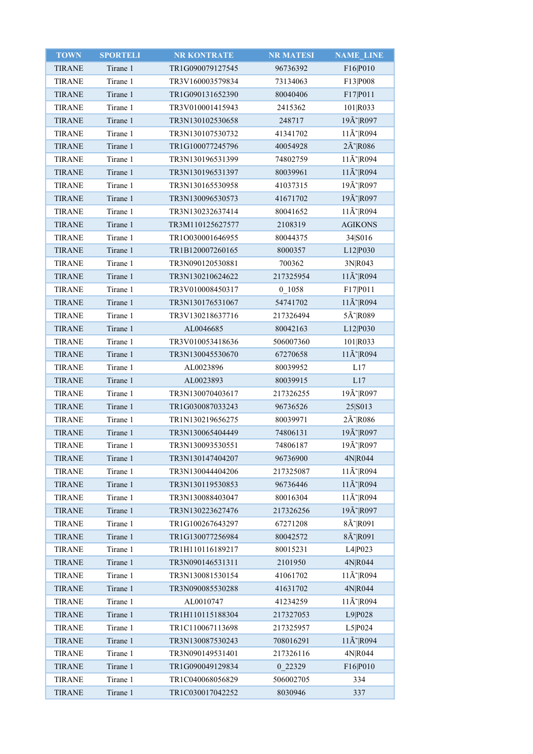| <b>TOWN</b>   | <b>SPORTELI</b> | <b>NR KONTRATE</b> | <b>NR MATESI</b> | NAME_LINE                        |
|---------------|-----------------|--------------------|------------------|----------------------------------|
| <b>TIRANE</b> | Tirane 1        | TR1G090079127545   | 96736392         | F16 P010                         |
| <b>TIRANE</b> | Tirane 1        | TR3V160003579834   | 73134063         | F13 P008                         |
| <b>TIRANE</b> | Tirane 1        | TR1G090131652390   | 80040406         | F17 P011                         |
| <b>TIRANE</b> | Tirane 1        | TR3V010001415943   | 2415362          | 101 R033                         |
| <b>TIRANE</b> | Tirane 1        | TR3N130102530658   | 248717           | 19Ã~ R097                        |
| <b>TIRANE</b> | Tirane 1        | TR3N130107530732   | 41341702         | $11\text{\AA}^{\sim}$ R094       |
| <b>TIRANE</b> | Tirane 1        | TR1G100077245796   | 40054928         | 2Å~ R086                         |
| <b>TIRANE</b> | Tirane 1        | TR3N130196531399   | 74802759         | 11Ã~ R094                        |
| <b>TIRANE</b> | Tirane 1        | TR3N130196531397   | 80039961         | 11Ã~ R094                        |
| <b>TIRANE</b> | Tirane 1        | TR3N130165530958   | 41037315         | 19Å~ R097                        |
| <b>TIRANE</b> | Tirane 1        | TR3N130096530573   | 41671702         | 19Ã~ R097                        |
| <b>TIRANE</b> | Tirane 1        | TR3N130232637414   | 80041652         | $11\text{\AA}^{\sim}$ R094       |
| <b>TIRANE</b> | Tirane 1        | TR3M110125627577   | 2108319          | <b>AGIKONS</b>                   |
| <b>TIRANE</b> | Tirane 1        | TR1O030001646955   | 80044375         | 34 S016                          |
| <b>TIRANE</b> | Tirane 1        | TR1B120007260165   | 8000357          | L12 P030                         |
| <b>TIRANE</b> | Tirane 1        | TR3N090120530881   | 700362           | 3N R043                          |
| <b>TIRANE</b> | Tirane 1        | TR3N130210624622   | 217325954        | 11Ã~ R094                        |
| <b>TIRANE</b> | Tirane 1        | TR3V010008450317   | 0 1058           | F17 P011                         |
| <b>TIRANE</b> | Tirane 1        | TR3N130176531067   | 54741702         | 11Ã~ R094                        |
| <b>TIRANE</b> | Tirane 1        | TR3V130218637716   | 217326494        | 5Ã~ R089                         |
| <b>TIRANE</b> | Tirane 1        | AL0046685          | 80042163         | L12 P030                         |
| <b>TIRANE</b> | Tirane 1        | TR3V010053418636   | 506007360        | 101 R033                         |
| <b>TIRANE</b> | Tirane 1        | TR3N130045530670   | 67270658         | $11\text{\AA}^{\sim}$ R094       |
| <b>TIRANE</b> | Tirane 1        | AL0023896          | 80039952         | L17                              |
| <b>TIRANE</b> | Tirane 1        | AL0023893          | 80039915         | L17                              |
| <b>TIRANE</b> | Tirane 1        | TR3N130070403617   | 217326255        | 19Ã~ R097                        |
| <b>TIRANE</b> | Tirane 1        | TR1G030087033243   | 96736526         | 25 S013                          |
| <b>TIRANE</b> | Tirane 1        | TR1N130219656275   | 80039971         | $2\tilde{A}$ <sup>-</sup> $R086$ |
| <b>TIRANE</b> | Tirane 1        | TR3N130065404449   | 74806131         | 19Ã~ R097                        |
| <b>TIRANE</b> | Tirane 1        | TR3N130093530551   | 74806187         | 19Ã~ R097                        |
| <b>TIRANE</b> | Tirane 1        | TR3N130147404207   | 96736900         | 4N R044                          |
| <b>TIRANE</b> | Tirane 1        | TR3N130044404206   | 217325087        | 11Ã~ R094                        |
| <b>TIRANE</b> | Tirane 1        | TR3N130119530853   | 96736446         | $11\text{\AA}^{\sim}$ R094       |
| <b>TIRANE</b> | Tirane 1        | TR3N130088403047   | 80016304         | 11Ã~ R094                        |
| <b>TIRANE</b> | Tirane 1        | TR3N130223627476   | 217326256        | 19Ã~ R097                        |
| <b>TIRANE</b> | Tirane 1        | TR1G100267643297   | 67271208         | $8\tilde{A}$ $R091$              |
| <b>TIRANE</b> | Tirane 1        | TR1G130077256984   | 80042572         | 8Ã~ R091                         |
| <b>TIRANE</b> | Tirane 1        | TR1H110116189217   | 80015231         | L4 P023                          |
| <b>TIRANE</b> | Tirane 1        | TR3N090146531311   | 2101950          | 4N R044                          |
| <b>TIRANE</b> | Tirane 1        | TR3N130081530154   | 41061702         | $11\text{\AA}^{\sim}$ R094       |
| <b>TIRANE</b> | Tirane 1        | TR3N090085530288   | 41631702         | 4N R044                          |
| TIRANE        | Tirane 1        | AL0010747          | 41234259         | $11\text{\AA}^{\sim}$ R094       |
| <b>TIRANE</b> | Tirane 1        | TR1H110115188304   | 217327053        | L9 P028                          |
| <b>TIRANE</b> | Tirane 1        | TR1C110067113698   | 217325957        | L5 P024                          |
| <b>TIRANE</b> | Tirane 1        | TR3N130087530243   | 708016291        | $11\text{\AA}^{\sim}$ R094       |
| <b>TIRANE</b> | Tirane 1        | TR3N090149531401   | 217326116        | 4N R044                          |
| <b>TIRANE</b> | Tirane 1        | TR1G090049129834   | 0 22329          | F16 P010                         |
| <b>TIRANE</b> | Tirane 1        | TR1C040068056829   | 506002705        | 334                              |
| <b>TIRANE</b> | Tirane 1        | TR1C030017042252   | 8030946          | 337                              |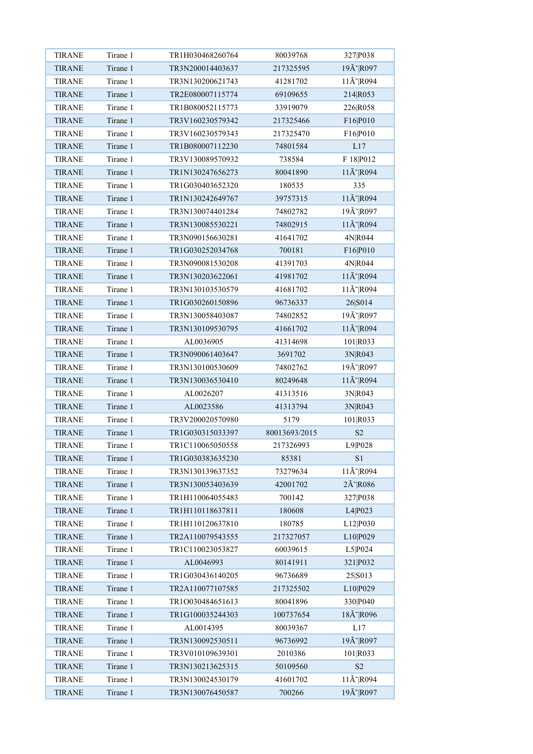| <b>TIRANE</b> | Tirane 1 | TR1H030468260764 | 80039768           | 327 P038                   |
|---------------|----------|------------------|--------------------|----------------------------|
| <b>TIRANE</b> | Tirane 1 | TR3N200014403637 | 217325595          | 19Ã~ R097                  |
| <b>TIRANE</b> | Tirane 1 | TR3N130200621743 | 41281702           | $11\text{\AA}^{\sim}$ R094 |
| <b>TIRANE</b> | Tirane 1 | TR2E080007115774 | 69109655           | 214 R053                   |
| <b>TIRANE</b> | Tirane 1 | TR1B080052115773 | 33919079           | 226 R058                   |
| <b>TIRANE</b> | Tirane 1 | TR3V160230579342 | 217325466          | F16 P010                   |
| <b>TIRANE</b> | Tirane 1 | TR3V160230579343 | 217325470          | F16 P010                   |
| <b>TIRANE</b> | Tirane 1 | TR1B080007112230 | 74801584           | L17                        |
| <b>TIRANE</b> | Tirane 1 | TR3V130089570932 | 738584             | F 18 P012                  |
| <b>TIRANE</b> | Tirane 1 | TR1N130247656273 | 80041890           | $11\text{\AA}^{\sim}$ R094 |
| <b>TIRANE</b> | Tirane 1 | TR1G030403652320 | 180535             | 335                        |
| <b>TIRANE</b> | Tirane 1 | TR1N130242649767 | 39757315           | 11Ã~ R094                  |
| <b>TIRANE</b> | Tirane 1 | TR3N130074401284 | 74802782           | 19Ã~ R097                  |
| <b>TIRANE</b> | Tirane 1 | TR3N130085530221 | 74802915           | $11\text{\AA}^{\sim}$ R094 |
| <b>TIRANE</b> | Tirane 1 | TR3N090156630281 | 41641702           | 4N R044                    |
| <b>TIRANE</b> | Tirane 1 | TR1G030252034768 | 700181             | F16 P010                   |
| <b>TIRANE</b> | Tirane 1 | TR3N090081530208 | 41391703           | 4N R044                    |
| <b>TIRANE</b> | Tirane 1 | TR3N130203622061 | 41981702           | 11Ã~ R094                  |
| <b>TIRANE</b> | Tirane 1 | TR3N130103530579 | 41681702           | $11\text{\AA}^{\sim}$ R094 |
| <b>TIRANE</b> | Tirane 1 | TR1G030260150896 | 96736337           | 26 S014                    |
| <b>TIRANE</b> | Tirane 1 | TR3N130058403087 | 74802852           | 19Ã~ R097                  |
| <b>TIRANE</b> | Tirane 1 | TR3N130109530795 | 41661702           | 11Ã~ R094                  |
| <b>TIRANE</b> | Tirane 1 | AL0036905        | 41314698           | 101 R033                   |
| <b>TIRANE</b> | Tirane 1 | TR3N090061403647 | 3691702            | 3N R043                    |
| <b>TIRANE</b> | Tirane 1 | TR3N130100530609 | 74802762           | 19Ã~ R097                  |
| <b>TIRANE</b> | Tirane 1 | TR3N130036530410 | 80249648           | $11\text{\AA}^{\sim}$ R094 |
| <b>TIRANE</b> | Tirane 1 | AL0026207        | 41313516           | 3N R043                    |
| <b>TIRANE</b> | Tirane 1 | AL0023586        | 41313794           | 3N R043                    |
| <b>TIRANE</b> | Tirane 1 | TR3V200020570980 | 5179               |                            |
| <b>TIRANE</b> | Tirane 1 | TR1G030315033397 | 80013693/2015      | 101 R033<br>S <sub>2</sub> |
| <b>TIRANE</b> | Tirane 1 |                  |                    | L9 P028                    |
|               | Tirane 1 | TR1C110065050558 | 217326993<br>85381 |                            |
| <b>TIRANE</b> | Tirane 1 | TR1G030383635230 |                    | S <sub>1</sub>             |
| <b>TIRANE</b> |          | TR3N130139637352 | 73279634           | 11Ã~ R094                  |
| <b>TIRANE</b> | Tirane 1 | TR3N130053403639 | 42001702           | $2\tilde{A}$ $R086$        |
| <b>TIRANE</b> | Tirane 1 | TR1H110064055483 | 700142             | 327 P038                   |
| <b>TIRANE</b> | Tirane 1 | TR1H110118637811 | 180608             | L4 P023                    |
| <b>TIRANE</b> | Tirane 1 | TR1H110120637810 | 180785             | L12 P030                   |
| <b>TIRANE</b> | Tirane 1 | TR2A110079543555 | 217327057          | L10 P029                   |
| <b>TIRANE</b> | Tirane 1 | TR1C110023053827 | 60039615           | L5 P024                    |
| <b>TIRANE</b> | Tirane 1 | AL0046993        | 80141911           | 321 P032                   |
| <b>TIRANE</b> | Tirane 1 | TR1G030436140205 | 96736689           | 25 S013                    |
| <b>TIRANE</b> | Tirane 1 | TR2A110077107585 | 217325502          | L10 P029                   |
| <b>TIRANE</b> | Tirane 1 | TR1O030484651613 | 80041896           | 330 P040                   |
| <b>TIRANE</b> | Tirane 1 | TR1G100035244303 | 100737654          | 18Å~ R096                  |
| <b>TIRANE</b> | Tirane 1 | AL0014395        | 80039367           | L17                        |
| <b>TIRANE</b> | Tirane 1 | TR3N130092530511 | 96736992           | 19Ã~ R097                  |
| <b>TIRANE</b> | Tirane 1 | TR3V010109639301 | 2010386            | 101 R033                   |
| <b>TIRANE</b> | Tirane 1 | TR3N130213625315 | 50109560           | $\ensuremath{\mathrm{S2}}$ |
| <b>TIRANE</b> | Tirane 1 | TR3N130024530179 | 41601702           | $11\text{\AA}^{\sim}$ R094 |
| <b>TIRANE</b> | Tirane 1 | TR3N130076450587 | 700266             | 19Ã~ R097                  |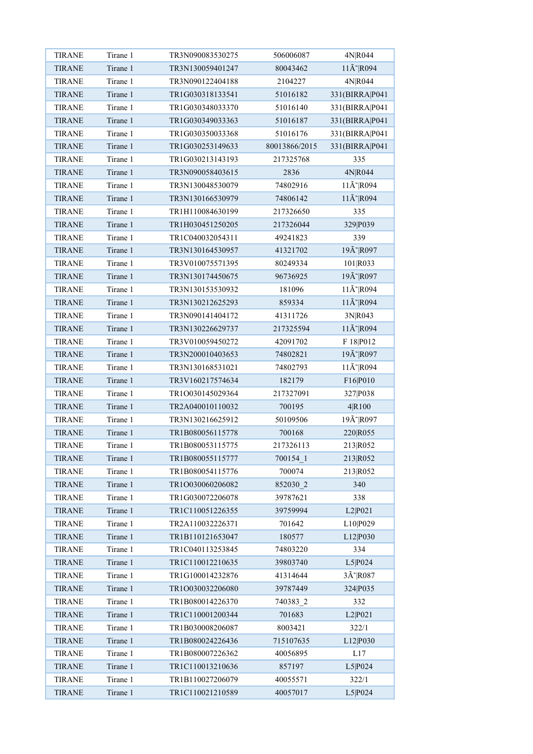| <b>TIRANE</b> | Tirane 1 | TR3N090083530275 | 506006087     | 4N R044                    |
|---------------|----------|------------------|---------------|----------------------------|
| <b>TIRANE</b> | Tirane 1 | TR3N130059401247 | 80043462      | $11\text{\AA}^{\sim}$ R094 |
| <b>TIRANE</b> | Tirane 1 | TR3N090122404188 | 2104227       | 4N R044                    |
| <b>TIRANE</b> | Tirane 1 | TR1G030318133541 | 51016182      | 331(BIRRA P041             |
| <b>TIRANE</b> | Tirane 1 | TR1G030348033370 | 51016140      | 331(BIRRA P041             |
| <b>TIRANE</b> | Tirane 1 | TR1G030349033363 | 51016187      | 331(BIRRA P041             |
| <b>TIRANE</b> | Tirane 1 | TR1G030350033368 | 51016176      | 331(BIRRA P041             |
| <b>TIRANE</b> | Tirane 1 | TR1G030253149633 | 80013866/2015 | 331(BIRRA P041             |
| <b>TIRANE</b> | Tirane 1 | TR1G030213143193 | 217325768     | 335                        |
| <b>TIRANE</b> | Tirane 1 | TR3N090058403615 | 2836          | 4N R044                    |
| <b>TIRANE</b> | Tirane 1 | TR3N130048530079 | 74802916      | $11\text{\AA}^{\sim}$ R094 |
| <b>TIRANE</b> | Tirane 1 | TR3N130166530979 | 74806142      | $11\text{\AA}^{\sim}$ R094 |
| <b>TIRANE</b> | Tirane 1 | TR1H110084630199 | 217326650     | 335                        |
| <b>TIRANE</b> | Tirane 1 | TR1H030451250205 | 217326044     | 329 P039                   |
| <b>TIRANE</b> | Tirane 1 | TR1C040032054311 | 49241823      | 339                        |
| <b>TIRANE</b> | Tirane 1 | TR3N130164530957 | 41321702      | 19Ã~ R097                  |
| <b>TIRANE</b> | Tirane 1 | TR3V010075571395 | 80249334      | 101 R033                   |
| <b>TIRANE</b> | Tirane 1 | TR3N130174450675 | 96736925      | 19Ã~ R097                  |
| <b>TIRANE</b> | Tirane 1 | TR3N130153530932 | 181096        | 11Ã~ R094                  |
| <b>TIRANE</b> | Tirane 1 | TR3N130212625293 | 859334        | $11\text{\AA}^{\sim}$ R094 |
| <b>TIRANE</b> | Tirane 1 | TR3N090141404172 | 41311726      | 3N R043                    |
| <b>TIRANE</b> | Tirane 1 | TR3N130226629737 | 217325594     | 11Ã~ R094                  |
| <b>TIRANE</b> | Tirane 1 | TR3V010059450272 | 42091702      | F 18 P012                  |
| <b>TIRANE</b> | Tirane 1 | TR3N200010403653 | 74802821      | 19Ã~ R097                  |
| <b>TIRANE</b> | Tirane 1 | TR3N130168531021 | 74802793      | $11\text{\AA}^{\sim}$ R094 |
| <b>TIRANE</b> | Tirane 1 | TR3V160217574634 | 182179        | F16 P010                   |
| <b>TIRANE</b> | Tirane 1 | TR1O030145029364 | 217327091     | 327 P038                   |
| <b>TIRANE</b> | Tirane 1 | TR2A040010110032 | 700195        | 4 R100                     |
| <b>TIRANE</b> | Tirane 1 | TR3N130216625912 | 50109506      | 19Ã~ R097                  |
| <b>TIRANE</b> | Tirane 1 | TR1B080056115778 | 700168        | 220 R055                   |
| <b>TIRANE</b> | Tirane 1 | TR1B080053115775 | 217326113     | 213 R052                   |
| <b>TIRANE</b> | Tirane 1 | TR1B080055115777 | 700154 1      | 213 R052                   |
| <b>TIRANE</b> | Tirane 1 | TR1B080054115776 | 700074        | 213 R052                   |
| <b>TIRANE</b> | Tirane 1 | TR1O030060206082 | 852030 2      | 340                        |
| <b>TIRANE</b> | Tirane 1 | TR1G030072206078 | 39787621      | 338                        |
| TIRANE        | Tirane 1 | TR1C110051226355 | 39759994      | L2 P021                    |
| <b>TIRANE</b> | Tirane 1 | TR2A110032226371 | 701642        | L10 P029                   |
| <b>TIRANE</b> | Tirane 1 | TR1B110121653047 | 180577        | L12 P030                   |
| TIRANE        | Tirane 1 | TR1C040113253845 | 74803220      | 334                        |
| <b>TIRANE</b> | Tirane 1 | TR1C110012210635 | 39803740      | L5 P024                    |
| <b>TIRANE</b> | Tirane 1 | TR1G100014232876 | 41314644      | $3\tilde{A}$ R087          |
| <b>TIRANE</b> | Tirane 1 | TR1O030032206080 | 39787449      | 324 P035                   |
| TIRANE        | Tirane 1 | TR1B080014226370 | 740383 2      | 332                        |
| <b>TIRANE</b> | Tirane 1 | TR1C110001200344 | 701683        | L2 P021                    |
| <b>TIRANE</b> | Tirane 1 | TR1B030008206087 | 8003421       | 322/1                      |
| <b>TIRANE</b> | Tirane 1 | TR1B080024226436 | 715107635     |                            |
| <b>TIRANE</b> | Tirane 1 | TR1B080007226362 | 40056895      | L12 P030<br>L17            |
|               | Tirane 1 |                  |               |                            |
| <b>TIRANE</b> |          | TR1C110013210636 | 857197        | L5 P024                    |
| <b>TIRANE</b> | Tirane 1 | TR1B110027206079 | 40055571      | 322/1                      |
| <b>TIRANE</b> | Tirane 1 | TR1C110021210589 | 40057017      | L5 P024                    |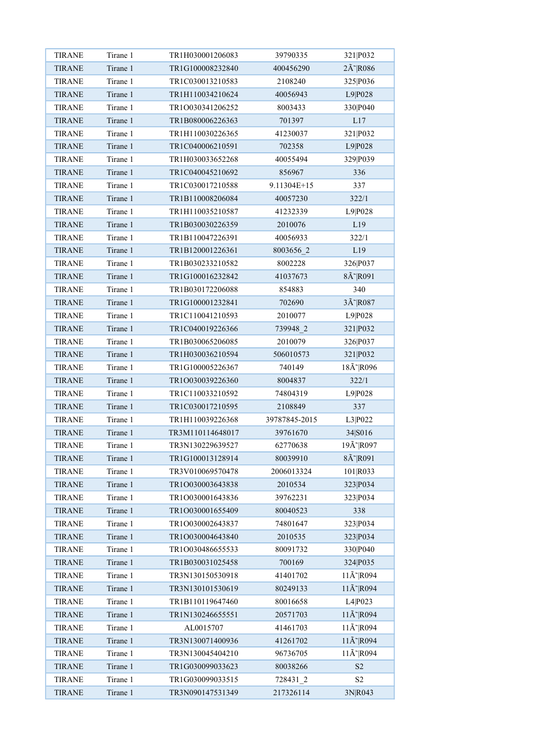| <b>TIRANE</b> | Tirane 1 | TR1H030001206083 | 39790335              | 321 P032                   |
|---------------|----------|------------------|-----------------------|----------------------------|
| <b>TIRANE</b> | Tirane 1 | TR1G100008232840 | 400456290             | 2Ã~ R086                   |
| <b>TIRANE</b> | Tirane 1 | TR1C030013210583 | 2108240               | 325 P036                   |
| <b>TIRANE</b> | Tirane 1 | TR1H110034210624 | 40056943              | L9 P028                    |
| <b>TIRANE</b> | Tirane 1 | TR1O030341206252 | 8003433               | 330 P040                   |
| <b>TIRANE</b> | Tirane 1 | TR1B080006226363 | 701397                | L17                        |
| <b>TIRANE</b> | Tirane 1 | TR1H110030226365 | 41230037              | 321 P032                   |
| <b>TIRANE</b> | Tirane 1 | TR1C040006210591 | 702358                | L9 P028                    |
| <b>TIRANE</b> | Tirane 1 | TR1H030033652268 | 40055494              | 329 P039                   |
| <b>TIRANE</b> | Tirane 1 | TR1C040045210692 | 856967                | 336                        |
| <b>TIRANE</b> | Tirane 1 | TR1C030017210588 | 9.11304E+15           | 337                        |
| <b>TIRANE</b> | Tirane 1 | TR1B110008206084 | 40057230              | 322/1                      |
| <b>TIRANE</b> | Tirane 1 | TR1H110035210587 | 41232339              | L9 P028                    |
| <b>TIRANE</b> | Tirane 1 | TR1B030030226359 | 2010076               | L19                        |
| <b>TIRANE</b> | Tirane 1 | TR1B110047226391 | 40056933              | 322/1                      |
| <b>TIRANE</b> | Tirane 1 | TR1B120001226361 | 8003656 2             | L19                        |
| <b>TIRANE</b> | Tirane 1 | TR1B030233210582 | 8002228               | 326 P037                   |
| <b>TIRANE</b> | Tirane 1 | TR1G100016232842 | 41037673              | 8Ã~ R091                   |
| <b>TIRANE</b> | Tirane 1 | TR1B030172206088 | 854883                | 340                        |
| <b>TIRANE</b> | Tirane 1 | TR1G100001232841 | 702690                | 3Ã~ R087                   |
| <b>TIRANE</b> | Tirane 1 | TR1C110041210593 | 2010077               | L9 P028                    |
| <b>TIRANE</b> | Tirane 1 | TR1C040019226366 | 739948 2              | 321 P032                   |
| <b>TIRANE</b> | Tirane 1 | TR1B030065206085 | 2010079               | 326 P037                   |
| <b>TIRANE</b> | Tirane 1 | TR1H030036210594 | 506010573             | 321 P032                   |
| <b>TIRANE</b> | Tirane 1 | TR1G100005226367 | 740149                | 18Ã~ R096                  |
| <b>TIRANE</b> | Tirane 1 | TR1O030039226360 | 8004837               | 322/1                      |
| <b>TIRANE</b> | Tirane 1 | TR1C110033210592 | 74804319              | L9 P028                    |
| <b>TIRANE</b> | Tirane 1 | TR1C030017210595 | 2108849               | 337                        |
| <b>TIRANE</b> | Tirane 1 | TR1H110039226368 | 39787845-2015         | L3 P022                    |
| <b>TIRANE</b> | Tirane 1 | TR3M110114648017 | 39761670              | 34 S016                    |
| <b>TIRANE</b> | Tirane 1 | TR3N130229639527 | 62770638              | 19Ã~ R097                  |
| <b>TIRANE</b> | Tirane 1 | TR1G100013128914 | 80039910              | 8Ã~ R091                   |
| <b>TIRANE</b> | Tirane 1 | TR3V010069570478 | 2006013324            | 101 R033                   |
| <b>TIRANE</b> | Tirane 1 | TR1O030003643838 | 2010534               | 323 P034                   |
| <b>TIRANE</b> | Tirane 1 | TR1O030001643836 | 39762231              | 323 P034                   |
| <b>TIRANE</b> | Tirane 1 | TR1O030001655409 | 80040523              | 338                        |
| <b>TIRANE</b> | Tirane 1 | TR1O030002643837 | 74801647              | 323 P034                   |
| <b>TIRANE</b> | Tirane 1 | TR1O030004643840 | 2010535               | 323 P034                   |
| <b>TIRANE</b> | Tirane 1 | TR1O030486655533 | 80091732              | 330 P040                   |
| <b>TIRANE</b> | Tirane 1 | TR1B030031025458 | 700169                | 324 P035                   |
| <b>TIRANE</b> | Tirane 1 | TR3N130150530918 | 41401702              | $11\text{\AA}^{\sim}$ R094 |
| <b>TIRANE</b> | Tirane 1 | TR3N130101530619 | 80249133              | $11\text{\AA}^{\sim}$ R094 |
| <b>TIRANE</b> | Tirane 1 | TR1B110119647460 | 80016658              | L4 P023                    |
| <b>TIRANE</b> | Tirane 1 | TR1N130246655551 | 20571703              | $11\text{\AA}^{\sim}$ R094 |
| <b>TIRANE</b> | Tirane 1 | AL0015707        | 41461703              | $11\text{\AA}^{\sim}$ R094 |
| <b>TIRANE</b> | Tirane 1 | TR3N130071400936 | 41261702              | $11\text{\AA}^{\sim}$ R094 |
| <b>TIRANE</b> | Tirane 1 | TR3N130045404210 | 96736705              | $11\text{\AA}^{\sim}$ R094 |
| <b>TIRANE</b> | Tirane 1 | TR1G030099033623 | 80038266              | $\ensuremath{\mathrm{S2}}$ |
| <b>TIRANE</b> | Tirane 1 | TR1G030099033515 |                       | S <sub>2</sub>             |
| <b>TIRANE</b> | Tirane 1 | TR3N090147531349 | 728431_2<br>217326114 | 3N R043                    |
|               |          |                  |                       |                            |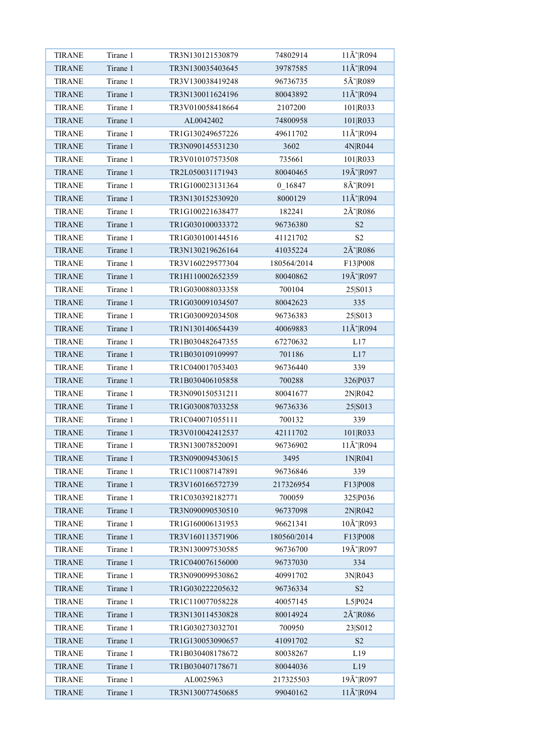| <b>TIRANE</b>                  | Tirane 1 | TR3N130121530879                     | 74802914             | $11\text{\AA}^{\sim}$ R094                         |
|--------------------------------|----------|--------------------------------------|----------------------|----------------------------------------------------|
| <b>TIRANE</b>                  | Tirane 1 | TR3N130035403645                     | 39787585             | $11\text{\AA}^{\sim}$ R094                         |
| <b>TIRANE</b>                  | Tirane 1 | TR3V130038419248                     | 96736735             | 5Ã~ R089                                           |
| <b>TIRANE</b>                  | Tirane 1 | TR3N130011624196                     | 80043892             | 11Ã~ R094                                          |
| <b>TIRANE</b>                  | Tirane 1 | TR3V010058418664                     | 2107200              | 101 R033                                           |
| <b>TIRANE</b>                  | Tirane 1 | AL0042402                            | 74800958             | 101 R033                                           |
| <b>TIRANE</b>                  | Tirane 1 | TR1G130249657226                     | 49611702             | $11\text{\AA}^{\sim}$ R094                         |
| <b>TIRANE</b>                  | Tirane 1 | TR3N090145531230                     | 3602                 | 4N R044                                            |
| <b>TIRANE</b>                  | Tirane 1 | TR3V010107573508                     | 735661               | 101 R033                                           |
| <b>TIRANE</b>                  | Tirane 1 | TR2L050031171943                     | 80040465             | 19Ã~ R097                                          |
| <b>TIRANE</b>                  | Tirane 1 | TR1G100023131364                     | 0 16847              | 8Ã~ R091                                           |
| <b>TIRANE</b>                  | Tirane 1 | TR3N130152530920                     | 8000129              | 11Ã~ R094                                          |
| <b>TIRANE</b>                  | Tirane 1 | TR1G100221638477                     | 182241               | $2\tilde{A}$ R086                                  |
| <b>TIRANE</b>                  | Tirane 1 | TR1G030100033372                     | 96736380             | S2                                                 |
| <b>TIRANE</b>                  | Tirane 1 | TR1G030100144516                     | 41121702             | $\mathbf{S2}$                                      |
| <b>TIRANE</b>                  | Tirane 1 | TR3N130219626164                     | 41035224             | 2Ã~ R086                                           |
| <b>TIRANE</b>                  | Tirane 1 | TR3V160229577304                     | 180564/2014          | F13 P008                                           |
| <b>TIRANE</b>                  | Tirane 1 | TR1H110002652359                     | 80040862             | 19Ã~ R097                                          |
| <b>TIRANE</b>                  | Tirane 1 | TR1G030088033358                     | 700104               | 25 S013                                            |
| <b>TIRANE</b>                  | Tirane 1 | TR1G030091034507                     | 80042623             | 335                                                |
| <b>TIRANE</b>                  | Tirane 1 | TR1G030092034508                     | 96736383             | 25 S013                                            |
| <b>TIRANE</b>                  | Tirane 1 | TR1N130140654439                     | 40069883             | $11\text{\AA}^{\sim}$ R094                         |
| <b>TIRANE</b>                  | Tirane 1 | TR1B030482647355                     | 67270632             | L17                                                |
| <b>TIRANE</b>                  | Tirane 1 | TR1B030109109997                     | 701186               | L17                                                |
| <b>TIRANE</b>                  | Tirane 1 | TR1C040017053403                     | 96736440             | 339                                                |
| <b>TIRANE</b>                  | Tirane 1 | TR1B030406105858                     | 700288               | 326 P037                                           |
| <b>TIRANE</b>                  | Tirane 1 | TR3N090150531211                     | 80041677             | 2N R042                                            |
| <b>TIRANE</b>                  | Tirane 1 | TR1G030087033258                     | 96736336             | 25 S013                                            |
| <b>TIRANE</b>                  | Tirane 1 | TR1C040071055111                     | 700132               | 339                                                |
| <b>TIRANE</b>                  | Tirane 1 | TR3V010042412537                     | 42111702             | 101 R033                                           |
| <b>TIRANE</b>                  | Tirane 1 | TR3N130078520091                     | 96736902             | $11\text{\AA}^{\sim}$ R094                         |
| <b>TIRANE</b>                  | Tirane 1 | TR3N090094530615                     | 3495                 | 1N R041                                            |
| <b>TIRANE</b>                  | Tirane 1 | TR1C110087147891                     | 96736846             | 339                                                |
| <b>TIRANE</b>                  | Tirane 1 | TR3V160166572739                     | 217326954            | F13 P008                                           |
| <b>TIRANE</b>                  | Tirane 1 | TR1C030392182771                     | 700059               | 325 P036                                           |
| <b>TIRANE</b>                  | Tirane 1 | TR3N090090530510                     | 96737098             | 2N R042                                            |
| <b>TIRANE</b>                  | Tirane 1 | TR1G160006131953                     | 96621341             | 10Å~ R093                                          |
| <b>TIRANE</b>                  | Tirane 1 | TR3V160113571906                     | 180560/2014          | F13 P008                                           |
| <b>TIRANE</b>                  | Tirane 1 | TR3N130097530585                     | 96736700             | 19Ã~ R097                                          |
| <b>TIRANE</b>                  | Tirane 1 | TR1C040076156000                     | 96737030             | 334                                                |
| <b>TIRANE</b>                  | Tirane 1 | TR3N090099530862                     | 40991702             | 3N R043                                            |
| <b>TIRANE</b>                  | Tirane 1 | TR1G030222205632                     | 96736334             | $\ensuremath{\mathrm{S2}}$                         |
| <b>TIRANE</b>                  | Tirane 1 | TR1C110077058228                     | 40057145             | L5 P024                                            |
| <b>TIRANE</b>                  | Tirane 1 | TR3N130114530828                     | 80014924             | $2\tilde{A}$ <sup><math>\tilde{}</math></sup> R086 |
|                                | Tirane 1 |                                      |                      |                                                    |
| <b>TIRANE</b>                  | Tirane 1 | TR1G030273032701                     | 700950               | 23 S012                                            |
| <b>TIRANE</b><br><b>TIRANE</b> | Tirane 1 | TR1G130053090657<br>TR1B030408178672 | 41091702<br>80038267 | S <sub>2</sub><br>L19                              |
|                                | Tirane 1 |                                      |                      |                                                    |
| <b>TIRANE</b>                  |          | TR1B030407178671                     | 80044036             | L19                                                |
| <b>TIRANE</b>                  | Tirane 1 | AL0025963                            | 217325503            | 19Ã~ R097                                          |
| <b>TIRANE</b>                  | Tirane 1 | TR3N130077450685                     | 99040162             | $11\text{\AA}^{\sim}$ R094                         |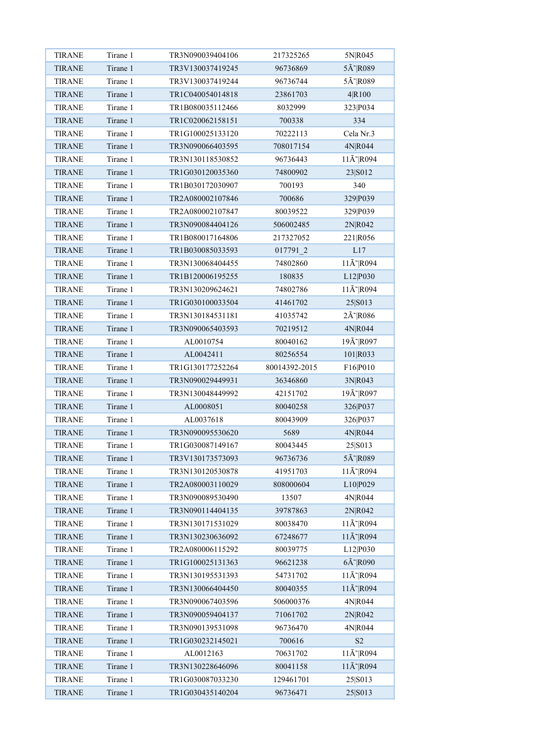| <b>TIRANE</b> | Tirane 1 | TR3N090039404106 | 217325265     | 5N R045                    |
|---------------|----------|------------------|---------------|----------------------------|
| <b>TIRANE</b> | Tirane 1 | TR3V130037419245 | 96736869      | 5Ã~ R089                   |
| <b>TIRANE</b> | Tirane 1 | TR3V130037419244 | 96736744      | 5Ã~ R089                   |
| <b>TIRANE</b> | Tirane 1 | TR1C040054014818 | 23861703      | 4 R100                     |
| <b>TIRANE</b> | Tirane 1 | TR1B080035112466 | 8032999       | 323 P034                   |
| <b>TIRANE</b> | Tirane 1 | TR1C020062158151 | 700338        | 334                        |
| <b>TIRANE</b> | Tirane 1 | TR1G100025133120 | 70222113      | Cela Nr.3                  |
| <b>TIRANE</b> | Tirane 1 | TR3N090066403595 | 708017154     | 4N R044                    |
| <b>TIRANE</b> | Tirane 1 | TR3N130118530852 | 96736443      | $11\text{\AA}^{\sim}$ R094 |
| <b>TIRANE</b> | Tirane 1 | TR1G030120035360 | 74800902      | 23 S012                    |
| <b>TIRANE</b> | Tirane 1 | TR1B030172030907 | 700193        | 340                        |
| <b>TIRANE</b> | Tirane 1 | TR2A080002107846 | 700686        | 329 P039                   |
| <b>TIRANE</b> | Tirane 1 | TR2A080002107847 | 80039522      | 329 P039                   |
| <b>TIRANE</b> | Tirane 1 | TR3N090084404126 | 506002485     | 2N R042                    |
| <b>TIRANE</b> | Tirane 1 | TR1B080017164806 | 217327052     | 221 R056                   |
| <b>TIRANE</b> | Tirane 1 | TR1B030085033593 | 017791 2      | L17                        |
| <b>TIRANE</b> | Tirane 1 | TR3N130068404455 | 74802860      | $11\text{\AA}^{\sim}$ R094 |
| <b>TIRANE</b> | Tirane 1 | TR1B120006195255 | 180835        | L12 P030                   |
| <b>TIRANE</b> | Tirane 1 | TR3N130209624621 | 74802786      | $11\text{\AA}^{\sim}$ R094 |
| <b>TIRANE</b> | Tirane 1 | TR1G030100033504 | 41461702      | 25 S013                    |
| <b>TIRANE</b> | Tirane 1 | TR3N130184531181 | 41035742      | 2Ã~ R086                   |
| <b>TIRANE</b> | Tirane 1 | TR3N090065403593 | 70219512      | 4N R044                    |
| <b>TIRANE</b> | Tirane 1 | AL0010754        | 80040162      | 19Ã~ R097                  |
| <b>TIRANE</b> | Tirane 1 | AL0042411        | 80256554      | 101 R033                   |
| <b>TIRANE</b> | Tirane 1 | TR1G130177252264 | 80014392-2015 | F16 P010                   |
| <b>TIRANE</b> | Tirane 1 | TR3N090029449931 | 36346860      | 3N R043                    |
| <b>TIRANE</b> | Tirane 1 | TR3N130048449992 | 42151702      | 19Ã~ R097                  |
| <b>TIRANE</b> | Tirane 1 | AL0008051        | 80040258      | 326 P037                   |
| <b>TIRANE</b> | Tirane 1 | AL0037618        | 80043909      | 326 P037                   |
| <b>TIRANE</b> | Tirane 1 | TR3N090095530620 | 5689          | 4N R044                    |
| <b>TIRANE</b> | Tirane 1 | TR1G030087149167 | 80043445      | 25 S013                    |
| <b>TIRANE</b> | Tirane 1 | TR3V130173573093 | 96736736      | 5Ã~ R089                   |
| <b>TIRANE</b> | Tirane 1 | TR3N130120530878 | 41951703      | $11\text{\AA}^{\sim}$ R094 |
| <b>TIRANE</b> | Tirane 1 | TR2A080003110029 | 808000604     | L10 P029                   |
| <b>TIRANE</b> | Tirane 1 | TR3N090089530490 | 13507         | 4N R044                    |
| <b>TIRANE</b> | Tirane 1 | TR3N090114404135 | 39787863      | 2N R042                    |
| <b>TIRANE</b> | Tirane 1 | TR3N130171531029 | 80038470      | $11\text{\AA}^{\sim}$ R094 |
| <b>TIRANE</b> | Tirane 1 | TR3N130230636092 | 67248677      | 11Ã~ R094                  |
| <b>TIRANE</b> | Tirane 1 | TR2A080006115292 | 80039775      | L12 P030                   |
| <b>TIRANE</b> | Tirane 1 | TR1G100025131363 | 96621238      | $6\tilde{A}$ R090          |
| <b>TIRANE</b> | Tirane 1 | TR3N130195531393 | 54731702      | $11\text{\AA}^{\sim}$ R094 |
| <b>TIRANE</b> | Tirane 1 | TR3N130066404450 | 80040355      | $11\text{\AA}^{\sim}$ R094 |
| <b>TIRANE</b> | Tirane 1 | TR3N090067403596 | 506000376     | 4N R044                    |
| <b>TIRANE</b> | Tirane 1 | TR3N090059404137 | 71061702      | 2N R042                    |
| <b>TIRANE</b> | Tirane 1 | TR3N090139531098 | 96736470      | 4N R044                    |
| <b>TIRANE</b> | Tirane 1 | TR1G030232145021 | 700616        | S <sub>2</sub>             |
| <b>TIRANE</b> | Tirane 1 | AL0012163        | 70631702      | 11Å~ R094                  |
| <b>TIRANE</b> | Tirane 1 | TR3N130228646096 | 80041158      | $11\text{\AA}^{\sim}$ R094 |
| <b>TIRANE</b> | Tirane 1 | TR1G030087033230 | 129461701     | 25 S013                    |
| <b>TIRANE</b> | Tirane 1 | TR1G030435140204 | 96736471      | 25 S013                    |
|               |          |                  |               |                            |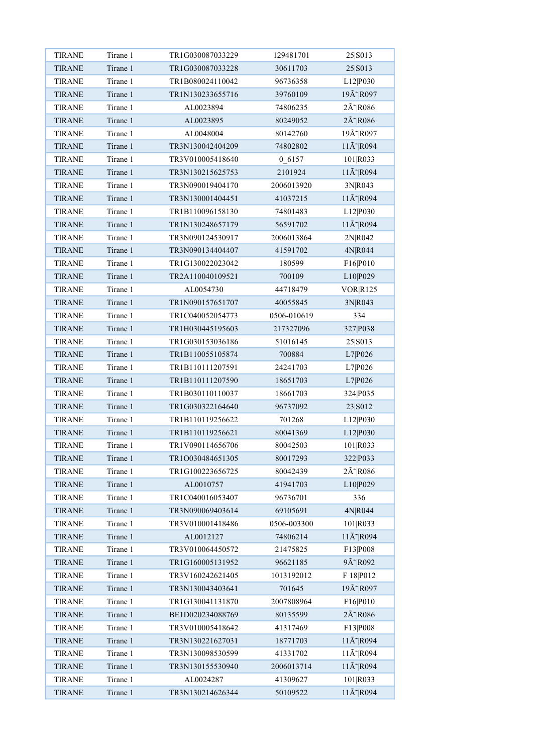| <b>TIRANE</b>                  | Tirane 1 | TR1G030087033229                     | 129481701            | 25 S013                          |
|--------------------------------|----------|--------------------------------------|----------------------|----------------------------------|
| <b>TIRANE</b>                  | Tirane 1 | TR1G030087033228                     | 30611703             | 25 S013                          |
| <b>TIRANE</b>                  | Tirane 1 | TR1B080024110042                     | 96736358             | L12 P030                         |
| <b>TIRANE</b>                  | Tirane 1 | TR1N130233655716                     | 39760109             | 19Ã~ R097                        |
| <b>TIRANE</b>                  | Tirane 1 | AL0023894                            | 74806235             | $2\tilde{A}$ R086                |
| <b>TIRANE</b>                  | Tirane 1 | AL0023895                            | 80249052             | 2Ã~ R086                         |
| <b>TIRANE</b>                  | Tirane 1 | AL0048004                            | 80142760             | 19Ã~ R097                        |
| <b>TIRANE</b>                  | Tirane 1 | TR3N130042404209                     | 74802802             | $11\text{\AA}^{\sim}$ R094       |
| <b>TIRANE</b>                  | Tirane 1 | TR3V010005418640                     | 0 6157               | 101 R033                         |
| <b>TIRANE</b>                  | Tirane 1 | TR3N130215625753                     | 2101924              | $11\text{\AA}^{\sim}$ R094       |
| <b>TIRANE</b>                  | Tirane 1 | TR3N090019404170                     | 2006013920           | 3N R043                          |
| <b>TIRANE</b>                  | Tirane 1 | TR3N130001404451                     | 41037215             | $11\text{\AA}^{\sim}$ R094       |
| <b>TIRANE</b>                  | Tirane 1 | TR1B110096158130                     | 74801483             | L12 P030                         |
| <b>TIRANE</b>                  | Tirane 1 | TR1N130248657179                     | 56591702             | $11\text{\AA}^{\sim}$ R094       |
| <b>TIRANE</b>                  | Tirane 1 | TR3N090124530917                     | 2006013864           | 2N R042                          |
| <b>TIRANE</b>                  | Tirane 1 | TR3N090134404407                     | 41591702             | 4N R044                          |
| <b>TIRANE</b>                  | Tirane 1 | TR1G130022023042                     | 180599               | F16 P010                         |
| <b>TIRANE</b>                  | Tirane 1 | TR2A110040109521                     | 700109               | L10 P029                         |
| <b>TIRANE</b>                  | Tirane 1 | AL0054730                            | 44718479             | <b>VOR R125</b>                  |
| <b>TIRANE</b>                  | Tirane 1 | TR1N090157651707                     | 40055845             | 3N R043                          |
| <b>TIRANE</b>                  | Tirane 1 | TR1C040052054773                     | 0506-010619          | 334                              |
| <b>TIRANE</b>                  | Tirane 1 | TR1H030445195603                     | 217327096            | 327 P038                         |
| <b>TIRANE</b>                  | Tirane 1 | TR1G030153036186                     | 51016145             | 25 S013                          |
| <b>TIRANE</b>                  | Tirane 1 | TR1B110055105874                     | 700884               | L7 P026                          |
| <b>TIRANE</b>                  | Tirane 1 | TR1B110111207591                     | 24241703             | L7 P026                          |
| <b>TIRANE</b>                  | Tirane 1 | TR1B110111207590                     | 18651703             | L7 P026                          |
| <b>TIRANE</b>                  | Tirane 1 | TR1B030110110037                     | 18661703             | 324 P035                         |
| <b>TIRANE</b>                  | Tirane 1 | TR1G030322164640                     | 96737092             | 23 S012                          |
| <b>TIRANE</b>                  | Tirane 1 | TR1B110119256622                     | 701268               | L12 P030                         |
| <b>TIRANE</b>                  | Tirane 1 | TR1B110119256621                     | 80041369             | L12 P030                         |
| <b>TIRANE</b>                  | Tirane 1 | TR1V090114656706                     | 80042503             | 101 R033                         |
| <b>TIRANE</b>                  | Tirane 1 | TR1O030484651305                     | 80017293             | 322 P033                         |
| <b>TIRANE</b>                  | Tirane 1 | TR1G100223656725                     | 80042439             | 2Ã~ R086                         |
| <b>TIRANE</b>                  | Tirane 1 | AL0010757                            | 41941703             | L10 P029                         |
| <b>TIRANE</b>                  | Tirane 1 | TR1C040016053407                     | 96736701             | 336                              |
| TIRANE                         | Tirane 1 | TR3N090069403614                     | 69105691             | 4N R044                          |
| <b>TIRANE</b>                  | Tirane 1 | TR3V010001418486                     | 0506-003300          | 101 R033                         |
| <b>TIRANE</b>                  | Tirane 1 | AL0012127                            | 74806214             | $11\text{\AA}^{\sim}$ R094       |
| <b>TIRANE</b>                  | Tirane 1 | TR3V010064450572                     | 21475825             | F13 P008                         |
| <b>TIRANE</b>                  | Tirane 1 | TR1G160005131952                     | 96621185             | 9Ã~ R092                         |
| <b>TIRANE</b>                  | Tirane 1 | TR3V160242621405                     | 1013192012           | F 18 P012                        |
| <b>TIRANE</b>                  | Tirane 1 | TR3N130043403641                     | 701645               | 19Ã~ R097                        |
| TIRANE                         | Tirane 1 | TR1G130041131870                     | 2007808964           | F16 P010                         |
| <b>TIRANE</b>                  | Tirane 1 | BE1D020234088769                     | 80135599             | $2\tilde{A}$ <sup>~</sup> $R086$ |
| <b>TIRANE</b>                  | Tirane 1 | TR3V010005418642                     | 41317469             | F13 P008                         |
|                                | Tirane 1 |                                      |                      | $11\text{\AA}^{\sim}$ R094       |
| <b>TIRANE</b><br><b>TIRANE</b> | Tirane 1 | TR3N130221627031<br>TR3N130098530599 | 18771703<br>41331702 | 11Å~ R094                        |
|                                | Tirane 1 |                                      |                      | $11\text{\AA}^{\sim}$ R094       |
| <b>TIRANE</b>                  |          | TR3N130155530940                     | 2006013714           |                                  |
| <b>TIRANE</b>                  | Tirane 1 | AL0024287                            | 41309627             | 101 R033                         |
| <b>TIRANE</b>                  | Tirane 1 | TR3N130214626344                     | 50109522             | 11Ã~ R094                        |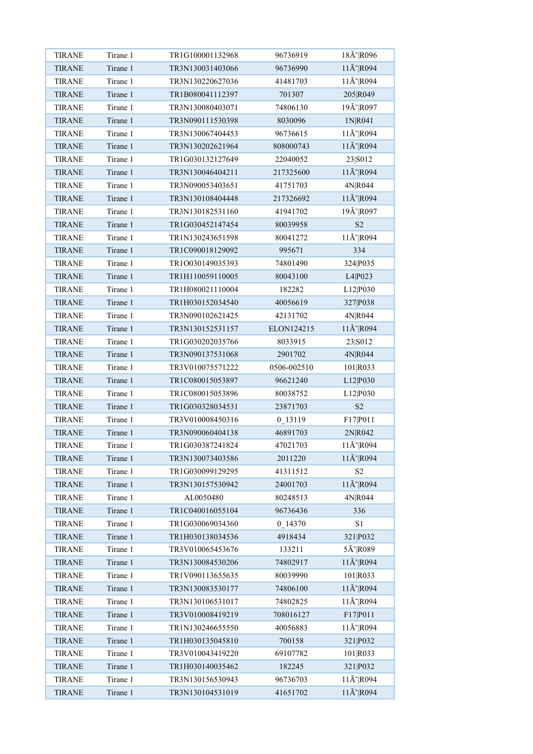| <b>TIRANE</b> | Tirane 1 | TR1G100001132968 | 96736919    | 18Ã~ R096                  |
|---------------|----------|------------------|-------------|----------------------------|
| <b>TIRANE</b> | Tirane 1 | TR3N130031403066 | 96736990    | $11\text{\AA}^{\sim}$ R094 |
| <b>TIRANE</b> | Tirane 1 | TR3N130220627036 | 41481703    | $11\text{\AA}^{\sim}$ R094 |
| <b>TIRANE</b> | Tirane 1 | TR1B080041112397 | 701307      | 205 R049                   |
| <b>TIRANE</b> | Tirane 1 | TR3N130080403071 | 74806130    | 19Ã~ R097                  |
| <b>TIRANE</b> | Tirane 1 | TR3N090111530398 | 8030096     | 1N R041                    |
| <b>TIRANE</b> | Tirane 1 | TR3N130067404453 | 96736615    | 11Ã~ R094                  |
| <b>TIRANE</b> | Tirane 1 | TR3N130202621964 | 808000743   | $11\text{\AA}^{\sim}$ R094 |
| <b>TIRANE</b> | Tirane 1 | TR1G030132127649 | 22040052    | 23 S012                    |
| <b>TIRANE</b> | Tirane 1 | TR3N130046404211 | 217325600   | 11Ã~ R094                  |
| <b>TIRANE</b> | Tirane 1 | TR3N090053403651 | 41751703    | 4N R044                    |
| <b>TIRANE</b> | Tirane 1 | TR3N130108404448 | 217326692   | $11\text{\AA}^{\sim}$ R094 |
| <b>TIRANE</b> | Tirane 1 | TR3N130182531160 | 41941702    | 19Ã~ R097                  |
| <b>TIRANE</b> | Tirane 1 | TR1G030452147454 | 80039958    | S <sub>2</sub>             |
| <b>TIRANE</b> | Tirane 1 | TR1N130243651598 | 80041272    | $11\text{\AA}^{\sim}$ R094 |
| <b>TIRANE</b> | Tirane 1 | TR1C090018129092 | 995671      | 334                        |
| <b>TIRANE</b> | Tirane 1 | TR1O030149035393 | 74801490    | 324 P035                   |
| <b>TIRANE</b> | Tirane 1 | TR1H110059110005 | 80043100    | L4 P023                    |
| <b>TIRANE</b> | Tirane 1 | TR1H080021110004 | 182282      | L12 P030                   |
| <b>TIRANE</b> | Tirane 1 | TR1H030152034540 | 40056619    | 327 P038                   |
| <b>TIRANE</b> | Tirane 1 | TR3N090102621425 | 42131702    | 4N R044                    |
| <b>TIRANE</b> | Tirane 1 | TR3N130152531157 | ELON124215  | $11\text{\AA}^{\sim}$ R094 |
| <b>TIRANE</b> | Tirane 1 | TR1G030202035766 | 8033915     | 23 S012                    |
| <b>TIRANE</b> | Tirane 1 | TR3N090137531068 | 2901702     | 4N R044                    |
| <b>TIRANE</b> | Tirane 1 | TR3V010075571222 | 0506-002510 | 101 R033                   |
| <b>TIRANE</b> | Tirane 1 | TR1C080015053897 | 96621240    | L12 P030                   |
| <b>TIRANE</b> | Tirane 1 | TR1C080015053896 | 80038752    | L12 P030                   |
| <b>TIRANE</b> | Tirane 1 | TR1G030328034531 | 23871703    | $\ensuremath{\mathrm{S2}}$ |
| <b>TIRANE</b> | Tirane 1 | TR3V010008450316 | 0 13119     | F17 P011                   |
| <b>TIRANE</b> | Tirane 1 | TR3N090060404138 | 46891703    | 2N R042                    |
| <b>TIRANE</b> | Tirane 1 | TR1G030387241824 | 47021703    | 11Ã~ R094                  |
| <b>TIRANE</b> | Tirane 1 | TR3N130073403586 | 2011220     | $11\text{\AA}^{\sim}$ R094 |
| <b>TIRANE</b> | Tirane 1 | TR1G030099129295 | 41311512    | S <sub>2</sub>             |
| <b>TIRANE</b> | Tirane 1 | TR3N130157530942 | 24001703    | $11\text{\AA}^{\sim}$ R094 |
| <b>TIRANE</b> | Tirane 1 | AL0050480        | 80248513    | 4N R044                    |
| <b>TIRANE</b> | Tirane 1 | TR1C040016055104 | 96736436    | 336                        |
| <b>TIRANE</b> | Tirane 1 | TR1G030069034360 | 0 14370     | S1                         |
| <b>TIRANE</b> | Tirane 1 | TR1H030138034536 | 4918434     | 321 P032                   |
| TIRANE        | Tirane 1 | TR3V010065453676 | 133211      | 5Ã~ R089                   |
| <b>TIRANE</b> | Tirane 1 | TR3N130084530206 | 74802917    | $11\text{\AA}^{\sim}$ R094 |
| <b>TIRANE</b> | Tirane 1 | TR1V090113655635 | 80039990    | 101 R033                   |
| <b>TIRANE</b> | Tirane 1 | TR3N130083530177 | 74806100    | 11Ã~ R094                  |
| <b>TIRANE</b> | Tirane 1 | TR3N130106531017 | 74802825    | $11\text{\AA}^{\sim}$ R094 |
| <b>TIRANE</b> | Tirane 1 | TR3V010008419219 | 708016127   | F17 P011                   |
| <b>TIRANE</b> | Tirane 1 | TR1N130246655550 | 40056883    | $11\text{\AA}^{\sim}$ R094 |
| <b>TIRANE</b> | Tirane 1 | TR1H030135045810 | 700158      | 321 P032                   |
| <b>TIRANE</b> | Tirane 1 | TR3V010043419220 | 69107782    | 101 R033                   |
| <b>TIRANE</b> | Tirane 1 | TR1H030140035462 | 182245      | 321 P032                   |
| <b>TIRANE</b> | Tirane 1 | TR3N130156530943 | 96736703    | $11\text{\AA}^{\sim}$ R094 |
| <b>TIRANE</b> | Tirane 1 | TR3N130104531019 | 41651702    | $11\text{\AA}^{\sim}$ R094 |
|               |          |                  |             |                            |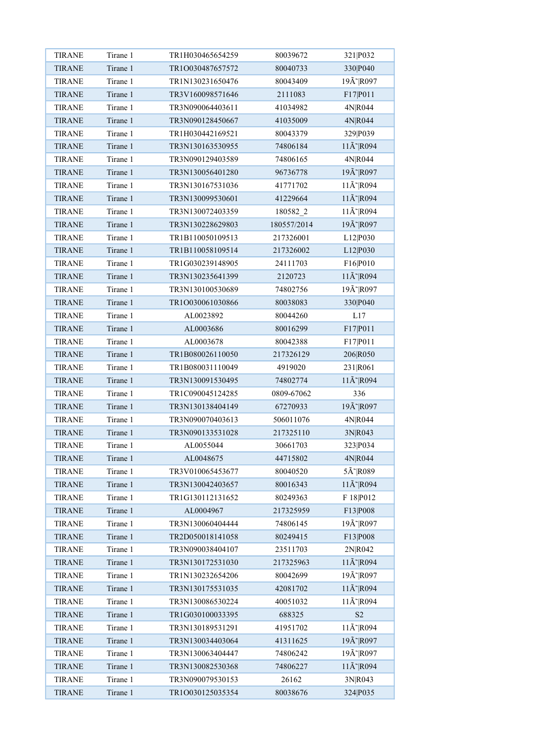| <b>TIRANE</b> | Tirane 1 | TR1H030465654259 | 80039672    | 321 P032                   |
|---------------|----------|------------------|-------------|----------------------------|
| <b>TIRANE</b> | Tirane 1 | TR1O030487657572 | 80040733    | 330 <sub>P040</sub>        |
| <b>TIRANE</b> | Tirane 1 | TR1N130231650476 | 80043409    | 19Ã~ R097                  |
| <b>TIRANE</b> | Tirane 1 | TR3V160098571646 | 2111083     | F17 P011                   |
| <b>TIRANE</b> | Tirane 1 | TR3N090064403611 | 41034982    | 4N R044                    |
| <b>TIRANE</b> | Tirane 1 | TR3N090128450667 | 41035009    | 4N R044                    |
| <b>TIRANE</b> | Tirane 1 | TR1H030442169521 | 80043379    | 329 P039                   |
| <b>TIRANE</b> | Tirane 1 | TR3N130163530955 | 74806184    | $11\text{\AA}^{\sim}$ R094 |
| <b>TIRANE</b> | Tirane 1 | TR3N090129403589 | 74806165    | 4N R044                    |
| <b>TIRANE</b> | Tirane 1 | TR3N130056401280 | 96736778    | 19Ã~ R097                  |
| <b>TIRANE</b> | Tirane 1 | TR3N130167531036 | 41771702    | $11\text{\AA}^{\sim}$ R094 |
| <b>TIRANE</b> | Tirane 1 | TR3N130099530601 | 41229664    | $11\text{\AA}^{\sim}$ R094 |
| <b>TIRANE</b> | Tirane 1 | TR3N130072403359 | 180582 2    | $11\text{\AA}^{\sim}$ R094 |
| <b>TIRANE</b> | Tirane 1 | TR3N130228629803 | 180557/2014 | 19Ã~ R097                  |
| <b>TIRANE</b> | Tirane 1 | TR1B110050109513 | 217326001   | L12 P030                   |
| <b>TIRANE</b> | Tirane 1 | TR1B110058109514 | 217326002   | L12 P030                   |
| <b>TIRANE</b> | Tirane 1 | TR1G030239148905 | 24111703    | F16 P010                   |
| <b>TIRANE</b> | Tirane 1 | TR3N130235641399 | 2120723     | $11\text{\AA}^{\sim}$ R094 |
| <b>TIRANE</b> | Tirane 1 | TR3N130100530689 | 74802756    | 19Ã~ R097                  |
| <b>TIRANE</b> | Tirane 1 | TR1O030061030866 | 80038083    | 330 <sub>P040</sub>        |
| <b>TIRANE</b> | Tirane 1 | AL0023892        | 80044260    | L17                        |
| <b>TIRANE</b> | Tirane 1 | AL0003686        | 80016299    | F17 P011                   |
| <b>TIRANE</b> | Tirane 1 | AL0003678        | 80042388    | F17 P011                   |
| <b>TIRANE</b> | Tirane 1 | TR1B080026110050 | 217326129   | 206 R050                   |
| <b>TIRANE</b> | Tirane 1 | TR1B080031110049 | 4919020     | 231 R061                   |
| <b>TIRANE</b> | Tirane 1 | TR3N130091530495 | 74802774    | $11\text{\AA}^{\sim}$ R094 |
| <b>TIRANE</b> | Tirane 1 | TR1C090045124285 | 0809-67062  | 336                        |
| <b>TIRANE</b> | Tirane 1 | TR3N130138404149 | 67270933    | 19Ã~ R097                  |
| <b>TIRANE</b> | Tirane 1 | TR3N090070403613 | 506011076   | 4N R044                    |
| <b>TIRANE</b> | Tirane 1 | TR3N090133531028 | 217325110   | 3N R043                    |
| <b>TIRANE</b> | Tirane 1 | AL0055044        | 30661703    | 323 P034                   |
| <b>TIRANE</b> | Tirane 1 | AL0048675        | 44715802    | 4N R044                    |
| <b>TIRANE</b> | Tirane 1 | TR3V010065453677 | 80040520    | 5Ã~ R089                   |
| <b>TIRANE</b> | Tirane 1 | TR3N130042403657 | 80016343    | $11\text{\AA}^{\sim}$ R094 |
| <b>TIRANE</b> | Tirane 1 | TR1G130112131652 | 80249363    | F 18 P012                  |
| <b>TIRANE</b> | Tirane 1 | AL0004967        | 217325959   | F13 P008                   |
| <b>TIRANE</b> | Tirane 1 | TR3N130060404444 | 74806145    | 19Ã~ R097                  |
| <b>TIRANE</b> | Tirane 1 | TR2D050018141058 | 80249415    | F13 P008                   |
| <b>TIRANE</b> | Tirane 1 | TR3N090038404107 | 23511703    | 2N R042                    |
| <b>TIRANE</b> | Tirane 1 | TR3N130172531030 | 217325963   | $11\text{\AA}^{\sim}$ R094 |
| <b>TIRANE</b> | Tirane 1 | TR1N130232654206 | 80042699    | 19Ã~ R097                  |
| <b>TIRANE</b> | Tirane 1 | TR3N130175531035 | 42081702    | $11\text{\AA}^{\sim}$ R094 |
| <b>TIRANE</b> | Tirane 1 | TR3N130086530224 | 40051032    | 11Ã~ R094                  |
| <b>TIRANE</b> | Tirane 1 | TR1G030100033395 | 688325      | $\ensuremath{\mathrm{S2}}$ |
| <b>TIRANE</b> | Tirane 1 | TR3N130189531291 | 41951702    | $11\text{\AA}^{\sim}$ R094 |
| <b>TIRANE</b> | Tirane 1 | TR3N130034403064 | 41311625    | 19Ã~ R097                  |
| <b>TIRANE</b> | Tirane 1 | TR3N130063404447 | 74806242    | 19Ã~ R097                  |
| <b>TIRANE</b> | Tirane 1 | TR3N130082530368 | 74806227    | $11\text{\AA}^{\sim}$ R094 |
| <b>TIRANE</b> | Tirane 1 | TR3N090079530153 | 26162       | 3N R043                    |
| <b>TIRANE</b> | Tirane 1 | TR1O030125035354 | 80038676    | 324 P035                   |
|               |          |                  |             |                            |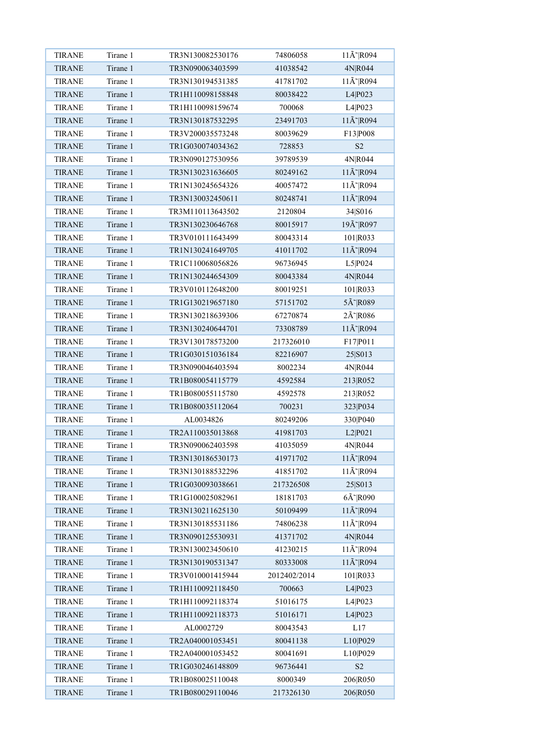| <b>TIRANE</b> | Tirane 1             | TR3N130082530176                     | 74806058              | $11\text{\AA}^{\sim}$ R094                      |
|---------------|----------------------|--------------------------------------|-----------------------|-------------------------------------------------|
| <b>TIRANE</b> | Tirane 1             | TR3N090063403599                     | 41038542              | 4N R044                                         |
| <b>TIRANE</b> | Tirane 1             | TR3N130194531385                     | 41781702              | $11\text{\AA}^{\sim}$ R094                      |
| <b>TIRANE</b> | Tirane 1             | TR1H110098158848                     | 80038422              | L4 P023                                         |
| <b>TIRANE</b> | Tirane 1             | TR1H110098159674                     | 700068                | L4 P023                                         |
| <b>TIRANE</b> | Tirane 1             | TR3N130187532295                     | 23491703              | $11\text{\AA}^{\sim}$ R094                      |
| <b>TIRANE</b> | Tirane 1             | TR3V200035573248                     | 80039629              | F13 P008                                        |
| <b>TIRANE</b> | Tirane 1             | TR1G030074034362                     | 728853                | S <sub>2</sub>                                  |
| <b>TIRANE</b> | Tirane 1             | TR3N090127530956                     | 39789539              | 4N R044                                         |
| <b>TIRANE</b> | Tirane 1             | TR3N130231636605                     | 80249162              | $11\text{\AA}^{\sim}$ R094                      |
| <b>TIRANE</b> | Tirane 1             | TR1N130245654326                     | 40057472              | $11\text{\AA}^{\sim}$ R094                      |
| <b>TIRANE</b> | Tirane 1             | TR3N130032450611                     | 80248741              | $11\text{\AA}^{\sim}$ R094                      |
| <b>TIRANE</b> | Tirane 1             | TR3M110113643502                     | 2120804               | 34 S016                                         |
| <b>TIRANE</b> | Tirane 1             | TR3N130230646768                     | 80015917              | 19Ã~ R097                                       |
| <b>TIRANE</b> | Tirane 1             | TR3V010111643499                     | 80043314              | 101 R033                                        |
| <b>TIRANE</b> | Tirane 1             | TR1N130241649705                     | 41011702              | $11\text{\AA}^{\sim}$ R094                      |
| <b>TIRANE</b> | Tirane 1             | TR1C110068056826                     | 96736945              | L5 P024                                         |
| <b>TIRANE</b> | Tirane 1             | TR1N130244654309                     | 80043384              | 4N R044                                         |
| <b>TIRANE</b> | Tirane 1             | TR3V010112648200                     | 80019251              | 101 R033                                        |
| <b>TIRANE</b> | Tirane 1             | TR1G130219657180                     | 57151702              | 5Ã~ R089                                        |
| <b>TIRANE</b> | Tirane 1             | TR3N130218639306                     | 67270874              | $2\tilde{A}$ <sup>-</sup> $R086$                |
| <b>TIRANE</b> | Tirane 1             | TR3N130240644701                     | 73308789              | $11\text{\AA}^{\sim}$ R094                      |
| <b>TIRANE</b> | Tirane 1             | TR3V130178573200                     | 217326010             | F17 P011                                        |
| <b>TIRANE</b> | Tirane 1             | TR1G030151036184                     | 82216907              | 25 S013                                         |
| <b>TIRANE</b> | Tirane 1             | TR3N090046403594                     | 8002234               | 4N R044                                         |
| <b>TIRANE</b> | Tirane 1             | TR1B080054115779                     | 4592584               | 213 R052                                        |
| <b>TIRANE</b> | Tirane 1             | TR1B080055115780                     | 4592578               | 213 R052                                        |
| <b>TIRANE</b> | Tirane 1             | TR1B080035112064                     | 700231                | 323 P034                                        |
| <b>TIRANE</b> | Tirane 1             | AL0034826                            | 80249206              | 330 P040                                        |
| <b>TIRANE</b> | Tirane 1             | TR2A110035013868                     | 41981703              | L2 P021                                         |
| <b>TIRANE</b> | Tirane 1             | TR3N090062403598                     | 41035059              | 4N R044                                         |
| <b>TIRANE</b> | Tirane 1             | TR3N130186530173                     | 41971702              | $11\text{\AA}^{\sim}$ R094                      |
|               | Tirane 1             | TR3N130188532296                     |                       | 11Ã~ R094                                       |
| <b>TIRANE</b> | Tirane 1             | TR1G030093038661                     | 41851702<br>217326508 |                                                 |
| <b>TIRANE</b> |                      |                                      |                       | 25 S013                                         |
| <b>TIRANE</b> | Tirane 1<br>Tirane 1 | TR1G100025082961<br>TR3N130211625130 | 18181703              | $6\tilde{A}$ R090<br>$11\text{\AA}^{\sim}$ R094 |
| <b>TIRANE</b> |                      |                                      | 50109499              |                                                 |
| <b>TIRANE</b> | Tirane 1             | TR3N130185531186                     | 74806238              | $11\text{\AA}^{\sim}$ R094                      |
| <b>TIRANE</b> | Tirane 1             | TR3N090125530931                     | 41371702              | 4N R044                                         |
| <b>TIRANE</b> | Tirane 1             | TR3N130023450610                     | 41230215              | $11\text{\AA}^{\sim}$ R094                      |
| <b>TIRANE</b> | Tirane 1             | TR3N130190531347                     | 80333008              | $11\text{\AA}^{\sim}$ R094                      |
| <b>TIRANE</b> | Tirane 1             | TR3V010001415944                     | 2012402/2014          | 101 R033                                        |
| <b>TIRANE</b> | Tirane 1             | TR1H110092118450                     | 700663                | L4 P023                                         |
| <b>TIRANE</b> | Tirane 1             | TR1H110092118374                     | 51016175              | L4 P023                                         |
| <b>TIRANE</b> | Tirane 1             | TR1H110092118373                     | 51016171              | L4 P023                                         |
| <b>TIRANE</b> | Tirane 1             | AL0002729                            | 80043543              | L17                                             |
| <b>TIRANE</b> | Tirane 1             | TR2A040001053451                     | 80041138              | L10 P029                                        |
| <b>TIRANE</b> | Tirane 1             | TR2A040001053452                     | 80041691              | L10 P029                                        |
| <b>TIRANE</b> | Tirane 1             | TR1G030246148809                     | 96736441              | $\ensuremath{\mathrm{S2}}$                      |
| <b>TIRANE</b> | Tirane 1             | TR1B080025110048                     | 8000349               | 206 R050                                        |
| <b>TIRANE</b> | Tirane 1             | TR1B080029110046                     | 217326130             | 206 R050                                        |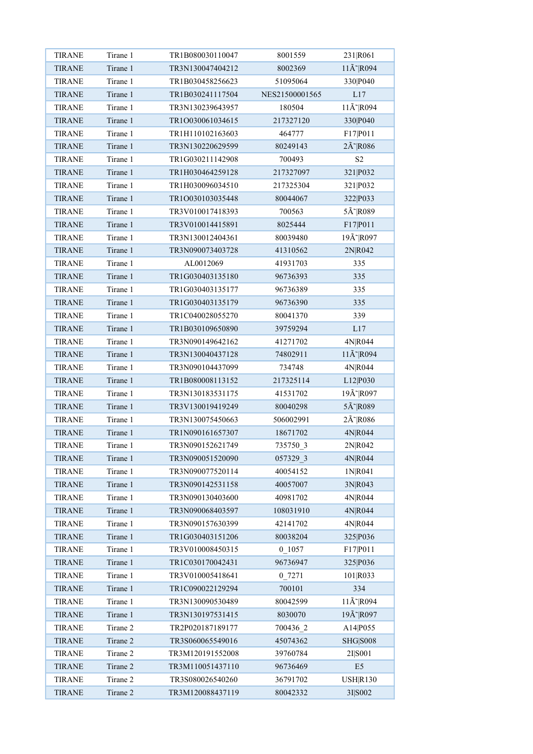| <b>TIRANE</b> | Tirane 1 | TR1B080030110047 | 8001559        | 231 R061                         |
|---------------|----------|------------------|----------------|----------------------------------|
| <b>TIRANE</b> | Tirane 1 | TR3N130047404212 | 8002369        | $11\text{\AA}^{\sim}$ R094       |
| <b>TIRANE</b> | Tirane 1 | TR1B030458256623 | 51095064       | 330 P040                         |
| <b>TIRANE</b> | Tirane 1 | TR1B030241117504 | NES21500001565 | L17                              |
| <b>TIRANE</b> | Tirane 1 | TR3N130239643957 | 180504         | $11\text{\AA}^{\sim}$ R094       |
| <b>TIRANE</b> | Tirane 1 | TR1O030061034615 | 217327120      | 330 P040                         |
| <b>TIRANE</b> | Tirane 1 | TR1H110102163603 | 464777         | F17 P011                         |
| <b>TIRANE</b> | Tirane 1 | TR3N130220629599 | 80249143       | $2\tilde{A}$ <sup>~</sup> $R086$ |
| <b>TIRANE</b> | Tirane 1 | TR1G030211142908 | 700493         | S <sub>2</sub>                   |
| <b>TIRANE</b> | Tirane 1 | TR1H030464259128 | 217327097      | 321 P032                         |
| <b>TIRANE</b> | Tirane 1 | TR1H030096034510 | 217325304      | 321 P032                         |
| <b>TIRANE</b> | Tirane 1 | TR1O030103035448 | 80044067       | 322 P033                         |
| <b>TIRANE</b> | Tirane 1 | TR3V010017418393 | 700563         | 5Ã~ R089                         |
| <b>TIRANE</b> | Tirane 1 | TR3V010014415891 | 8025444        | F17 P011                         |
| <b>TIRANE</b> | Tirane 1 | TR3N130012404361 | 80039480       | 19Ã~ R097                        |
| <b>TIRANE</b> | Tirane 1 | TR3N090073403728 | 41310562       | 2N R042                          |
| <b>TIRANE</b> | Tirane 1 | AL0012069        | 41931703       | 335                              |
| <b>TIRANE</b> | Tirane 1 | TR1G030403135180 | 96736393       | 335                              |
| <b>TIRANE</b> | Tirane 1 | TR1G030403135177 | 96736389       | 335                              |
| <b>TIRANE</b> | Tirane 1 | TR1G030403135179 | 96736390       | 335                              |
| <b>TIRANE</b> | Tirane 1 | TR1C040028055270 | 80041370       | 339                              |
| <b>TIRANE</b> | Tirane 1 | TR1B030109650890 | 39759294       | L17                              |
| <b>TIRANE</b> | Tirane 1 | TR3N090149642162 | 41271702       | 4N R044                          |
|               | Tirane 1 | TR3N130040437128 |                | $11\text{\AA}^{\sim}$ R094       |
| <b>TIRANE</b> |          |                  | 74802911       |                                  |
| <b>TIRANE</b> | Tirane 1 | TR3N090104437099 | 734748         | 4N R044                          |
| <b>TIRANE</b> | Tirane 1 | TR1B080008113152 | 217325114      | L12 P030                         |
| <b>TIRANE</b> | Tirane 1 | TR3N130183531175 | 41531702       | 19Ã~ R097                        |
| <b>TIRANE</b> | Tirane 1 | TR3V130019419249 | 80040298       | 5Ã~ R089                         |
| <b>TIRANE</b> | Tirane 1 | TR3N130075450663 | 506002991      | $2\tilde{A}$ <sup>-</sup> $R086$ |
| <b>TIRANE</b> | Tirane 1 | TR1N090161657307 | 18671702       | 4N R044                          |
| <b>TIRANE</b> | Tirane 1 | TR3N090152621749 | 735750 3       | 2N R042                          |
| <b>TIRANE</b> | Tirane 1 | TR3N090051520090 | 057329 3       | 4N R044                          |
| <b>TIRANE</b> | Tirane 1 | TR3N090077520114 | 40054152       | 1N R041                          |
| <b>TIRANE</b> | Tirane 1 | TR3N090142531158 | 40057007       | 3N R043                          |
| <b>TIRANE</b> | Tirane 1 | TR3N090130403600 | 40981702       | 4N R044                          |
| <b>TIRANE</b> | Tirane 1 | TR3N090068403597 | 108031910      | 4N R044                          |
| <b>TIRANE</b> | Tirane 1 | TR3N090157630399 | 42141702       | 4N R044                          |
| <b>TIRANE</b> | Tirane 1 | TR1G030403151206 | 80038204       | 325 P036                         |
| <b>TIRANE</b> | Tirane 1 | TR3V010008450315 | $0$ 1057       | F17 P011                         |
| <b>TIRANE</b> | Tirane 1 | TR1C030170042431 | 96736947       | 325 P036                         |
| <b>TIRANE</b> | Tirane 1 | TR3V010005418641 | 0 7271         | 101 R033                         |
| <b>TIRANE</b> | Tirane 1 | TR1C090022129294 | 700101         | 334                              |
| <b>TIRANE</b> | Tirane 1 | TR3N130090530489 | 80042599       | $11\text{\AA}^{\sim}$ R094       |
| <b>TIRANE</b> | Tirane 1 | TR3N130197531415 | 8030070        | 19Ã~ R097                        |
| <b>TIRANE</b> | Tirane 2 | TR2P020187189177 | 700436 2       | A14 P055                         |
| <b>TIRANE</b> | Tirane 2 | TR3S060065549016 | 45074362       | <b>SHG S008</b>                  |
| <b>TIRANE</b> | Tirane 2 | TR3M120191552008 | 39760784       | 2I S001                          |
| <b>TIRANE</b> | Tirane 2 | TR3M110051437110 | 96736469       | E <sub>5</sub>                   |
| <b>TIRANE</b> | Tirane 2 | TR3S080026540260 | 36791702       | <b>USHR130</b>                   |
| <b>TIRANE</b> | Tirane 2 | TR3M120088437119 | 80042332       | 3I S002                          |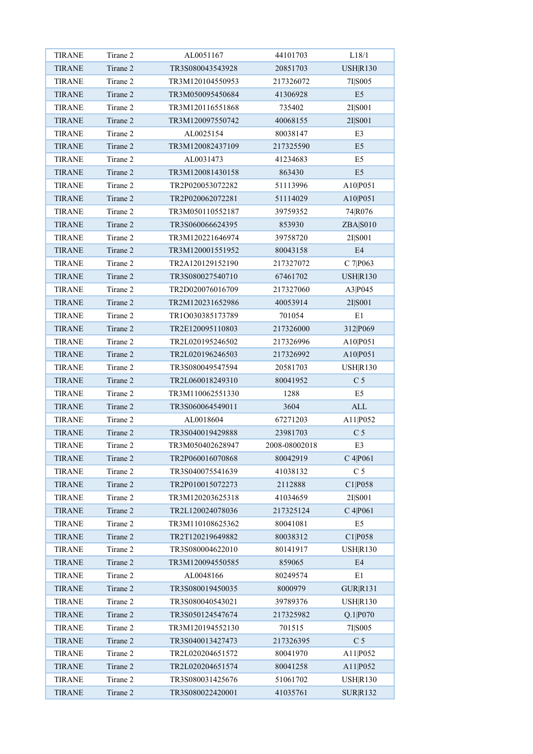| <b>TIRANE</b> | Tirane 2             | AL0051167                            | 44101703      | L18/1           |
|---------------|----------------------|--------------------------------------|---------------|-----------------|
| <b>TIRANE</b> | Tirane 2             | TR3S080043543928                     | 20851703      | <b>USHR130</b>  |
| <b>TIRANE</b> | Tirane 2             | TR3M120104550953                     | 217326072     | 7I S005         |
| <b>TIRANE</b> | Tirane 2             | TR3M050095450684                     | 41306928      | E <sub>5</sub>  |
| <b>TIRANE</b> | Tirane 2             | TR3M120116551868                     | 735402        | 2I S001         |
| <b>TIRANE</b> | Tirane 2             | TR3M120097550742                     | 40068155      | 2I S001         |
| <b>TIRANE</b> | Tirane 2             | AL0025154                            | 80038147      | E3              |
| <b>TIRANE</b> | Tirane 2             | TR3M120082437109                     | 217325590     | E <sub>5</sub>  |
| <b>TIRANE</b> | Tirane 2             | AL0031473                            | 41234683      | E5              |
| <b>TIRANE</b> | Tirane 2             | TR3M120081430158                     | 863430        | E <sub>5</sub>  |
| <b>TIRANE</b> | Tirane 2             | TR2P020053072282                     | 51113996      | A10 P051        |
| <b>TIRANE</b> | Tirane 2             | TR2P020062072281                     | 51114029      | A10 P051        |
| <b>TIRANE</b> | Tirane 2             | TR3M050110552187                     | 39759352      | 74 R076         |
| <b>TIRANE</b> | Tirane 2             | TR3S060066624395                     | 853930        | ZBA S010        |
| <b>TIRANE</b> | Tirane 2             | TR3M120221646974                     | 39758720      | 2I S001         |
| <b>TIRANE</b> | Tirane 2             | TR3M120001551952                     | 80043158      | E4              |
| <b>TIRANE</b> | Tirane 2             | TR2A120129152190                     | 217327072     | C 7 P063        |
| <b>TIRANE</b> | Tirane 2             | TR3S080027540710                     | 67461702      | <b>USHR130</b>  |
| <b>TIRANE</b> | Tirane 2             | TR2D020076016709                     | 217327060     | A3 P045         |
| <b>TIRANE</b> | Tirane 2             | TR2M120231652986                     | 40053914      | 2I S001         |
| <b>TIRANE</b> | Tirane 2             | TR1O030385173789                     | 701054        | E1              |
| <b>TIRANE</b> | Tirane 2             | TR2E120095110803                     | 217326000     | 312 P069        |
| <b>TIRANE</b> | Tirane 2             | TR2L020195246502                     | 217326996     | A10 P051        |
| <b>TIRANE</b> | Tirane 2             | TR2L020196246503                     | 217326992     | A10 P051        |
| <b>TIRANE</b> | Tirane 2             | TR3S080049547594                     | 20581703      | USH R130        |
|               | Tirane 2             |                                      |               | C <sub>5</sub>  |
| <b>TIRANE</b> |                      | TR2L060018249310<br>TR3M110062551330 | 80041952      |                 |
| <b>TIRANE</b> | Tirane 2<br>Tirane 2 | TR3S060064549011                     | 1288          | E5              |
| <b>TIRANE</b> |                      |                                      | 3604          | $\mbox{ALL}$    |
| <b>TIRANE</b> | Tirane 2             | AL0018604                            | 67271203      | A11 P052        |
| <b>TIRANE</b> | Tirane 2             | TR3S040019429888                     | 23981703      | C <sub>5</sub>  |
| <b>TIRANE</b> | Tirane 2             | TR3M050402628947                     | 2008-08002018 | E3              |
| <b>TIRANE</b> | Tirane 2             | TR2P060016070868                     | 80042919      | C 4 P 0 6 1     |
| <b>TIRANE</b> | Tirane 2             | TR3S040075541639                     | 41038132      | C <sub>5</sub>  |
| <b>TIRANE</b> | Tirane 2             | TR2P010015072273                     | 2112888       | C1 P058         |
| <b>TIRANE</b> | Tirane 2             | TR3M120203625318                     | 41034659      | 2I S001         |
| <b>TIRANE</b> | Tirane 2             | TR2L120024078036                     | 217325124     | C 4 P 0 6 1     |
| <b>TIRANE</b> | Tirane 2             | TR3M110108625362                     | 80041081      | E5              |
| <b>TIRANE</b> | Tirane 2             | TR2T120219649882                     | 80038312      | C1 P058         |
| <b>TIRANE</b> | Tirane 2             | TR3S080004622010                     | 80141917      | USH R130        |
| <b>TIRANE</b> | Tirane 2             | TR3M120094550585                     | 859065        | E4              |
| <b>TIRANE</b> | Tirane 2             | AL0048166                            | 80249574      | E1              |
| <b>TIRANE</b> | Tirane 2             | TR3S080019450035                     | 8000979       | <b>GUR R131</b> |
| <b>TIRANE</b> | Tirane 2             | TR3S080040543021                     | 39789376      | USH R130        |
| <b>TIRANE</b> | Tirane 2             | TR3S050124547674                     | 217325982     | Q.1 P070        |
| <b>TIRANE</b> | Tirane 2             | TR3M120194552130                     | 701515        | 7I S005         |
| <b>TIRANE</b> | Tirane 2             | TR3S040013427473                     | 217326395     | C <sub>5</sub>  |
| <b>TIRANE</b> | Tirane 2             | TR2L020204651572                     | 80041970      | A11 P052        |
| <b>TIRANE</b> | Tirane 2             | TR2L020204651574                     | 80041258      | A11 P052        |
| <b>TIRANE</b> | Tirane 2             | TR3S080031425676                     | 51061702      | <b>USHR130</b>  |
| <b>TIRANE</b> | Tirane 2             | TR3S080022420001                     | 41035761      | <b>SUR R132</b> |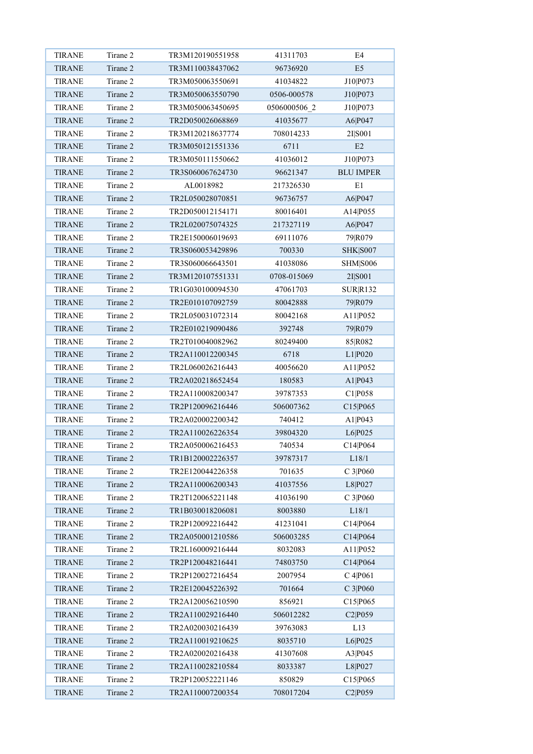| <b>TIRANE</b>                  | Tirane 2 | TR3M120190551958 | 41311703     | E4               |
|--------------------------------|----------|------------------|--------------|------------------|
| <b>TIRANE</b>                  | Tirane 2 | TR3M110038437062 | 96736920     | E <sub>5</sub>   |
| <b>TIRANE</b>                  | Tirane 2 | TR3M050063550691 | 41034822     | J10 P073         |
| <b>TIRANE</b>                  | Tirane 2 | TR3M050063550790 | 0506-000578  | J10 P073         |
| <b>TIRANE</b>                  | Tirane 2 | TR3M050063450695 | 0506000506 2 | J10 P073         |
| <b>TIRANE</b>                  | Tirane 2 | TR2D050026068869 | 41035677     | A6 P047          |
| <b>TIRANE</b>                  | Tirane 2 | TR3M120218637774 | 708014233    | 2I S001          |
| <b>TIRANE</b>                  | Tirane 2 | TR3M050121551336 | 6711         | E2               |
| <b>TIRANE</b>                  | Tirane 2 | TR3M050111550662 | 41036012     | J10 P073         |
| <b>TIRANE</b>                  | Tirane 2 | TR3S060067624730 | 96621347     | <b>BLU IMPER</b> |
| <b>TIRANE</b>                  | Tirane 2 | AL0018982        | 217326530    | E1               |
| <b>TIRANE</b>                  | Tirane 2 | TR2L050028070851 | 96736757     | A6 P047          |
| <b>TIRANE</b>                  | Tirane 2 | TR2D050012154171 | 80016401     | A14 P055         |
| <b>TIRANE</b>                  | Tirane 2 | TR2L020075074325 | 217327119    | A6 P047          |
| <b>TIRANE</b>                  | Tirane 2 | TR2E150006019693 | 69111076     | 79 R079          |
| <b>TIRANE</b>                  | Tirane 2 | TR3S060053429896 | 700330       | <b>SHK</b>  S007 |
| <b>TIRANE</b>                  | Tirane 2 | TR3S060066643501 | 41038086     | SHM S006         |
| <b>TIRANE</b>                  | Tirane 2 | TR3M120107551331 | 0708-015069  | 2I S001          |
| <b>TIRANE</b>                  | Tirane 2 | TR1G030100094530 | 47061703     | <b>SURR132</b>   |
| <b>TIRANE</b>                  | Tirane 2 | TR2E010107092759 | 80042888     | 79 R079          |
| <b>TIRANE</b>                  | Tirane 2 | TR2L050031072314 | 80042168     | A11 P052         |
| <b>TIRANE</b>                  | Tirane 2 | TR2E010219090486 | 392748       | 79 R079          |
| <b>TIRANE</b>                  | Tirane 2 | TR2T010040082962 | 80249400     | 85 R082          |
| <b>TIRANE</b>                  | Tirane 2 | TR2A110012200345 | 6718         | L1 P020          |
| <b>TIRANE</b>                  | Tirane 2 | TR2L060026216443 | 40056620     | A11 P052         |
| <b>TIRANE</b>                  | Tirane 2 | TR2A020218652454 | 180583       | A1 P043          |
|                                | Tirane 2 | TR2A110008200347 |              |                  |
| <b>TIRANE</b><br><b>TIRANE</b> | Tirane 2 |                  | 39787353     | C1 P058          |
|                                |          | TR2P120096216446 | 506007362    | C15 P065         |
| <b>TIRANE</b>                  | Tirane 2 | TR2A020002200342 | 740412       | A1 P043          |
| <b>TIRANE</b>                  | Tirane 2 | TR2A110026226354 | 39804320     | L6 P025          |
| <b>TIRANE</b>                  | Tirane 2 | TR2A050006216453 | 740534       | C14 P064         |
| <b>TIRANE</b>                  | Tirane 2 | TR1B120002226357 | 39787317     | L18/1            |
| <b>TIRANE</b>                  | Tirane 2 | TR2E120044226358 | 701635       | C 3 P060         |
| <b>TIRANE</b>                  | Tirane 2 | TR2A110006200343 | 41037556     | L8 P027          |
| <b>TIRANE</b>                  | Tirane 2 | TR2T120065221148 | 41036190     | C 3 P060         |
| <b>TIRANE</b>                  | Tirane 2 | TR1B030018206081 | 8003880      | L18/1            |
| <b>TIRANE</b>                  | Tirane 2 | TR2P120092216442 | 41231041     | C14 P064         |
| <b>TIRANE</b>                  | Tirane 2 | TR2A050001210586 | 506003285    | C14 P064         |
| <b>TIRANE</b>                  | Tirane 2 | TR2L160009216444 | 8032083      | A11 P052         |
| <b>TIRANE</b>                  | Tirane 2 | TR2P120048216441 | 74803750     | C14 P064         |
| <b>TIRANE</b>                  | Tirane 2 | TR2P120027216454 | 2007954      | C 4 P 0 6 1      |
| <b>TIRANE</b>                  | Tirane 2 | TR2E120045226392 | 701664       | C 3 P060         |
| <b>TIRANE</b>                  | Tirane 2 | TR2A120056210590 | 856921       | C15 P065         |
| <b>TIRANE</b>                  | Tirane 2 | TR2A110029216440 | 506012282    | C2 P059          |
| <b>TIRANE</b>                  | Tirane 2 | TR2A020030216439 | 39763083     | L13              |
| <b>TIRANE</b>                  | Tirane 2 | TR2A110019210625 | 8035710      | L6 P025          |
| <b>TIRANE</b>                  | Tirane 2 | TR2A020020216438 | 41307608     | A3 P045          |
| <b>TIRANE</b>                  | Tirane 2 | TR2A110028210584 | 8033387      | L8 P027          |
| <b>TIRANE</b>                  | Tirane 2 | TR2P120052221146 | 850829       | C15 P065         |
| <b>TIRANE</b>                  | Tirane 2 | TR2A110007200354 | 708017204    | C2 P059          |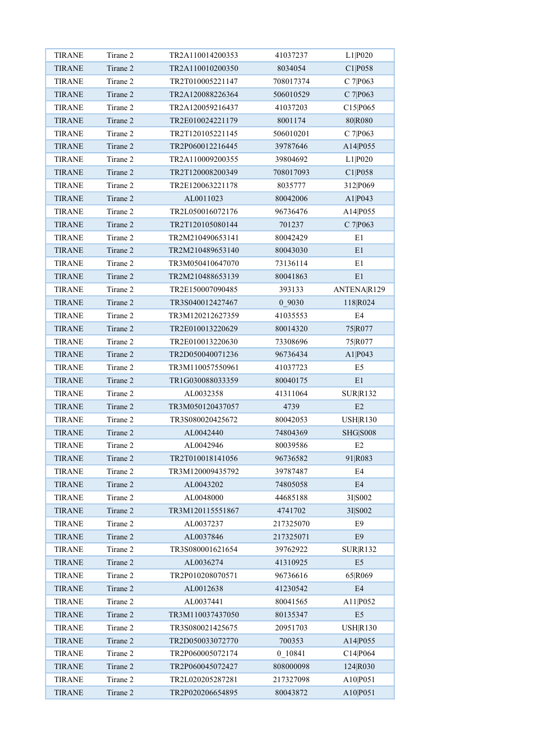| <b>TIRANE</b> | Tirane 2 | TR2A110014200353 | 41037237  | L1 P020                   |
|---------------|----------|------------------|-----------|---------------------------|
| <b>TIRANE</b> | Tirane 2 | TR2A110010200350 | 8034054   | C1 P058                   |
| <b>TIRANE</b> | Tirane 2 | TR2T010005221147 | 708017374 | C 7 P063                  |
| <b>TIRANE</b> | Tirane 2 | TR2A120088226364 | 506010529 | C 7 P063                  |
| <b>TIRANE</b> | Tirane 2 | TR2A120059216437 | 41037203  | C15 P065                  |
| <b>TIRANE</b> | Tirane 2 | TR2E010024221179 | 8001174   | 80 R080                   |
| <b>TIRANE</b> | Tirane 2 | TR2T120105221145 | 506010201 | C 7 P063                  |
| <b>TIRANE</b> | Tirane 2 | TR2P060012216445 | 39787646  | A14 P055                  |
| <b>TIRANE</b> | Tirane 2 | TR2A110009200355 | 39804692  | L1 P020                   |
| <b>TIRANE</b> | Tirane 2 | TR2T120008200349 | 708017093 | C1 P058                   |
| <b>TIRANE</b> | Tirane 2 | TR2E120063221178 | 8035777   | 312 P069                  |
| <b>TIRANE</b> | Tirane 2 | AL0011023        | 80042006  | A1 P043                   |
| <b>TIRANE</b> | Tirane 2 | TR2L050016072176 | 96736476  | A14 P055                  |
| <b>TIRANE</b> | Tirane 2 | TR2T120105080144 | 701237    | C 7 P063                  |
| <b>TIRANE</b> | Tirane 2 | TR2M210490653141 | 80042429  | E1                        |
| <b>TIRANE</b> | Tirane 2 | TR2M210489653140 | 80043030  | E1                        |
| <b>TIRANE</b> | Tirane 2 | TR3M050410647070 | 73136114  | E1                        |
| <b>TIRANE</b> | Tirane 2 | TR2M210488653139 | 80041863  | E1                        |
| <b>TIRANE</b> | Tirane 2 | TR2E150007090485 | 393133    | ANTENA R129               |
| <b>TIRANE</b> | Tirane 2 | TR3S040012427467 | 0 9030    | 118 R024                  |
| <b>TIRANE</b> | Tirane 2 | TR3M120212627359 | 41035553  | E4                        |
| <b>TIRANE</b> | Tirane 2 | TR2E010013220629 | 80014320  | 75 R077                   |
| <b>TIRANE</b> | Tirane 2 | TR2E010013220630 | 73308696  | 75 R077                   |
| <b>TIRANE</b> | Tirane 2 | TR2D050040071236 | 96736434  | A1 P043                   |
| <b>TIRANE</b> | Tirane 2 | TR3M110057550961 | 41037723  | E <sub>5</sub>            |
| <b>TIRANE</b> | Tirane 2 | TR1G030088033359 | 80040175  | E1                        |
| <b>TIRANE</b> | Tirane 2 | AL0032358        | 41311064  | <b>SURR132</b>            |
| <b>TIRANE</b> | Tirane 2 | TR3M050120437057 | 4739      | E2                        |
| <b>TIRANE</b> | Tirane 2 | TR3S080020425672 | 80042053  | <b>USHR130</b>            |
| <b>TIRANE</b> | Tirane 2 | AL0042440        | 74804369  | <b>SHG S008</b>           |
| <b>TIRANE</b> | Tirane 2 | AL0042946        | 80039586  | E2                        |
| <b>TIRANE</b> | Tirane 2 | TR2T010018141056 |           | 91 R083                   |
|               | Tirane 2 | TR3M120009435792 | 96736582  | E4                        |
| <b>TIRANE</b> | Tirane 2 |                  | 39787487  |                           |
| <b>TIRANE</b> |          | AL0043202        | 74805058  | E4                        |
| <b>TIRANE</b> | Tirane 2 | AL0048000        | 44685188  | 3I S002                   |
| TIRANE        | Tirane 2 | TR3M120115551867 | 4741702   | 3I S002                   |
| <b>TIRANE</b> | Tirane 2 | AL0037237        | 217325070 | E9                        |
| <b>TIRANE</b> | Tirane 2 | AL0037846        | 217325071 | $\rm E9$                  |
| <b>TIRANE</b> | Tirane 2 | TR3S080001621654 | 39762922  | SUR R132                  |
| <b>TIRANE</b> | Tirane 2 | AL0036274        | 41310925  | $\mathop{\hbox{\rm E}} 5$ |
| <b>TIRANE</b> | Tirane 2 | TR2P010208070571 | 96736616  | 65 R069                   |
| <b>TIRANE</b> | Tirane 2 | AL0012638        | 41230542  | E4                        |
| <b>TIRANE</b> | Tirane 2 | AL0037441        | 80041565  | A11 P052                  |
| <b>TIRANE</b> | Tirane 2 | TR3M110037437050 | 80135347  | E <sub>5</sub>            |
| <b>TIRANE</b> | Tirane 2 | TR3S080021425675 | 20951703  | USH R130                  |
| <b>TIRANE</b> | Tirane 2 | TR2D050033072770 | 700353    | A14 P055                  |
| <b>TIRANE</b> | Tirane 2 | TR2P060005072174 | 0 10841   | C14 P064                  |
| <b>TIRANE</b> | Tirane 2 | TR2P060045072427 | 808000098 | 124 R030                  |
| <b>TIRANE</b> | Tirane 2 | TR2L020205287281 | 217327098 | A10 P051                  |
| <b>TIRANE</b> | Tirane 2 | TR2P020206654895 | 80043872  | A10 P051                  |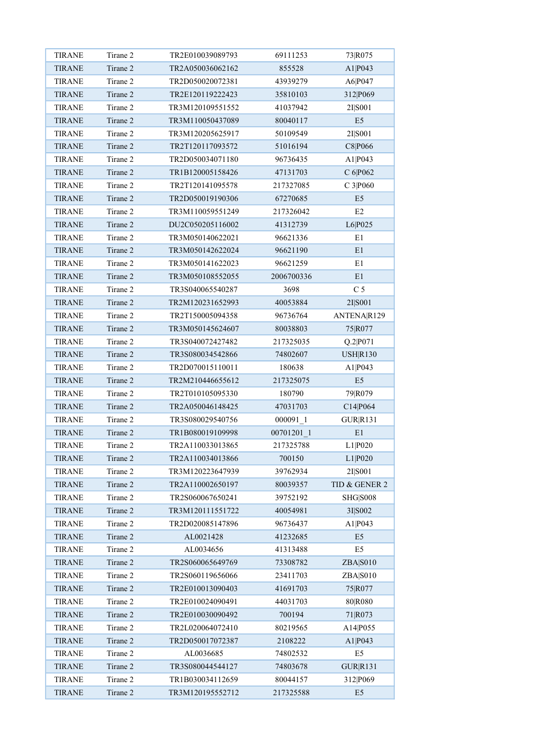| <b>TIRANE</b>                  | Tirane 2 | TR2E010039089793 | 69111253     | 73 R075                         |
|--------------------------------|----------|------------------|--------------|---------------------------------|
| <b>TIRANE</b>                  | Tirane 2 | TR2A050036062162 | 855528       | A1 P043                         |
| <b>TIRANE</b>                  | Tirane 2 | TR2D050020072381 | 43939279     | A6 P047                         |
| <b>TIRANE</b>                  | Tirane 2 | TR2E120119222423 | 35810103     | 312 P069                        |
| <b>TIRANE</b>                  | Tirane 2 | TR3M120109551552 | 41037942     | 2I S001                         |
| <b>TIRANE</b>                  | Tirane 2 | TR3M110050437089 | 80040117     | E <sub>5</sub>                  |
| <b>TIRANE</b>                  | Tirane 2 | TR3M120205625917 | 50109549     | 2I S001                         |
| <b>TIRANE</b>                  | Tirane 2 | TR2T120117093572 | 51016194     | C8 P066                         |
| <b>TIRANE</b>                  | Tirane 2 | TR2D050034071180 | 96736435     | A1 P043                         |
| <b>TIRANE</b>                  | Tirane 2 | TR1B120005158426 | 47131703     | C 6 P062                        |
| <b>TIRANE</b>                  | Tirane 2 | TR2T120141095578 | 217327085    | C 3 P060                        |
| <b>TIRANE</b>                  | Tirane 2 | TR2D050019190306 | 67270685     | E <sub>5</sub>                  |
| <b>TIRANE</b>                  | Tirane 2 | TR3M110059551249 | 217326042    | E2                              |
| <b>TIRANE</b>                  | Tirane 2 | DU2C050205116002 | 41312739     | L6 P025                         |
| <b>TIRANE</b>                  | Tirane 2 | TR3M050140622021 | 96621336     | E1                              |
| <b>TIRANE</b>                  | Tirane 2 | TR3M050142622024 | 96621190     | E1                              |
| <b>TIRANE</b>                  | Tirane 2 | TR3M050141622023 | 96621259     | E1                              |
| <b>TIRANE</b>                  | Tirane 2 | TR3M050108552055 | 2006700336   | E1                              |
| <b>TIRANE</b>                  | Tirane 2 | TR3S040065540287 | 3698         | C <sub>5</sub>                  |
| <b>TIRANE</b>                  | Tirane 2 | TR2M120231652993 | 40053884     | 2I S001                         |
| <b>TIRANE</b>                  | Tirane 2 | TR2T150005094358 | 96736764     | ANTENA R129                     |
| <b>TIRANE</b>                  | Tirane 2 | TR3M050145624607 | 80038803     | 75 R077                         |
| <b>TIRANE</b>                  | Tirane 2 | TR3S040072427482 | 217325035    | Q.2 P071                        |
| <b>TIRANE</b>                  | Tirane 2 | TR3S080034542866 | 74802607     | <b>USHR130</b>                  |
| <b>TIRANE</b>                  | Tirane 2 | TR2D070015110011 | 180638       | A1 P043                         |
| <b>TIRANE</b>                  | Tirane 2 | TR2M210446655612 | 217325075    | E <sub>5</sub>                  |
| <b>TIRANE</b>                  | Tirane 2 | TR2T010105095330 | 180790       |                                 |
| <b>TIRANE</b>                  | Tirane 2 | TR2A050046148425 | 47031703     | 79 R <sub>079</sub><br>C14 P064 |
| <b>TIRANE</b>                  | Tirane 2 | TR3S080029540756 |              |                                 |
|                                | Tirane 2 |                  | $000091 - 1$ | GUR R131<br>E1                  |
| <b>TIRANE</b><br><b>TIRANE</b> | Tirane 2 | TR1B080019109998 | 00701201 1   |                                 |
|                                | Tirane 2 | TR2A110033013865 | 217325788    | L1 P020                         |
| <b>TIRANE</b>                  |          | TR2A110034013866 | 700150       | L1 P020                         |
| <b>TIRANE</b>                  | Tirane 2 | TR3M120223647939 | 39762934     | 2I S001                         |
| <b>TIRANE</b>                  | Tirane 2 | TR2A110002650197 | 80039357     | TID & GENER 2                   |
| <b>TIRANE</b>                  | Tirane 2 | TR2S060067650241 | 39752192     | <b>SHG S008</b>                 |
| <b>TIRANE</b>                  | Tirane 2 | TR3M120111551722 | 40054981     | 3I S002                         |
| <b>TIRANE</b>                  | Tirane 2 | TR2D020085147896 | 96736437     | A1 P043                         |
| <b>TIRANE</b>                  | Tirane 2 | AL0021428        | 41232685     | E5                              |
| <b>TIRANE</b>                  | Tirane 2 | AL0034656        | 41313488     | E5                              |
| <b>TIRANE</b>                  | Tirane 2 | TR2S060065649769 | 73308782     | ZBA S010                        |
| <b>TIRANE</b>                  | Tirane 2 | TR2S060119656066 | 23411703     | ZBA S010                        |
| <b>TIRANE</b>                  | Tirane 2 | TR2E010013090403 | 41691703     | 75 R077                         |
| <b>TIRANE</b>                  | Tirane 2 | TR2E010024090491 | 44031703     | 80 R080                         |
| <b>TIRANE</b>                  | Tirane 2 | TR2E010030090492 | 700194       | 71 R073                         |
| <b>TIRANE</b>                  | Tirane 2 | TR2L020064072410 | 80219565     | A14 P055                        |
| <b>TIRANE</b>                  | Tirane 2 | TR2D050017072387 | 2108222      | A <sub>1</sub> $P$ 043          |
| <b>TIRANE</b>                  | Tirane 2 | AL0036685        | 74802532     | E5                              |
| <b>TIRANE</b>                  | Tirane 2 | TR3S080044544127 | 74803678     | GUR R131                        |
| <b>TIRANE</b>                  | Tirane 2 | TR1B030034112659 | 80044157     | 312 P069                        |
| <b>TIRANE</b>                  | Tirane 2 | TR3M120195552712 | 217325588    | E <sub>5</sub>                  |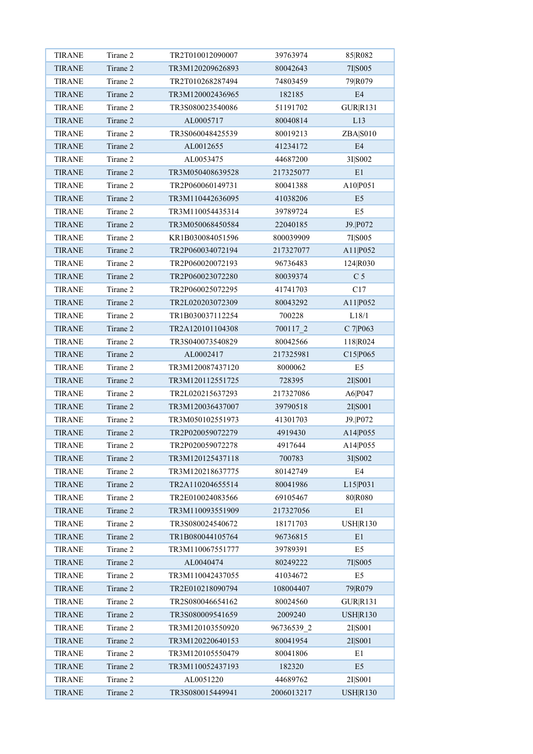| <b>TIRANE</b> | Tirane 2 | TR2T010012090007 | 39763974   | 85 R082         |
|---------------|----------|------------------|------------|-----------------|
| <b>TIRANE</b> | Tirane 2 | TR3M120209626893 | 80042643   | 7I S005         |
| <b>TIRANE</b> | Tirane 2 | TR2T010268287494 | 74803459   | 79 R079         |
| <b>TIRANE</b> | Tirane 2 | TR3M120002436965 | 182185     | E4              |
| <b>TIRANE</b> | Tirane 2 | TR3S080023540086 | 51191702   | <b>GUR R131</b> |
| <b>TIRANE</b> | Tirane 2 | AL0005717        | 80040814   | L13             |
| <b>TIRANE</b> | Tirane 2 | TR3S060048425539 | 80019213   | ZBA S010        |
| <b>TIRANE</b> | Tirane 2 | AL0012655        | 41234172   | E4              |
| <b>TIRANE</b> | Tirane 2 | AL0053475        | 44687200   | 3I S002         |
| <b>TIRANE</b> | Tirane 2 | TR3M050408639528 | 217325077  | E1              |
| <b>TIRANE</b> | Tirane 2 | TR2P060060149731 | 80041388   | A10 P051        |
| <b>TIRANE</b> | Tirane 2 | TR3M110442636095 | 41038206   | E <sub>5</sub>  |
| <b>TIRANE</b> | Tirane 2 | TR3M110054435314 | 39789724   | E <sub>5</sub>  |
| <b>TIRANE</b> | Tirane 2 | TR3M050068450584 | 22040185   | J9. P072        |
| <b>TIRANE</b> | Tirane 2 | KR1B030084051596 | 800039909  | 7I S005         |
| <b>TIRANE</b> | Tirane 2 | TR2P060034072194 | 217327077  | A11 P052        |
| <b>TIRANE</b> | Tirane 2 | TR2P060020072193 | 96736483   | 124 R030        |
| <b>TIRANE</b> | Tirane 2 | TR2P060023072280 | 80039374   | C <sub>5</sub>  |
| <b>TIRANE</b> | Tirane 2 | TR2P060025072295 | 41741703   | C17             |
| <b>TIRANE</b> | Tirane 2 | TR2L020203072309 | 80043292   | A11 P052        |
| <b>TIRANE</b> | Tirane 2 | TR1B030037112254 | 700228     | L18/1           |
| <b>TIRANE</b> | Tirane 2 | TR2A120101104308 | 700117 2   | C 7 P063        |
|               | Tirane 2 | TR3S040073540829 |            |                 |
| <b>TIRANE</b> | Tirane 2 |                  | 80042566   | 118 R024        |
| <b>TIRANE</b> |          | AL0002417        | 217325981  | C15 P065        |
| <b>TIRANE</b> | Tirane 2 | TR3M120087437120 | 8000062    | E <sub>5</sub>  |
| <b>TIRANE</b> | Tirane 2 | TR3M120112551725 | 728395     | 2I S001         |
| <b>TIRANE</b> | Tirane 2 | TR2L020215637293 | 217327086  | A6 P047         |
| <b>TIRANE</b> | Tirane 2 | TR3M120036437007 | 39790518   | 2I S001         |
| <b>TIRANE</b> | Tirane 2 | TR3M050102551973 | 41301703   | J9. P072        |
| <b>TIRANE</b> | Tirane 2 | TR2P020059072279 | 4919430    | A14 P055        |
| <b>TIRANE</b> | Tirane 2 | TR2P020059072278 | 4917644    | A14 P055        |
| <b>TIRANE</b> | Tirane 2 | TR3M120125437118 | 700783     | 3I S002         |
| <b>TIRANE</b> | Tirane 2 | TR3M120218637775 | 80142749   | E4              |
| <b>TIRANE</b> | Tirane 2 | TR2A110204655514 | 80041986   | L15 P031        |
| <b>TIRANE</b> | Tirane 2 | TR2E010024083566 | 69105467   | 80 R080         |
| TIRANE        | Tirane 2 | TR3M110093551909 | 217327056  | E1              |
| <b>TIRANE</b> | Tirane 2 | TR3S080024540672 | 18171703   | <b>USHR130</b>  |
| <b>TIRANE</b> | Tirane 2 | TR1B080044105764 | 96736815   | E1              |
| <b>TIRANE</b> | Tirane 2 | TR3M110067551777 | 39789391   | E5              |
| <b>TIRANE</b> | Tirane 2 | AL0040474        | 80249222   | 7I S005         |
| <b>TIRANE</b> | Tirane 2 | TR3M110042437055 | 41034672   | E5              |
| <b>TIRANE</b> | Tirane 2 | TR2E010218090794 | 108004407  | 79 R079         |
| <b>TIRANE</b> | Tirane 2 | TR2S080046654162 | 80024560   | GUR R131        |
| <b>TIRANE</b> | Tirane 2 | TR3S080009541659 | 2009240    | <b>USHR130</b>  |
| <b>TIRANE</b> | Tirane 2 | TR3M120103550920 | 96736539 2 | 2I S001         |
| <b>TIRANE</b> | Tirane 2 | TR3M120220640153 | 80041954   | 2I S001         |
| <b>TIRANE</b> | Tirane 2 | TR3M120105550479 | 80041806   | E1              |
| <b>TIRANE</b> | Tirane 2 | TR3M110052437193 | 182320     | E <sub>5</sub>  |
| <b>TIRANE</b> | Tirane 2 | AL0051220        | 44689762   | 2I S001         |
| <b>TIRANE</b> | Tirane 2 | TR3S080015449941 | 2006013217 | <b>USHR130</b>  |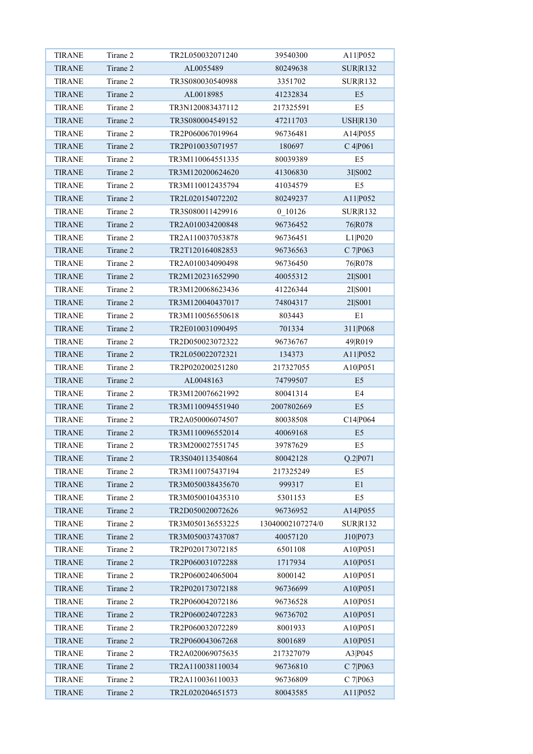| <b>TIRANE</b> | Tirane 2 | TR2L050032071240 | 39540300         | A11 P052             |
|---------------|----------|------------------|------------------|----------------------|
| <b>TIRANE</b> | Tirane 2 | AL0055489        | 80249638         | <b>SURR132</b>       |
| <b>TIRANE</b> | Tirane 2 | TR3S080030540988 | 3351702          | <b>SUR R132</b>      |
| <b>TIRANE</b> | Tirane 2 | AL0018985        | 41232834         | E <sub>5</sub>       |
| <b>TIRANE</b> | Tirane 2 | TR3N120083437112 | 217325591        | E <sub>5</sub>       |
| <b>TIRANE</b> | Tirane 2 | TR3S080004549152 | 47211703         | <b>USHR130</b>       |
| <b>TIRANE</b> | Tirane 2 | TR2P060067019964 | 96736481         | A14 P055             |
| <b>TIRANE</b> | Tirane 2 | TR2P010035071957 | 180697           | C 4 P 0 6 1          |
| <b>TIRANE</b> | Tirane 2 | TR3M110064551335 | 80039389         | E <sub>5</sub>       |
| <b>TIRANE</b> | Tirane 2 | TR3M120200624620 | 41306830         | 3I S002              |
| <b>TIRANE</b> | Tirane 2 | TR3M110012435794 | 41034579         | E <sub>5</sub>       |
| <b>TIRANE</b> | Tirane 2 | TR2L020154072202 | 80249237         | A11 P052             |
| <b>TIRANE</b> | Tirane 2 | TR3S080011429916 | 0 10126          | <b>SUR R132</b>      |
| <b>TIRANE</b> | Tirane 2 | TR2A010034200848 | 96736452         | 76 R078              |
| <b>TIRANE</b> | Tirane 2 | TR2A110037053878 | 96736451         | L1 P020              |
| <b>TIRANE</b> | Tirane 2 | TR2T120164082853 | 96736563         | C 7 P063             |
| <b>TIRANE</b> | Tirane 2 | TR2A010034090498 | 96736450         | 76 R078              |
| <b>TIRANE</b> | Tirane 2 | TR2M120231652990 | 40055312         | 2I S001              |
| <b>TIRANE</b> | Tirane 2 | TR3M120068623436 | 41226344         | 2I S001              |
| <b>TIRANE</b> | Tirane 2 | TR3M120040437017 | 74804317         | 2I S001              |
| <b>TIRANE</b> | Tirane 2 | TR3M110056550618 | 803443           | E1                   |
| <b>TIRANE</b> | Tirane 2 | TR2E010031090495 | 701334           | 311 P068             |
| <b>TIRANE</b> | Tirane 2 | TR2D050023072322 | 96736767         | 49 R <sub>0</sub> 19 |
| <b>TIRANE</b> | Tirane 2 | TR2L050022072321 | 134373           | A11 P052             |
| <b>TIRANE</b> | Tirane 2 | TR2P020200251280 | 217327055        | A10 P051             |
| <b>TIRANE</b> | Tirane 2 | AL0048163        | 74799507         | E <sub>5</sub>       |
| <b>TIRANE</b> | Tirane 2 | TR3M120076621992 | 80041314         | E4                   |
| <b>TIRANE</b> | Tirane 2 | TR3M110094551940 | 2007802669       | E <sub>5</sub>       |
| <b>TIRANE</b> | Tirane 2 | TR2A050006074507 | 80038508         | C14 P064             |
| <b>TIRANE</b> | Tirane 2 | TR3M110096552014 | 40069168         | E <sub>5</sub>       |
| <b>TIRANE</b> | Tirane 2 | TR3M200027551745 | 39787629         | E <sub>5</sub>       |
| <b>TIRANE</b> | Tirane 2 | TR3S040113540864 | 80042128         | Q.2 P071             |
| <b>TIRANE</b> | Tirane 2 | TR3M110075437194 | 217325249        | E <sub>5</sub>       |
| <b>TIRANE</b> | Tirane 2 | TR3M050038435670 | 999317           | E1                   |
| <b>TIRANE</b> | Tirane 2 | TR3M050010435310 | 5301153          | E <sub>5</sub>       |
| TIRANE        | Tirane 2 | TR2D050020072626 | 96736952         | A14 P055             |
| <b>TIRANE</b> | Tirane 2 | TR3M050136553225 | 13040002107274/0 | SUR R132             |
| <b>TIRANE</b> | Tirane 2 | TR3M050037437087 | 40057120         | J10 P073             |
| TIRANE        | Tirane 2 | TR2P020173072185 | 6501108          | A10 P051             |
| <b>TIRANE</b> | Tirane 2 | TR2P060031072288 | 1717934          | A10 P051             |
| <b>TIRANE</b> | Tirane 2 | TR2P060024065004 | 8000142          | A10 P051             |
| <b>TIRANE</b> | Tirane 2 | TR2P020173072188 | 96736699         | A10 P051             |
| TIRANE        | Tirane 2 | TR2P060042072186 | 96736528         | A10 P051             |
| <b>TIRANE</b> | Tirane 2 | TR2P060024072283 | 96736702         | A10 P051             |
| <b>TIRANE</b> | Tirane 2 | TR2P060032072289 | 8001933          | A10 P051             |
| <b>TIRANE</b> | Tirane 2 | TR2P060043067268 | 8001689          | A10 P051             |
| <b>TIRANE</b> | Tirane 2 | TR2A020069075635 | 217327079        | A3 P045              |
| <b>TIRANE</b> | Tirane 2 | TR2A110038110034 | 96736810         | C 7 P063             |
| <b>TIRANE</b> | Tirane 2 | TR2A110036110033 | 96736809         | C 7 P063             |
| <b>TIRANE</b> | Tirane 2 | TR2L020204651573 | 80043585         | A11 P052             |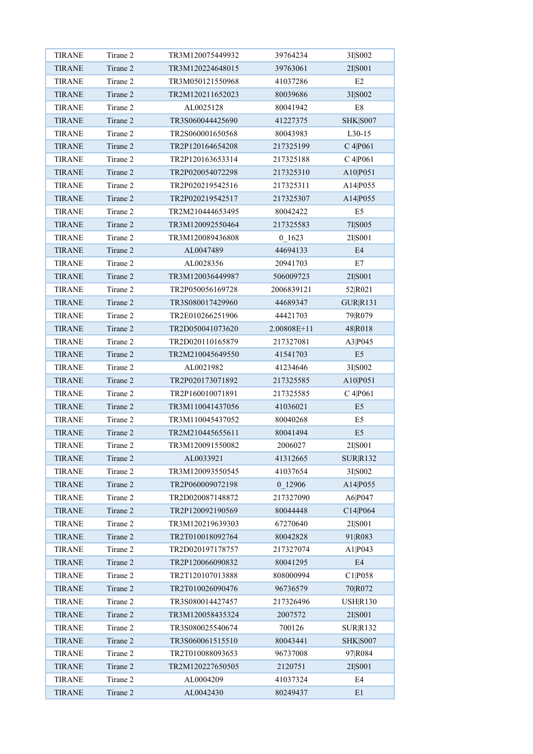| <b>TIRANE</b> | Tirane 2 | TR3M120075449932 | 39764234    | 3I S002             |
|---------------|----------|------------------|-------------|---------------------|
| <b>TIRANE</b> | Tirane 2 | TR3M120224648015 | 39763061    | 2I S001             |
| <b>TIRANE</b> | Tirane 2 | TR3M050121550968 | 41037286    | E2                  |
| <b>TIRANE</b> | Tirane 2 | TR2M120211652023 | 80039686    | 3I S002             |
| <b>TIRANE</b> | Tirane 2 | AL0025128        | 80041942    | E8                  |
| <b>TIRANE</b> | Tirane 2 | TR3S060044425690 | 41227375    | <b>SHK</b>   S007   |
| <b>TIRANE</b> | Tirane 2 | TR2S060001650568 | 80043983    | L30-15              |
| <b>TIRANE</b> | Tirane 2 | TR2P120164654208 | 217325199   | C 4 P 0 6 1         |
| <b>TIRANE</b> | Tirane 2 | TR2P120163653314 | 217325188   | C 4 P 0 6 1         |
| <b>TIRANE</b> | Tirane 2 | TR2P020054072298 | 217325310   | A10 P051            |
| <b>TIRANE</b> | Tirane 2 | TR2P020219542516 | 217325311   | A14 P055            |
| <b>TIRANE</b> | Tirane 2 | TR2P020219542517 | 217325307   | A14 P055            |
| <b>TIRANE</b> | Tirane 2 | TR2M210444653495 | 80042422    | E <sub>5</sub>      |
| <b>TIRANE</b> | Tirane 2 | TR3M120092550464 | 217325583   | 7I S005             |
| <b>TIRANE</b> | Tirane 2 | TR3M120089436808 | 0 1623      | 2I S001             |
| <b>TIRANE</b> | Tirane 2 | AL0047489        | 44694133    | E4                  |
| <b>TIRANE</b> | Tirane 2 | AL0028356        | 20941703    | E7                  |
| <b>TIRANE</b> | Tirane 2 | TR3M120036449987 | 506009723   | 2I S001             |
| <b>TIRANE</b> | Tirane 2 | TR2P050056169728 | 2006839121  | 52 R021             |
| <b>TIRANE</b> | Tirane 2 | TR3S080017429960 | 44689347    | GUR R131            |
| <b>TIRANE</b> | Tirane 2 | TR2E010266251906 | 44421703    | 79 R079             |
| <b>TIRANE</b> | Tirane 2 | TR2D050041073620 | 2.00808E+11 | 48 R018             |
| <b>TIRANE</b> | Tirane 2 | TR2D020110165879 | 217327081   | A3 P045             |
| <b>TIRANE</b> | Tirane 2 | TR2M210045649550 | 41541703    | E <sub>5</sub>      |
| <b>TIRANE</b> | Tirane 2 | AL0021982        | 41234646    | 3I S002             |
| <b>TIRANE</b> | Tirane 2 | TR2P020173071892 | 217325585   | A10 P051            |
| <b>TIRANE</b> | Tirane 2 | TR2P160010071891 | 217325585   | C 4 P 0 6 1         |
| <b>TIRANE</b> | Tirane 2 | TR3M110041437056 | 41036021    | E <sub>5</sub>      |
| <b>TIRANE</b> | Tirane 2 | TR3M110045437052 | 80040268    | E5                  |
| <b>TIRANE</b> | Tirane 2 | TR2M210445655611 | 80041494    | E <sub>5</sub>      |
| <b>TIRANE</b> | Tirane 2 | TR3M120091550082 | 2006027     | 2I S001             |
| <b>TIRANE</b> | Tirane 2 | AL0033921        | 41312665    | <b>SUR R132</b>     |
| <b>TIRANE</b> | Tirane 2 | TR3M120093550545 | 41037654    | 3I S002             |
| <b>TIRANE</b> | Tirane 2 | TR2P060009072198 | 0 12906     | A14 P055            |
| <b>TIRANE</b> | Tirane 2 | TR2D020087148872 | 217327090   | A6 P047             |
| TIRANE        | Tirane 2 | TR2P120092190569 | 80044448    | C14 P064            |
| <b>TIRANE</b> | Tirane 2 | TR3M120219639303 | 67270640    | 2I S001             |
| <b>TIRANE</b> | Tirane 2 | TR2T010018092764 | 80042828    | 91 R083             |
| <b>TIRANE</b> | Tirane 2 | TR2D020197178757 | 217327074   | A1 P043             |
| <b>TIRANE</b> | Tirane 2 | TR2P120066090832 | 80041295    | $\mathrm{E}4$       |
| <b>TIRANE</b> | Tirane 2 | TR2T120107013888 | 808000994   | C1 P058             |
| <b>TIRANE</b> | Tirane 2 | TR2T010026090476 | 96736579    | 70 RO72             |
| TIRANE        | Tirane 2 | TR3S080014427457 | 217326496   | USH R130            |
| <b>TIRANE</b> | Tirane 2 | TR3M120058435324 | 2007572     | 2I S001             |
| <b>TIRANE</b> | Tirane 2 | TR3S080025540674 | 700126      | SUR R132            |
| <b>TIRANE</b> | Tirane 2 | TR3S060061515510 | 80043441    | <b>SHK</b>   \$8007 |
| <b>TIRANE</b> | Tirane 2 | TR2T010088093653 | 96737008    | 97 R084             |
| <b>TIRANE</b> | Tirane 2 | TR2M120227650505 | 2120751     | 2I S001             |
| <b>TIRANE</b> | Tirane 2 | AL0004209        | 41037324    | E4                  |
| <b>TIRANE</b> | Tirane 2 | AL0042430        | 80249437    | E1                  |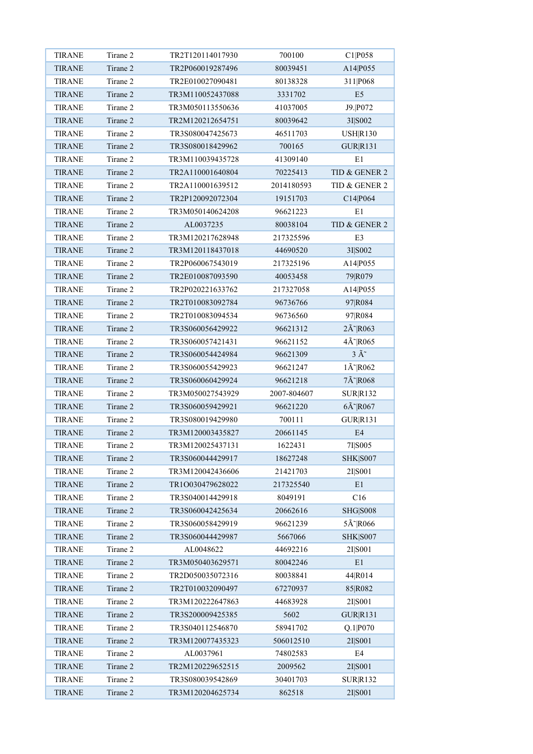| <b>TIRANE</b> | Tirane 2 | TR2T120114017930 | 700100      | C1 P058                            |
|---------------|----------|------------------|-------------|------------------------------------|
| <b>TIRANE</b> | Tirane 2 | TR2P060019287496 | 80039451    | A14 P055                           |
| <b>TIRANE</b> | Tirane 2 | TR2E010027090481 | 80138328    | 311 P068                           |
| <b>TIRANE</b> | Tirane 2 | TR3M110052437088 | 3331702     | E <sub>5</sub>                     |
| <b>TIRANE</b> | Tirane 2 | TR3M050113550636 | 41037005    | J9. P072                           |
| <b>TIRANE</b> | Tirane 2 | TR2M120212654751 | 80039642    | 3I S002                            |
| <b>TIRANE</b> | Tirane 2 | TR3S080047425673 | 46511703    | <b>USHR130</b>                     |
| <b>TIRANE</b> | Tirane 2 | TR3S080018429962 | 700165      | <b>GUR R131</b>                    |
| <b>TIRANE</b> | Tirane 2 | TR3M110039435728 | 41309140    | E1                                 |
| <b>TIRANE</b> | Tirane 2 | TR2A110001640804 | 70225413    | TID & GENER 2                      |
| <b>TIRANE</b> | Tirane 2 | TR2A110001639512 | 2014180593  | TID & GENER 2                      |
| <b>TIRANE</b> | Tirane 2 | TR2P120092072304 | 19151703    | C14 P064                           |
| <b>TIRANE</b> | Tirane 2 | TR3M050140624208 | 96621223    | E1                                 |
| <b>TIRANE</b> | Tirane 2 | AL0037235        | 80038104    | TID & GENER 2                      |
| <b>TIRANE</b> | Tirane 2 | TR3M120217628948 | 217325596   | E3                                 |
| <b>TIRANE</b> | Tirane 2 | TR3M120118437018 | 44690520    | 3I S002                            |
| <b>TIRANE</b> | Tirane 2 | TR2P060067543019 | 217325196   | A14 P055                           |
| <b>TIRANE</b> | Tirane 2 | TR2E010087093590 | 40053458    | 79 R079                            |
| <b>TIRANE</b> | Tirane 2 | TR2P020221633762 | 217327058   | A14 P055                           |
| <b>TIRANE</b> | Tirane 2 | TR2T010083092784 | 96736766    | 97 R084                            |
| <b>TIRANE</b> | Tirane 2 | TR2T010083094534 | 96736560    | 97 R084                            |
| <b>TIRANE</b> | Tirane 2 | TR3S060056429922 | 96621312    | $2\tilde{A}$ <sup>~</sup> $R$ 063  |
| <b>TIRANE</b> | Tirane 2 | TR3S060057421431 | 96621152    | $4\tilde{A}$ <sup>~</sup> $R065$   |
| <b>TIRANE</b> | Tirane 2 | TR3S060054424984 | 96621309    | $3 \tilde{A}^*$                    |
| <b>TIRANE</b> | Tirane 2 | TR3S060055429923 | 96621247    | $1\text{\AA}$ <sup>-</sup> $R$ 062 |
| <b>TIRANE</b> | Tirane 2 | TR3S060060429924 | 96621218    | 7Ã~ R068                           |
| <b>TIRANE</b> | Tirane 2 | TR3M050027543929 | 2007-804607 | <b>SUR R132</b>                    |
| <b>TIRANE</b> | Tirane 2 | TR3S060059429921 | 96621220    | $6\tilde{A}$ R067                  |
|               | Tirane 2 | TR3S080019429980 | 700111      | <b>GUR R131</b>                    |
| <b>TIRANE</b> |          |                  |             |                                    |
| <b>TIRANE</b> | Tirane 2 | TR3M120003435827 | 20661145    | E4                                 |
| <b>TIRANE</b> | Tirane 2 | TR3M120025437131 | 1622431     | 7I S005                            |
| <b>TIRANE</b> | Tirane 2 | TR3S060044429917 | 18627248    | <b>SHK</b>   S007                  |
| <b>TIRANE</b> | Tirane 2 | TR3M120042436606 | 21421703    | 2I S001                            |
| <b>TIRANE</b> | Tirane 2 | TR1O030479628022 | 217325540   | E1                                 |
| <b>TIRANE</b> | Tirane 2 | TR3S040014429918 | 8049191     | C16                                |
| <b>TIRANE</b> | Tirane 2 | TR3S060042425634 | 20662616    | <b>SHG S008</b>                    |
| <b>TIRANE</b> | Tirane 2 | TR3S060058429919 | 96621239    | $5\text{\AA}^{\sim}$ R066          |
| <b>TIRANE</b> | Tirane 2 | TR3S060044429987 | 5667066     | <b>SHK</b>   S007                  |
| <b>TIRANE</b> | Tirane 2 | AL0048622        | 44692216    | 2I S001                            |
| <b>TIRANE</b> | Tirane 2 | TR3M050403629571 | 80042246    | E1                                 |
| <b>TIRANE</b> | Tirane 2 | TR2D050035072316 | 80038841    | 44 R014                            |
| <b>TIRANE</b> | Tirane 2 | TR2T010032090497 | 67270937    | 85 R082                            |
| <b>TIRANE</b> | Tirane 2 | TR3M120222647863 | 44683928    | 2I S001                            |
| <b>TIRANE</b> | Tirane 2 | TR3S200009425385 | 5602        | GUR R131                           |
| <b>TIRANE</b> | Tirane 2 | TR3S040112546870 | 58941702    | Q.1 P070                           |
| <b>TIRANE</b> | Tirane 2 | TR3M120077435323 | 506012510   | 2I S001                            |
| <b>TIRANE</b> | Tirane 2 | AL0037961        | 74802583    | E4                                 |
| <b>TIRANE</b> | Tirane 2 | TR2M120229652515 | 2009562     | 2I S001                            |
| <b>TIRANE</b> | Tirane 2 | TR3S080039542869 | 30401703    | SUR R132                           |
| <b>TIRANE</b> | Tirane 2 | TR3M120204625734 | 862518      | 2I S001                            |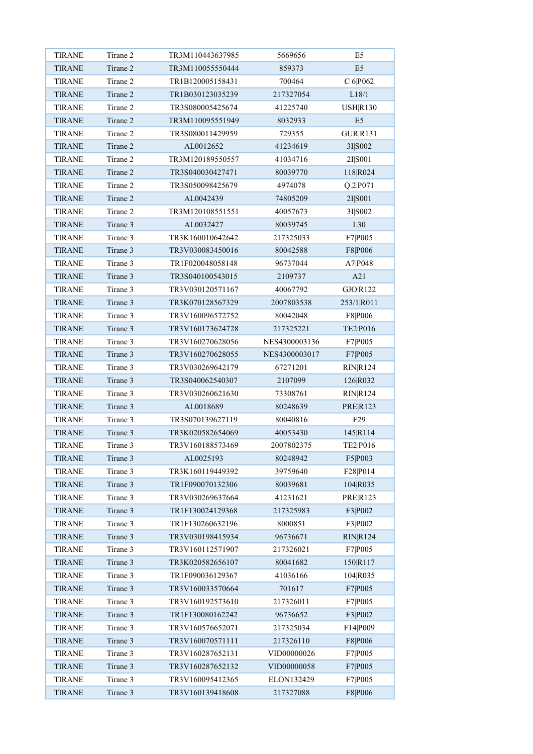| <b>TIRANE</b> | Tirane 2 | TR3M110443637985 | 5669656       | E <sub>5</sub>  |
|---------------|----------|------------------|---------------|-----------------|
| <b>TIRANE</b> | Tirane 2 | TR3M110055550444 | 859373        | E <sub>5</sub>  |
| <b>TIRANE</b> | Tirane 2 | TR1B120005158431 | 700464        | C 6 P062        |
| <b>TIRANE</b> | Tirane 2 | TR1B030123035239 | 217327054     | L18/1           |
| <b>TIRANE</b> | Tirane 2 | TR3S080005425674 | 41225740      | USH R130        |
| <b>TIRANE</b> | Tirane 2 | TR3M110095551949 | 8032933       | E5              |
| <b>TIRANE</b> | Tirane 2 | TR3S080011429959 | 729355        | <b>GUR R131</b> |
| <b>TIRANE</b> | Tirane 2 | AL0012652        | 41234619      | 3I S002         |
| <b>TIRANE</b> | Tirane 2 | TR3M120189550557 | 41034716      | 2I S001         |
| <b>TIRANE</b> | Tirane 2 | TR3S040030427471 | 80039770      | 118 R024        |
| <b>TIRANE</b> | Tirane 2 | TR3S050098425679 | 4974078       | Q.2 P071        |
| <b>TIRANE</b> | Tirane 2 | AL0042439        | 74805209      | 2I S001         |
| <b>TIRANE</b> | Tirane 2 | TR3M120108551551 | 40057673      | 3I S002         |
| <b>TIRANE</b> | Tirane 3 | AL0032427        | 80039745      | L30             |
| <b>TIRANE</b> | Tirane 3 | TR3K160010642642 | 217325033     | F7 P005         |
| <b>TIRANE</b> | Tirane 3 | TR3V030083450016 | 80042588      | F8 P006         |
| <b>TIRANE</b> | Tirane 3 | TR1F020048058148 | 96737044      | A7 P048         |
| <b>TIRANE</b> | Tirane 3 | TR3S040100543015 | 2109737       | A21             |
| <b>TIRANE</b> | Tirane 3 | TR3V030120571167 | 40067792      | GJO R122        |
| <b>TIRANE</b> | Tirane 3 | TR3K070128567329 | 2007803538    | 253/1 R011      |
| <b>TIRANE</b> | Tirane 3 | TR3V160096572752 | 80042048      | F8 P006         |
| <b>TIRANE</b> | Tirane 3 | TR3V160173624728 | 217325221     | TE2 P016        |
| <b>TIRANE</b> | Tirane 3 | TR3V160270628056 | NES4300003136 | F7 P005         |
| <b>TIRANE</b> | Tirane 3 | TR3V160270628055 | NES4300003017 | F7 P005         |
| <b>TIRANE</b> | Tirane 3 | TR3V030269642179 | 67271201      | <b>RIN R124</b> |
| <b>TIRANE</b> | Tirane 3 | TR3S040062540307 | 2107099       | 126 R032        |
| <b>TIRANE</b> | Tirane 3 | TR3V030260621630 | 73308761      | <b>RIN R124</b> |
| <b>TIRANE</b> | Tirane 3 | AL0018689        | 80248639      | <b>PRER123</b>  |
| <b>TIRANE</b> | Tirane 3 | TR3S070139627119 | 80040816      | F <sub>29</sub> |
| <b>TIRANE</b> | Tirane 3 | TR3K020582654069 | 40053430      | 145 R114        |
| <b>TIRANE</b> | Tirane 3 | TR3V160188573469 | 2007802375    | TE2 P016        |
| <b>TIRANE</b> | Tirane 3 | AL0025193        | 80248942      | F5 P003         |
| <b>TIRANE</b> | Tirane 3 | TR3K160119449392 | 39759640      | F28 P014        |
| <b>TIRANE</b> | Tirane 3 | TR1F090070132306 | 80039681      | 104 R035        |
| <b>TIRANE</b> | Tirane 3 | TR3V030269637664 | 41231621      | <b>PRE R123</b> |
| <b>TIRANE</b> | Tirane 3 | TR1F130024129368 | 217325983     | F3 P002         |
| <b>TIRANE</b> | Tirane 3 | TR1F130260632196 | 8000851       | F3 P002         |
| <b>TIRANE</b> | Tirane 3 | TR3V030198415934 | 96736671      | RIN R124        |
| <b>TIRANE</b> | Tirane 3 | TR3V160112571907 | 217326021     | F7 P005         |
| <b>TIRANE</b> | Tirane 3 | TR3K020582656107 | 80041682      | 150 R117        |
| <b>TIRANE</b> | Tirane 3 | TR1F090036129367 | 41036166      | 104 R035        |
| <b>TIRANE</b> | Tirane 3 | TR3V160033570664 | 701617        | F7 P005         |
| <b>TIRANE</b> | Tirane 3 | TR3V160192573610 | 217326011     | F7 P005         |
| <b>TIRANE</b> | Tirane 3 | TR1F130080162242 | 96736652      | F3 P002         |
| <b>TIRANE</b> | Tirane 3 | TR3V160576652071 | 217325034     | F14 P009        |
| <b>TIRANE</b> | Tirane 3 | TR3V160070571111 | 217326110     | F8 P006         |
| <b>TIRANE</b> | Tirane 3 | TR3V160287652131 | VID00000026   | F7 P005         |
| <b>TIRANE</b> | Tirane 3 | TR3V160287652132 | VID00000058   | F7 P005         |
| <b>TIRANE</b> | Tirane 3 | TR3V160095412365 | ELON132429    | F7 P005         |
| <b>TIRANE</b> | Tirane 3 | TR3V160139418608 | 217327088     | F8 P006         |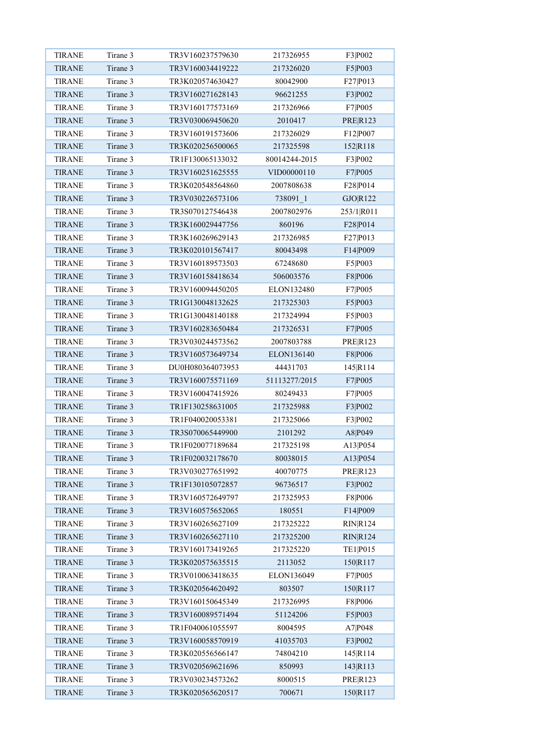| <b>TIRANE</b> | Tirane 3 | TR3V160237579630 | 217326955     | F3 P002         |
|---------------|----------|------------------|---------------|-----------------|
| <b>TIRANE</b> | Tirane 3 | TR3V160034419222 | 217326020     | F5 P003         |
| <b>TIRANE</b> | Tirane 3 | TR3K020574630427 | 80042900      | F27 P013        |
| <b>TIRANE</b> | Tirane 3 | TR3V160271628143 | 96621255      | F3 P002         |
| <b>TIRANE</b> | Tirane 3 | TR3V160177573169 | 217326966     | F7 P005         |
| <b>TIRANE</b> | Tirane 3 | TR3V030069450620 | 2010417       | <b>PRE R123</b> |
| <b>TIRANE</b> | Tirane 3 | TR3V160191573606 | 217326029     | F12 P007        |
| <b>TIRANE</b> | Tirane 3 | TR3K020256500065 | 217325598     | 152 R118        |
| <b>TIRANE</b> | Tirane 3 | TR1F130065133032 | 80014244-2015 | F3 P002         |
| <b>TIRANE</b> | Tirane 3 | TR3V160251625555 | VID00000110   | F7 P005         |
| <b>TIRANE</b> | Tirane 3 | TR3K020548564860 | 2007808638    | F28 P014        |
| <b>TIRANE</b> | Tirane 3 | TR3V030226573106 | 738091 1      | GJO R122        |
| <b>TIRANE</b> | Tirane 3 | TR3S070127546438 | 2007802976    | 253/1 R011      |
| <b>TIRANE</b> | Tirane 3 | TR3K160029447756 | 860196        | F28 P014        |
| <b>TIRANE</b> | Tirane 3 | TR3K160269629143 | 217326985     | F27 P013        |
| <b>TIRANE</b> | Tirane 3 | TR3K020101567417 | 80043498      | F14 P009        |
| <b>TIRANE</b> | Tirane 3 | TR3V160189573503 | 67248680      | F5 P003         |
| <b>TIRANE</b> | Tirane 3 | TR3V160158418634 | 506003576     | F8 P006         |
| <b>TIRANE</b> | Tirane 3 | TR3V160094450205 | ELON132480    | F7 P005         |
| <b>TIRANE</b> | Tirane 3 | TR1G130048132625 | 217325303     | F5 P003         |
| <b>TIRANE</b> | Tirane 3 | TR1G130048140188 | 217324994     | F5 P003         |
| <b>TIRANE</b> | Tirane 3 | TR3V160283650484 | 217326531     | F7 P005         |
| <b>TIRANE</b> | Tirane 3 | TR3V030244573562 | 2007803788    | <b>PRE R123</b> |
| <b>TIRANE</b> | Tirane 3 | TR3V160573649734 | ELON136140    | F8 P006         |
| <b>TIRANE</b> | Tirane 3 | DU0H080364073953 | 44431703      | 145 R114        |
| <b>TIRANE</b> | Tirane 3 | TR3V160075571169 | 51113277/2015 | F7 P005         |
| <b>TIRANE</b> | Tirane 3 | TR3V160047415926 | 80249433      | F7 P005         |
| <b>TIRANE</b> | Tirane 3 | TR1F130258631005 | 217325988     | F3 P002         |
| <b>TIRANE</b> | Tirane 3 | TR1F040020053381 | 217325066     | F3 P002         |
| <b>TIRANE</b> | Tirane 3 | TR3S070065449900 | 2101292       | A8 P049         |
| <b>TIRANE</b> | Tirane 3 | TR1F020077189684 | 217325198     | A13 P054        |
| <b>TIRANE</b> | Tirane 3 | TR1F020032178670 | 80038015      | A13 P054        |
| <b>TIRANE</b> | Tirane 3 | TR3V030277651992 | 40070775      | <b>PRE R123</b> |
| TIRANE        | Tirane 3 | TR1F130105072857 | 96736517      | F3 P002         |
| <b>TIRANE</b> | Tirane 3 | TR3V160572649797 | 217325953     | F8 P006         |
| <b>TIRANE</b> | Tirane 3 | TR3V160575652065 | 180551        | F14 P009        |
| <b>TIRANE</b> | Tirane 3 | TR3V160265627109 | 217325222     | RIN R124        |
| <b>TIRANE</b> | Tirane 3 | TR3V160265627110 | 217325200     | <b>RIN R124</b> |
| <b>TIRANE</b> | Tirane 3 | TR3V160173419265 | 217325220     | TE1 P015        |
| <b>TIRANE</b> | Tirane 3 | TR3K020575635515 | 2113052       | 150 R117        |
| <b>TIRANE</b> | Tirane 3 | TR3V010063418635 | ELON136049    | F7 P005         |
| <b>TIRANE</b> | Tirane 3 | TR3K020564620492 | 803507        | 150 R117        |
| <b>TIRANE</b> | Tirane 3 | TR3V160150645349 | 217326995     | F8 P006         |
| <b>TIRANE</b> | Tirane 3 | TR3V160089571494 | 51124206      | F5 P003         |
| <b>TIRANE</b> | Tirane 3 | TR1F040061055597 | 8004595       | A7 P048         |
| <b>TIRANE</b> | Tirane 3 | TR3V160058570919 | 41035703      | F3 P002         |
| <b>TIRANE</b> | Tirane 3 | TR3K020556566147 | 74804210      | 145 R114        |
| TIRANE        | Tirane 3 | TR3V020569621696 | 850993        | 143 R113        |
| <b>TIRANE</b> | Tirane 3 | TR3V030234573262 | 8000515       | PRE R123        |
| <b>TIRANE</b> | Tirane 3 | TR3K020565620517 | 700671        | 150 R117        |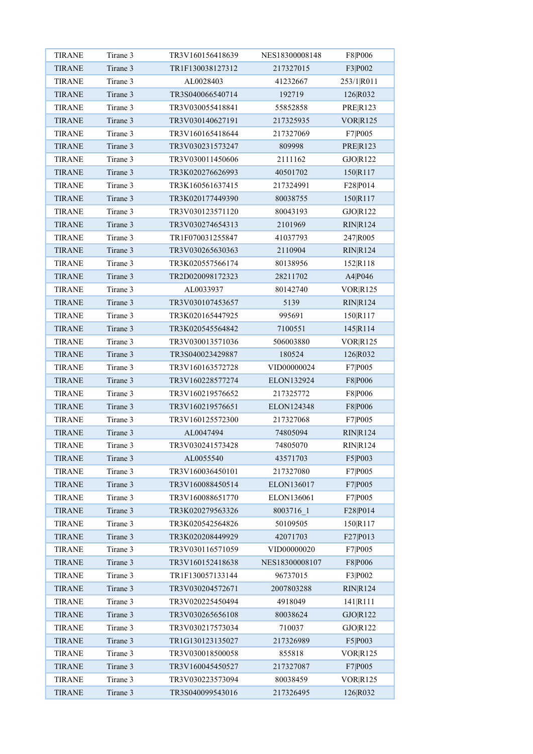| <b>TIRANE</b> | Tirane 3 | TR3V160156418639 | NES18300008148 | F8 P006         |
|---------------|----------|------------------|----------------|-----------------|
| <b>TIRANE</b> | Tirane 3 | TR1F130038127312 | 217327015      | F3 P002         |
| <b>TIRANE</b> | Tirane 3 | AL0028403        | 41232667       | 253/1 R011      |
| <b>TIRANE</b> | Tirane 3 | TR3S040066540714 | 192719         | 126 R032        |
| <b>TIRANE</b> | Tirane 3 | TR3V030055418841 | 55852858       | <b>PRE R123</b> |
| <b>TIRANE</b> | Tirane 3 | TR3V030140627191 | 217325935      | <b>VORR125</b>  |
| <b>TIRANE</b> | Tirane 3 | TR3V160165418644 | 217327069      | F7 P005         |
| <b>TIRANE</b> | Tirane 3 | TR3V030231573247 | 809998         | <b>PRER123</b>  |
| <b>TIRANE</b> | Tirane 3 | TR3V030011450606 | 2111162        | GJO R122        |
| <b>TIRANE</b> | Tirane 3 | TR3K020276626993 | 40501702       | 150 R117        |
| <b>TIRANE</b> | Tirane 3 | TR3K160561637415 | 217324991      | F28 P014        |
| <b>TIRANE</b> | Tirane 3 | TR3K020177449390 | 80038755       | 150 R117        |
| <b>TIRANE</b> | Tirane 3 | TR3V030123571120 | 80043193       | GJO R122        |
| <b>TIRANE</b> | Tirane 3 | TR3V030274654313 | 2101969        | <b>RIN R124</b> |
| <b>TIRANE</b> | Tirane 3 | TR1F070031255847 | 41037793       | 247 R005        |
| <b>TIRANE</b> | Tirane 3 | TR3V030265630363 | 2110904        | <b>RIN R124</b> |
| <b>TIRANE</b> | Tirane 3 | TR3K020557566174 | 80138956       | 152 R118        |
| <b>TIRANE</b> | Tirane 3 | TR2D020098172323 | 28211702       | A4 P046         |
| <b>TIRANE</b> | Tirane 3 | AL0033937        | 80142740       | <b>VORR125</b>  |
| <b>TIRANE</b> | Tirane 3 | TR3V030107453657 | 5139           | RIN R124        |
| <b>TIRANE</b> | Tirane 3 | TR3K020165447925 | 995691         | 150 R117        |
| <b>TIRANE</b> | Tirane 3 | TR3K020545564842 | 7100551        | 145 R114        |
| <b>TIRANE</b> | Tirane 3 | TR3V030013571036 | 506003880      | VOR R125        |
| <b>TIRANE</b> | Tirane 3 | TR3S040023429887 | 180524         | 126 R032        |
| <b>TIRANE</b> | Tirane 3 | TR3V160163572728 | VID00000024    | F7 P005         |
| <b>TIRANE</b> | Tirane 3 | TR3V160228577274 | ELON132924     | F8 P006         |
| <b>TIRANE</b> | Tirane 3 | TR3V160219576652 | 217325772      | F8 P006         |
| <b>TIRANE</b> | Tirane 3 | TR3V160219576651 | ELON124348     | F8 P006         |
| TIRANE        | Tirane 3 | TR3V160125572300 | 217327068      | F7 P005         |
| <b>TIRANE</b> | Tirane 3 | AL0047494        | 74805094       | <b>RIN R124</b> |
| <b>TIRANE</b> | Tirane 3 | TR3V030241573428 | 74805070       | <b>RIN R124</b> |
| <b>TIRANE</b> | Tirane 3 | AL0055540        | 43571703       | F5 P003         |
| <b>TIRANE</b> | Tirane 3 | TR3V160036450101 | 217327080      | F7 P005         |
| TIRANE        | Tirane 3 | TR3V160088450514 | ELON136017     | F7 P005         |
| <b>TIRANE</b> | Tirane 3 | TR3V160088651770 | ELON136061     | F7 P005         |
| <b>TIRANE</b> | Tirane 3 | TR3K020279563326 | 8003716 1      | F28 P014        |
| <b>TIRANE</b> | Tirane 3 | TR3K020542564826 | 50109505       | 150 R117        |
| <b>TIRANE</b> | Tirane 3 | TR3K020208449929 | 42071703       | F27 P013        |
| <b>TIRANE</b> | Tirane 3 | TR3V030116571059 | VID00000020    | F7 P005         |
| <b>TIRANE</b> | Tirane 3 | TR3V160152418638 | NES18300008107 | F8 P006         |
| <b>TIRANE</b> | Tirane 3 | TR1F130057133144 | 96737015       | F3 P002         |
| <b>TIRANE</b> | Tirane 3 | TR3V030204572671 | 2007803288     | RIN R124        |
| <b>TIRANE</b> | Tirane 3 | TR3V020225450494 | 4918049        | 141 R111        |
| <b>TIRANE</b> | Tirane 3 | TR3V030265656108 | 80038624       | GJO R122        |
| <b>TIRANE</b> | Tirane 3 | TR3V030217573034 | 710037         | GJO R122        |
| <b>TIRANE</b> | Tirane 3 | TR1G130123135027 | 217326989      | F5 P003         |
| <b>TIRANE</b> | Tirane 3 | TR3V030018500058 | 855818         | <b>VOR R125</b> |
| <b>TIRANE</b> | Tirane 3 | TR3V160045450527 | 217327087      | F7 P005         |
| <b>TIRANE</b> | Tirane 3 | TR3V030223573094 | 80038459       | VOR R125        |
| <b>TIRANE</b> | Tirane 3 | TR3S040099543016 | 217326495      | 126 R032        |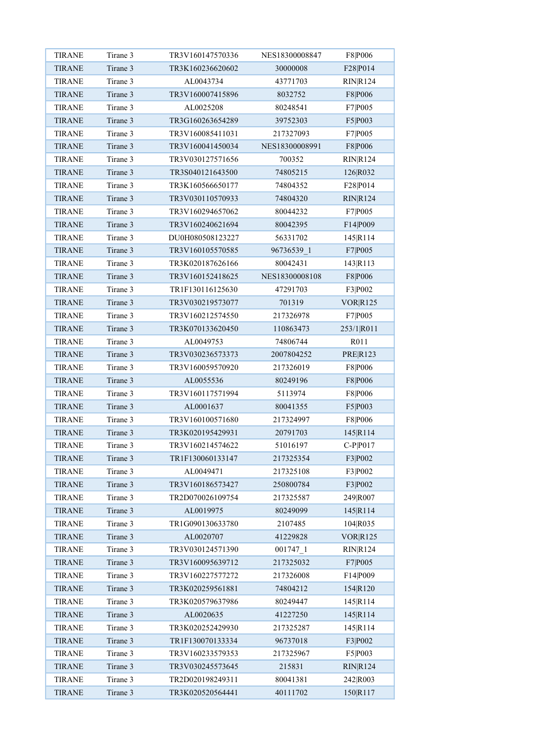| <b>TIRANE</b> | Tirane 3 | TR3V160147570336 | NES18300008847 | F8 P006         |
|---------------|----------|------------------|----------------|-----------------|
| <b>TIRANE</b> | Tirane 3 | TR3K160236620602 | 30000008       | F28 P014        |
| <b>TIRANE</b> | Tirane 3 | AL0043734        | 43771703       | <b>RIN R124</b> |
| <b>TIRANE</b> | Tirane 3 | TR3V160007415896 | 8032752        | F8 P006         |
| <b>TIRANE</b> | Tirane 3 | AL0025208        | 80248541       | F7 P005         |
| <b>TIRANE</b> | Tirane 3 | TR3G160263654289 | 39752303       | F5 P003         |
| <b>TIRANE</b> | Tirane 3 | TR3V160085411031 | 217327093      | F7 P005         |
| <b>TIRANE</b> | Tirane 3 | TR3V160041450034 | NES18300008991 | F8 P006         |
| <b>TIRANE</b> | Tirane 3 | TR3V030127571656 | 700352         | <b>RIN R124</b> |
| <b>TIRANE</b> | Tirane 3 | TR3S040121643500 | 74805215       | 126 R032        |
| <b>TIRANE</b> | Tirane 3 | TR3K160566650177 | 74804352       | F28 P014        |
| <b>TIRANE</b> | Tirane 3 | TR3V030110570933 | 74804320       | RIN R124        |
| <b>TIRANE</b> | Tirane 3 | TR3V160294657062 | 80044232       | F7 P005         |
| <b>TIRANE</b> | Tirane 3 | TR3V160240621694 | 80042395       | F14 P009        |
| <b>TIRANE</b> | Tirane 3 | DU0H080508123227 | 56331702       | 145 R114        |
| <b>TIRANE</b> | Tirane 3 | TR3V160105570585 | 96736539 1     | F7 P005         |
| <b>TIRANE</b> | Tirane 3 | TR3K020187626166 | 80042431       | 143 R113        |
| <b>TIRANE</b> | Tirane 3 | TR3V160152418625 | NES18300008108 | F8 P006         |
| <b>TIRANE</b> | Tirane 3 | TR1F130116125630 | 47291703       | F3 P002         |
| <b>TIRANE</b> | Tirane 3 | TR3V030219573077 | 701319         | <b>VORR125</b>  |
| <b>TIRANE</b> | Tirane 3 | TR3V160212574550 | 217326978      | F7 P005         |
| <b>TIRANE</b> | Tirane 3 | TR3K070133620450 | 110863473      | 253/1 R011      |
| <b>TIRANE</b> | Tirane 3 | AL0049753        | 74806744       | R011            |
| <b>TIRANE</b> | Tirane 3 | TR3V030236573373 | 2007804252     | <b>PRER123</b>  |
| <b>TIRANE</b> | Tirane 3 | TR3V160059570920 | 217326019      | F8 P006         |
| <b>TIRANE</b> | Tirane 3 | AL0055536        | 80249196       | F8 P006         |
| <b>TIRANE</b> | Tirane 3 | TR3V160117571994 | 5113974        | F8 P006         |
| <b>TIRANE</b> | Tirane 3 | AL0001637        | 80041355       | F5 P003         |
| <b>TIRANE</b> | Tirane 3 | TR3V160100571680 | 217324997      | F8 P006         |
| <b>TIRANE</b> | Tirane 3 | TR3K020195429931 | 20791703       | 145 R114        |
| <b>TIRANE</b> | Tirane 3 | TR3V160214574622 | 51016197       | $C-P P017$      |
| <b>TIRANE</b> | Tirane 3 | TR1F130060133147 | 217325354      | F3 P002         |
| <b>TIRANE</b> | Tirane 3 | AL0049471        | 217325108      | F3 P002         |
| <b>TIRANE</b> | Tirane 3 | TR3V160186573427 | 250800784      | F3 P002         |
| <b>TIRANE</b> | Tirane 3 | TR2D070026109754 | 217325587      | 249 R007        |
| <b>TIRANE</b> | Tirane 3 | AL0019975        | 80249099       | 145 R114        |
| <b>TIRANE</b> | Tirane 3 | TR1G090130633780 | 2107485        | 104 R035        |
| <b>TIRANE</b> | Tirane 3 | AL0020707        | 41229828       | <b>VORR125</b>  |
| <b>TIRANE</b> | Tirane 3 | TR3V030124571390 | 001747_1       | RIN R124        |
| <b>TIRANE</b> | Tirane 3 | TR3V160095639712 | 217325032      | F7 P005         |
| <b>TIRANE</b> | Tirane 3 | TR3V160227577272 | 217326008      | F14 P009        |
| <b>TIRANE</b> | Tirane 3 | TR3K020259561881 | 74804212       | 154 R 120       |
| TIRANE        | Tirane 3 | TR3K020579637986 | 80249447       | 145 R114        |
| <b>TIRANE</b> | Tirane 3 | AL0020635        | 41227250       | 145 R114        |
| <b>TIRANE</b> | Tirane 3 | TR3K020252429930 | 217325287      | 145 R 114       |
| <b>TIRANE</b> | Tirane 3 | TR1F130070133334 | 96737018       | F3 P002         |
| <b>TIRANE</b> | Tirane 3 | TR3V160233579353 | 217325967      | F5 P003         |
| <b>TIRANE</b> | Tirane 3 | TR3V030245573645 | 215831         | RIN R124        |
| <b>TIRANE</b> | Tirane 3 | TR2D020198249311 | 80041381       | 242 R003        |
| <b>TIRANE</b> | Tirane 3 | TR3K020520564441 | 40111702       | 150 R117        |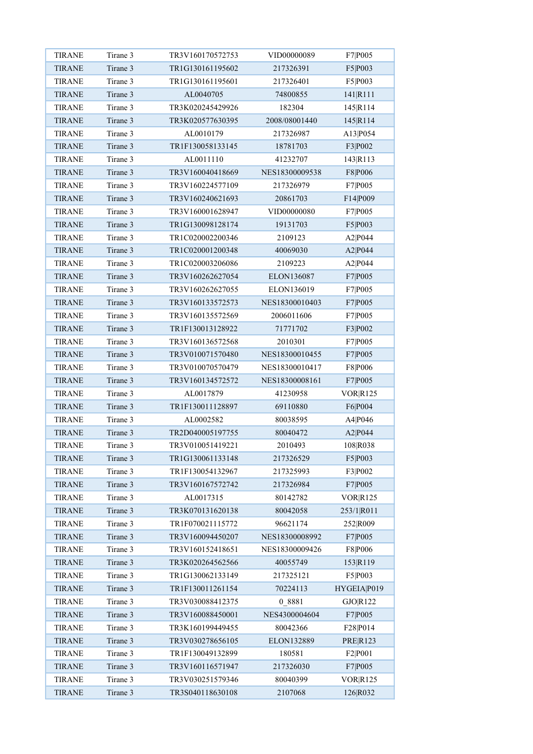| <b>TIRANE</b> | Tirane 3 | TR3V160170572753 | VID00000089    | F7 P005        |
|---------------|----------|------------------|----------------|----------------|
| <b>TIRANE</b> | Tirane 3 | TR1G130161195602 | 217326391      | F5 P003        |
| <b>TIRANE</b> | Tirane 3 | TR1G130161195601 | 217326401      | F5 P003        |
| <b>TIRANE</b> | Tirane 3 | AL0040705        | 74800855       | 141 R111       |
| <b>TIRANE</b> | Tirane 3 | TR3K020245429926 | 182304         | 145 R114       |
| <b>TIRANE</b> | Tirane 3 | TR3K020577630395 | 2008/08001440  | 145 R114       |
| <b>TIRANE</b> | Tirane 3 | AL0010179        | 217326987      | A13 P054       |
| <b>TIRANE</b> | Tirane 3 | TR1F130058133145 | 18781703       | F3 P002        |
| <b>TIRANE</b> | Tirane 3 | AL0011110        | 41232707       | 143 R113       |
| <b>TIRANE</b> | Tirane 3 | TR3V160040418669 | NES18300009538 | F8 P006        |
| <b>TIRANE</b> | Tirane 3 | TR3V160224577109 | 217326979      | F7 P005        |
| <b>TIRANE</b> | Tirane 3 | TR3V160240621693 | 20861703       | F14 P009       |
| <b>TIRANE</b> | Tirane 3 | TR3V160001628947 | VID00000080    | F7 P005        |
| <b>TIRANE</b> | Tirane 3 | TR1G130098128174 | 19131703       | F5 P003        |
| <b>TIRANE</b> | Tirane 3 | TR1C020002200346 | 2109123        | A2 P044        |
| <b>TIRANE</b> | Tirane 3 | TR1C020001200348 | 40069030       | A2 P044        |
| <b>TIRANE</b> | Tirane 3 | TR1C020003206086 | 2109223        | A2 P044        |
| <b>TIRANE</b> | Tirane 3 | TR3V160262627054 | ELON136087     | F7 P005        |
| <b>TIRANE</b> | Tirane 3 | TR3V160262627055 | ELON136019     | F7 P005        |
| <b>TIRANE</b> | Tirane 3 | TR3V160133572573 | NES18300010403 | F7 P005        |
| <b>TIRANE</b> | Tirane 3 | TR3V160135572569 | 2006011606     | F7 P005        |
| <b>TIRANE</b> | Tirane 3 | TR1F130013128922 | 71771702       | F3 P002        |
| <b>TIRANE</b> | Tirane 3 | TR3V160136572568 | 2010301        | F7 P005        |
| <b>TIRANE</b> | Tirane 3 | TR3V010071570480 | NES18300010455 | F7 P005        |
| <b>TIRANE</b> | Tirane 3 | TR3V010070570479 | NES18300010417 | F8 P006        |
| <b>TIRANE</b> | Tirane 3 | TR3V160134572572 | NES18300008161 | F7 P005        |
| <b>TIRANE</b> | Tirane 3 | AL0017879        | 41230958       | VOR R125       |
| <b>TIRANE</b> | Tirane 3 | TR1F130011128897 | 69110880       | F6 P004        |
| <b>TIRANE</b> | Tirane 3 | AL0002582        | 80038595       | A4 P046        |
| <b>TIRANE</b> | Tirane 3 | TR2D040005197755 | 80040472       | A2 P044        |
| <b>TIRANE</b> | Tirane 3 | TR3V010051419221 | 2010493        | 108 R038       |
| <b>TIRANE</b> | Tirane 3 | TR1G130061133148 | 217326529      | F5 P003        |
| <b>TIRANE</b> | Tirane 3 | TR1F130054132967 | 217325993      | F3 P002        |
| <b>TIRANE</b> | Tirane 3 | TR3V160167572742 | 217326984      | F7 P005        |
| <b>TIRANE</b> | Tirane 3 | AL0017315        | 80142782       | VOR R125       |
| <b>TIRANE</b> | Tirane 3 | TR3K070131620138 | 80042058       | 253/1 R011     |
| <b>TIRANE</b> | Tirane 3 | TR1F070021115772 | 96621174       | 252 R009       |
| <b>TIRANE</b> | Tirane 3 | TR3V160094450207 | NES18300008992 | F7 P005        |
| <b>TIRANE</b> | Tirane 3 | TR3V160152418651 | NES18300009426 | F8 P006        |
| <b>TIRANE</b> | Tirane 3 | TR3K020264562566 | 40055749       | 153 R119       |
| <b>TIRANE</b> | Tirane 3 | TR1G130062133149 | 217325121      | F5 P003        |
| <b>TIRANE</b> | Tirane 3 | TR1F130011261154 | 70224113       | HYGEIA P019    |
| TIRANE        | Tirane 3 | TR3V030088412375 | 0 8881         | GJO R122       |
| <b>TIRANE</b> | Tirane 3 | TR3V160088450001 | NES4300004604  | F7 P005        |
| <b>TIRANE</b> | Tirane 3 | TR3K160199449455 | 80042366       | F28 P014       |
| <b>TIRANE</b> | Tirane 3 | TR3V030278656105 | ELON132889     | <b>PRER123</b> |
| <b>TIRANE</b> | Tirane 3 | TR1F130049132899 | 180581         | F2 P001        |
| <b>TIRANE</b> | Tirane 3 | TR3V160116571947 | 217326030      | F7 P005        |
| <b>TIRANE</b> | Tirane 3 | TR3V030251579346 | 80040399       | VOR R125       |
| <b>TIRANE</b> | Tirane 3 | TR3S040118630108 | 2107068        | 126 R032       |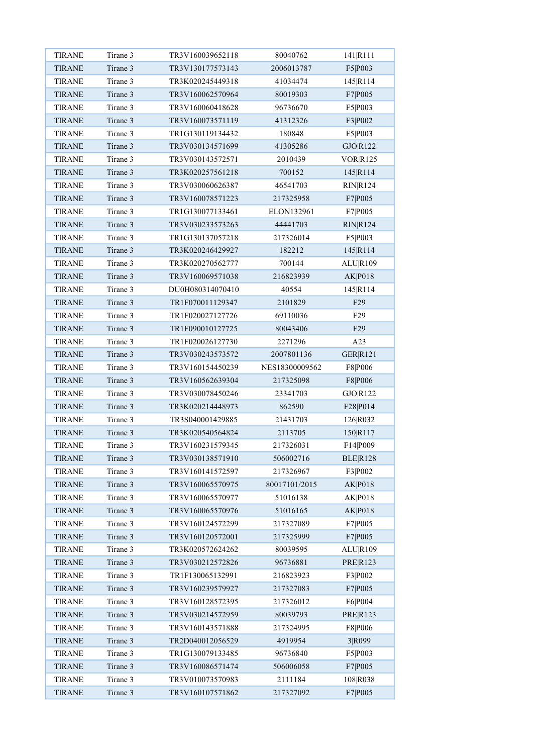| <b>TIRANE</b> | Tirane 3 | TR3V160039652118 | 80040762       | 141 R111        |
|---------------|----------|------------------|----------------|-----------------|
| <b>TIRANE</b> | Tirane 3 | TR3V130177573143 | 2006013787     | F5 P003         |
| <b>TIRANE</b> | Tirane 3 | TR3K020245449318 | 41034474       | 145 R114        |
| <b>TIRANE</b> | Tirane 3 | TR3V160062570964 | 80019303       | F7 P005         |
| <b>TIRANE</b> | Tirane 3 | TR3V160060418628 | 96736670       | F5 P003         |
| <b>TIRANE</b> | Tirane 3 | TR3V160073571119 | 41312326       | F3 P002         |
| <b>TIRANE</b> | Tirane 3 | TR1G130119134432 | 180848         | F5 P003         |
| <b>TIRANE</b> | Tirane 3 | TR3V030134571699 | 41305286       | GJO R122        |
| <b>TIRANE</b> | Tirane 3 | TR3V030143572571 | 2010439        | <b>VORR125</b>  |
| <b>TIRANE</b> | Tirane 3 | TR3K020257561218 | 700152         | 145 R114        |
| <b>TIRANE</b> | Tirane 3 | TR3V030060626387 | 46541703       | <b>RIN R124</b> |
| <b>TIRANE</b> | Tirane 3 | TR3V160078571223 | 217325958      | F7 P005         |
| <b>TIRANE</b> | Tirane 3 | TR1G130077133461 | ELON132961     | F7 P005         |
| <b>TIRANE</b> | Tirane 3 | TR3V030233573263 | 44441703       | <b>RIN R124</b> |
| <b>TIRANE</b> | Tirane 3 | TR1G130137057218 | 217326014      | F5 P003         |
| <b>TIRANE</b> | Tirane 3 | TR3K020246429927 | 182212         | 145 R114        |
| <b>TIRANE</b> | Tirane 3 | TR3K020270562777 | 700144         | ALU R109        |
| <b>TIRANE</b> | Tirane 3 | TR3V160069571038 | 216823939      | <b>AK P018</b>  |
| <b>TIRANE</b> | Tirane 3 | DU0H080314070410 | 40554          | 145 R114        |
| <b>TIRANE</b> | Tirane 3 | TR1F070011129347 | 2101829        | F <sub>29</sub> |
| <b>TIRANE</b> | Tirane 3 | TR1F020027127726 | 69110036       | F <sub>29</sub> |
| <b>TIRANE</b> | Tirane 3 | TR1F090010127725 | 80043406       | F <sub>29</sub> |
| <b>TIRANE</b> | Tirane 3 | TR1F020026127730 | 2271296        | A23             |
| <b>TIRANE</b> | Tirane 3 | TR3V030243573572 | 2007801136     | <b>GER R121</b> |
| <b>TIRANE</b> | Tirane 3 | TR3V160154450239 | NES18300009562 | F8 P006         |
| <b>TIRANE</b> | Tirane 3 | TR3V160562639304 | 217325098      | F8 P006         |
| <b>TIRANE</b> | Tirane 3 | TR3V030078450246 | 23341703       | GJO R122        |
| <b>TIRANE</b> | Tirane 3 | TR3K020214448973 | 862590         | F28 P014        |
| <b>TIRANE</b> | Tirane 3 | TR3S040001429885 | 21431703       | 126 R032        |
| <b>TIRANE</b> | Tirane 3 | TR3K020540564824 | 2113705        | 150 R117        |
| <b>TIRANE</b> | Tirane 3 | TR3V160231579345 | 217326031      | F14 P009        |
| <b>TIRANE</b> | Tirane 3 | TR3V030138571910 | 506002716      | BLER128         |
| <b>TIRANE</b> | Tirane 3 | TR3V160141572597 | 217326967      | F3 P002         |
| TIRANE        | Tirane 3 | TR3V160065570975 | 80017101/2015  | AK P018         |
| <b>TIRANE</b> | Tirane 3 | TR3V160065570977 | 51016138       | AK P018         |
| <b>TIRANE</b> | Tirane 3 | TR3V160065570976 | 51016165       | AK P018         |
| <b>TIRANE</b> | Tirane 3 | TR3V160124572299 | 217327089      | F7 P005         |
| <b>TIRANE</b> | Tirane 3 | TR3V160120572001 | 217325999      | F7 P005         |
| TIRANE        | Tirane 3 | TR3K020572624262 | 80039595       | ALU R109        |
| <b>TIRANE</b> | Tirane 3 | TR3V030212572826 | 96736881       | <b>PRER123</b>  |
| <b>TIRANE</b> | Tirane 3 | TR1F130065132991 | 216823923      | F3 P002         |
| <b>TIRANE</b> | Tirane 3 | TR3V160239579927 | 217327083      | F7 P005         |
| <b>TIRANE</b> | Tirane 3 | TR3V160128572395 | 217326012      | F6 P004         |
| <b>TIRANE</b> | Tirane 3 | TR3V030214572959 | 80039793       | PRE R123        |
| <b>TIRANE</b> | Tirane 3 | TR3V160143571888 | 217324995      | F8 P006         |
| <b>TIRANE</b> | Tirane 3 | TR2D040012056529 | 4919954        | 3 R099          |
| <b>TIRANE</b> | Tirane 3 | TR1G130079133485 | 96736840       | F5 P003         |
| TIRANE        | Tirane 3 | TR3V160086571474 | 506006058      | F7 P005         |
| <b>TIRANE</b> | Tirane 3 | TR3V010073570983 | 2111184        | 108 R038        |
| <b>TIRANE</b> | Tirane 3 | TR3V160107571862 | 217327092      | F7 P005         |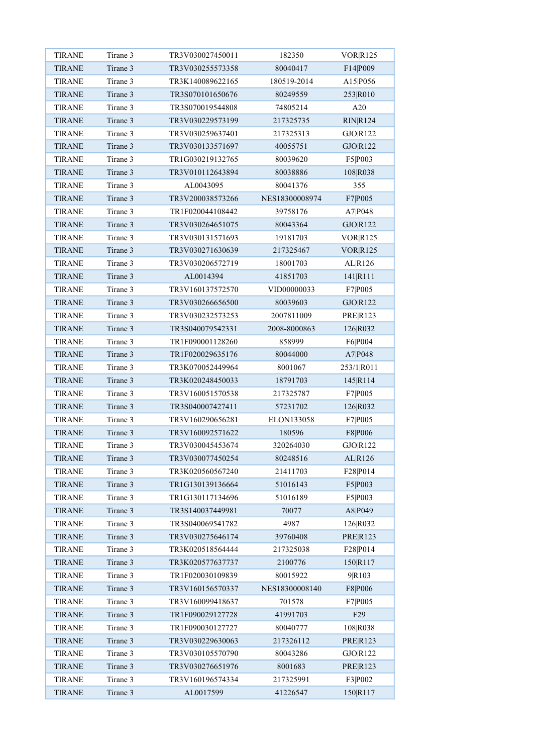| <b>TIRANE</b> | Tirane 3 | TR3V030027450011                     | 182350         | <b>VOR R125</b> |
|---------------|----------|--------------------------------------|----------------|-----------------|
| <b>TIRANE</b> | Tirane 3 | TR3V030255573358                     | 80040417       | F14 P009        |
| <b>TIRANE</b> | Tirane 3 | TR3K140089622165                     | 180519-2014    | A15 P056        |
| <b>TIRANE</b> | Tirane 3 | TR3S070101650676                     | 80249559       | 253 R010        |
| <b>TIRANE</b> | Tirane 3 | TR3S070019544808                     | 74805214       | A20             |
| <b>TIRANE</b> | Tirane 3 | TR3V030229573199                     | 217325735      | <b>RIN R124</b> |
| <b>TIRANE</b> | Tirane 3 | TR3V030259637401                     | 217325313      | GJO R122        |
| <b>TIRANE</b> | Tirane 3 | TR3V030133571697                     | 40055751       | GJO R122        |
| <b>TIRANE</b> | Tirane 3 | TR1G030219132765                     | 80039620       | F5 P003         |
| <b>TIRANE</b> | Tirane 3 | TR3V010112643894                     | 80038886       | 108 R038        |
| <b>TIRANE</b> | Tirane 3 | AL0043095                            | 80041376       | 355             |
| <b>TIRANE</b> | Tirane 3 | TR3V200038573266                     | NES18300008974 | F7 P005         |
| <b>TIRANE</b> | Tirane 3 | TR1F020044108442                     | 39758176       | A7 P048         |
| <b>TIRANE</b> | Tirane 3 | TR3V030264651075                     | 80043364       | GJO R122        |
| <b>TIRANE</b> | Tirane 3 | TR3V030131571693                     | 19181703       | <b>VOR R125</b> |
| <b>TIRANE</b> | Tirane 3 | TR3V030271630639                     | 217325467      | <b>VOR R125</b> |
| <b>TIRANE</b> | Tirane 3 | TR3V030206572719                     | 18001703       | AL R126         |
| <b>TIRANE</b> | Tirane 3 | AL0014394                            | 41851703       | 141 R111        |
| <b>TIRANE</b> | Tirane 3 | TR3V160137572570                     | VID00000033    | F7 P005         |
| <b>TIRANE</b> | Tirane 3 | TR3V030266656500                     | 80039603       | GJO R122        |
| <b>TIRANE</b> | Tirane 3 | TR3V030232573253                     | 2007811009     | <b>PRER123</b>  |
|               | Tirane 3 |                                      |                |                 |
| <b>TIRANE</b> | Tirane 3 | TR3S040079542331<br>TR1F090001128260 | 2008-8000863   | 126 R032        |
| <b>TIRANE</b> | Tirane 3 | TR1F020029635176                     | 858999         | F6 P004         |
| <b>TIRANE</b> |          |                                      | 80044000       | A7 P048         |
| <b>TIRANE</b> | Tirane 3 | TR3K070052449964                     | 8001067        | 253/1 R011      |
| <b>TIRANE</b> | Tirane 3 | TR3K020248450033                     | 18791703       | 145 R114        |
| <b>TIRANE</b> | Tirane 3 | TR3V160051570538                     | 217325787      | F7 P005         |
| <b>TIRANE</b> | Tirane 3 | TR3S040007427411                     | 57231702       | 126 R032        |
| <b>TIRANE</b> | Tirane 3 | TR3V160290656281                     | ELON133058     | F7 P005         |
| <b>TIRANE</b> | Tirane 3 | TR3V160092571622                     | 180596         | F8 P006         |
| <b>TIRANE</b> | Tirane 3 | TR3V030045453674                     | 320264030      | GJO R122        |
| <b>TIRANE</b> | Tirane 3 | TR3V030077450254                     | 80248516       | AL R126         |
| <b>TIRANE</b> | Tirane 3 | TR3K020560567240                     | 21411703       | F28 P014        |
| <b>TIRANE</b> | Tirane 3 | TR1G130139136664                     | 51016143       | F5 P003         |
| <b>TIRANE</b> | Tirane 3 | TR1G130117134696                     | 51016189       | F5 P003         |
| <b>TIRANE</b> | Tirane 3 | TR3S140037449981                     | 70077          | A8 P049         |
| <b>TIRANE</b> | Tirane 3 | TR3S040069541782                     | 4987           | 126 R032        |
| <b>TIRANE</b> | Tirane 3 | TR3V030275646174                     | 39760408       | <b>PRE R123</b> |
| <b>TIRANE</b> | Tirane 3 | TR3K020518564444                     | 217325038      | F28 P014        |
| <b>TIRANE</b> | Tirane 3 | TR3K020577637737                     | 2100776        | 150 R117        |
| <b>TIRANE</b> | Tirane 3 | TR1F020030109839                     | 80015922       | 9R103           |
| <b>TIRANE</b> | Tirane 3 | TR3V160156570337                     | NES18300008140 | F8 P006         |
| <b>TIRANE</b> | Tirane 3 | TR3V160099418637                     | 701578         | F7 P005         |
| <b>TIRANE</b> | Tirane 3 | TR1F090029127728                     | 41991703       | F <sub>29</sub> |
| <b>TIRANE</b> | Tirane 3 | TR1F090030127727                     | 80040777       | 108 R038        |
| <b>TIRANE</b> | Tirane 3 | TR3V030229630063                     | 217326112      | <b>PRE R123</b> |
| <b>TIRANE</b> | Tirane 3 | TR3V030105570790                     | 80043286       | GJO R122        |
| <b>TIRANE</b> | Tirane 3 | TR3V030276651976                     | 8001683        | <b>PRER123</b>  |
| <b>TIRANE</b> | Tirane 3 | TR3V160196574334                     | 217325991      | F3 P002         |
| <b>TIRANE</b> | Tirane 3 | AL0017599                            | 41226547       | 150 R117        |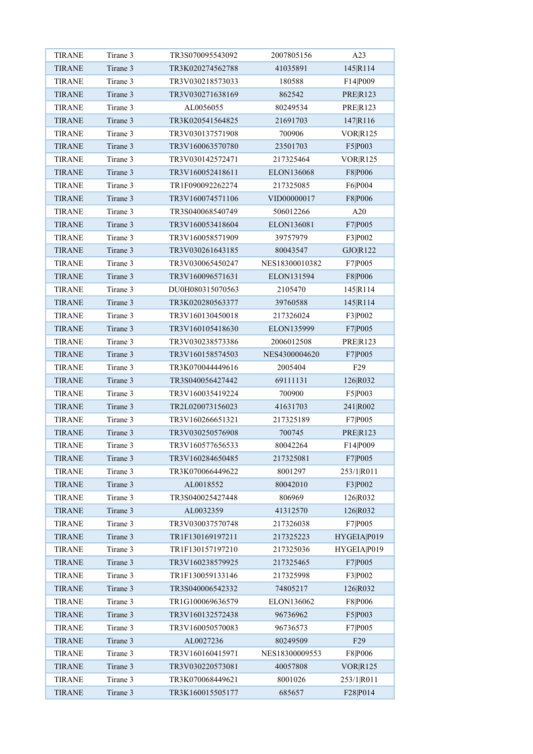| <b>TIRANE</b> | Tirane 3 | TR3S070095543092 | 2007805156     | A23             |
|---------------|----------|------------------|----------------|-----------------|
| <b>TIRANE</b> | Tirane 3 | TR3K020274562788 | 41035891       | 145 R114        |
| <b>TIRANE</b> | Tirane 3 | TR3V030218573033 | 180588         | F14 P009        |
| <b>TIRANE</b> | Tirane 3 | TR3V030271638169 | 862542         | <b>PRE R123</b> |
| <b>TIRANE</b> | Tirane 3 | AL0056055        | 80249534       | <b>PRER123</b>  |
| <b>TIRANE</b> | Tirane 3 | TR3K020541564825 | 21691703       | 147 R116        |
| <b>TIRANE</b> | Tirane 3 | TR3V030137571908 | 700906         | VOR R125        |
| <b>TIRANE</b> | Tirane 3 | TR3V160063570780 | 23501703       | F5 P003         |
| <b>TIRANE</b> | Tirane 3 | TR3V030142572471 | 217325464      | VOR R125        |
| <b>TIRANE</b> | Tirane 3 | TR3V160052418611 | ELON136068     | F8 P006         |
| <b>TIRANE</b> | Tirane 3 | TR1F090092262274 | 217325085      | F6 P004         |
| <b>TIRANE</b> | Tirane 3 | TR3V160074571106 | VID00000017    | F8 P006         |
| <b>TIRANE</b> | Tirane 3 | TR3S040068540749 | 506012266      | A20             |
| <b>TIRANE</b> | Tirane 3 | TR3V160053418604 | ELON136081     | F7 P005         |
| <b>TIRANE</b> | Tirane 3 | TR3V160058571909 | 39757979       | F3 P002         |
| <b>TIRANE</b> | Tirane 3 | TR3V030261643185 | 80043547       | GJO R122        |
| <b>TIRANE</b> | Tirane 3 | TR3V030065450247 | NES18300010382 | F7 P005         |
| <b>TIRANE</b> | Tirane 3 | TR3V160096571631 | ELON131594     | F8 P006         |
| <b>TIRANE</b> | Tirane 3 | DU0H080315070563 | 2105470        | 145 R114        |
| <b>TIRANE</b> | Tirane 3 | TR3K020280563377 | 39760588       | 145 R114        |
| <b>TIRANE</b> | Tirane 3 | TR3V160130450018 | 217326024      | F3 P002         |
| <b>TIRANE</b> | Tirane 3 | TR3V160105418630 | ELON135999     | F7 P005         |
| <b>TIRANE</b> | Tirane 3 | TR3V030238573386 | 2006012508     | <b>PRE R123</b> |
| <b>TIRANE</b> | Tirane 3 | TR3V160158574503 | NES4300004620  | F7 P005         |
| <b>TIRANE</b> | Tirane 3 | TR3K070044449616 | 2005404        | F <sub>29</sub> |
| <b>TIRANE</b> | Tirane 3 | TR3S040056427442 | 69111131       | 126 R032        |
| <b>TIRANE</b> | Tirane 3 | TR3V160035419224 | 700900         | F5 P003         |
| <b>TIRANE</b> | Tirane 3 | TR2L020073156023 | 41631703       | 241 R002        |
| <b>TIRANE</b> | Tirane 3 | TR3V160266651321 | 217325189      | F7 P005         |
| <b>TIRANE</b> | Tirane 3 | TR3V030250576908 | 700745         | <b>PRER123</b>  |
| <b>TIRANE</b> | Tirane 3 | TR3V160577656533 | 80042264       | F14 P009        |
| <b>TIRANE</b> | Tirane 3 | TR3V160284650485 | 217325081      | F7 P005         |
| <b>TIRANE</b> | Tirane 3 | TR3K070066449622 | 8001297        | 253/1 R011      |
| <b>TIRANE</b> | Tirane 3 | AL0018552        | 80042010       | F3 P002         |
| <b>TIRANE</b> | Tirane 3 | TR3S040025427448 | 806969         | 126 R032        |
| <b>TIRANE</b> | Tirane 3 | AL0032359        | 41312570       | 126 R032        |
| <b>TIRANE</b> | Tirane 3 | TR3V030037570748 | 217326038      | F7 P005         |
| <b>TIRANE</b> | Tirane 3 | TR1F130169197211 | 217325223      | HYGEIA P019     |
| <b>TIRANE</b> | Tirane 3 | TR1F130157197210 | 217325036      | HYGEIA P019     |
| <b>TIRANE</b> | Tirane 3 | TR3V160238579925 | 217325465      | F7 P005         |
| <b>TIRANE</b> | Tirane 3 | TR1F130059133146 | 217325998      | F3 P002         |
| <b>TIRANE</b> | Tirane 3 | TR3S040006542332 | 74805217       | 126 R032        |
| <b>TIRANE</b> | Tirane 3 | TR1G100069636579 | ELON136062     | F8 P006         |
| <b>TIRANE</b> | Tirane 3 | TR3V160132572438 | 96736962       | F5 P003         |
| <b>TIRANE</b> | Tirane 3 | TR3V160050570083 | 96736573       | F7 P005         |
| <b>TIRANE</b> | Tirane 3 | AL0027236        | 80249509       | F <sub>29</sub> |
| <b>TIRANE</b> | Tirane 3 | TR3V160160415971 | NES18300009553 | F8 P006         |
| <b>TIRANE</b> | Tirane 3 | TR3V030220573081 | 40057808       | VOR R125        |
| <b>TIRANE</b> | Tirane 3 | TR3K070068449621 | 8001026        | 253/1 R011      |
| <b>TIRANE</b> | Tirane 3 | TR3K160015505177 | 685657         | F28 P014        |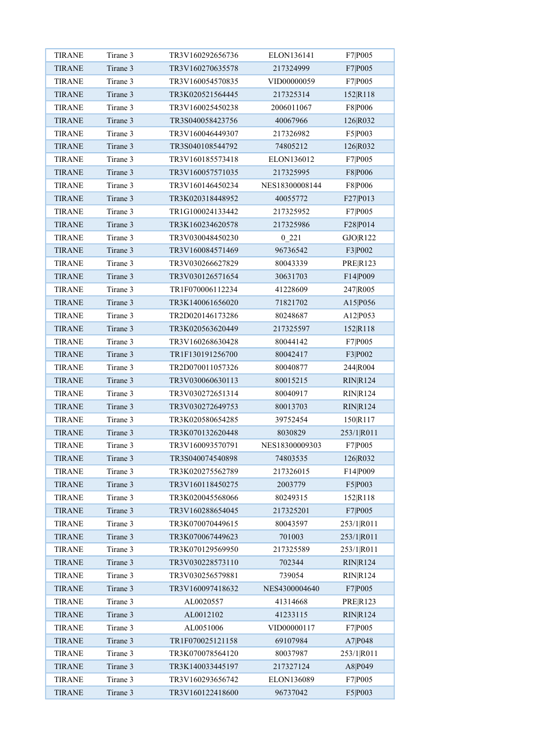| <b>TIRANE</b> | Tirane 3 | TR3V160292656736 | ELON136141     | F7 P005         |
|---------------|----------|------------------|----------------|-----------------|
| <b>TIRANE</b> | Tirane 3 | TR3V160270635578 | 217324999      | F7 P005         |
| <b>TIRANE</b> | Tirane 3 | TR3V160054570835 | VID00000059    | F7 P005         |
| <b>TIRANE</b> | Tirane 3 | TR3K020521564445 | 217325314      | 152 R118        |
| <b>TIRANE</b> | Tirane 3 | TR3V160025450238 | 2006011067     | F8 P006         |
| <b>TIRANE</b> | Tirane 3 | TR3S040058423756 | 40067966       | 126 R032        |
| <b>TIRANE</b> | Tirane 3 | TR3V160046449307 | 217326982      | F5 P003         |
| <b>TIRANE</b> | Tirane 3 | TR3S040108544792 | 74805212       | 126 R032        |
| <b>TIRANE</b> | Tirane 3 | TR3V160185573418 | ELON136012     | F7 P005         |
| <b>TIRANE</b> | Tirane 3 | TR3V160057571035 | 217325995      | F8 P006         |
| <b>TIRANE</b> | Tirane 3 | TR3V160146450234 | NES18300008144 | F8 P006         |
| <b>TIRANE</b> | Tirane 3 | TR3K020318448952 | 40055772       | F27 P013        |
| <b>TIRANE</b> | Tirane 3 | TR1G100024133442 | 217325952      | F7 P005         |
| <b>TIRANE</b> | Tirane 3 | TR3K160234620578 | 217325986      | F28 P014        |
| <b>TIRANE</b> | Tirane 3 | TR3V030048450230 | 0 221          | GJO R122        |
| <b>TIRANE</b> | Tirane 3 | TR3V160084571469 | 96736542       | F3 P002         |
| <b>TIRANE</b> | Tirane 3 | TR3V030266627829 | 80043339       | <b>PRE R123</b> |
| <b>TIRANE</b> | Tirane 3 | TR3V030126571654 | 30631703       | F14 P009        |
| <b>TIRANE</b> | Tirane 3 | TR1F070006112234 | 41228609       | 247 R005        |
| <b>TIRANE</b> | Tirane 3 | TR3K140061656020 | 71821702       | A15 P056        |
| <b>TIRANE</b> | Tirane 3 | TR2D020146173286 | 80248687       | A12 P053        |
| <b>TIRANE</b> | Tirane 3 | TR3K020563620449 | 217325597      | 152 R118        |
| <b>TIRANE</b> | Tirane 3 | TR3V160268630428 | 80044142       | F7 P005         |
| <b>TIRANE</b> | Tirane 3 | TR1F130191256700 | 80042417       | F3 P002         |
| <b>TIRANE</b> | Tirane 3 | TR2D070011057326 | 80040877       | 244 R004        |
| <b>TIRANE</b> | Tirane 3 | TR3V030060630113 | 80015215       | <b>RIN R124</b> |
| <b>TIRANE</b> | Tirane 3 | TR3V030272651314 | 80040917       | <b>RIN R124</b> |
| <b>TIRANE</b> | Tirane 3 | TR3V030272649753 | 80013703       | <b>RIN R124</b> |
| <b>TIRANE</b> | Tirane 3 | TR3K020580654285 | 39752454       | 150 R117        |
| <b>TIRANE</b> | Tirane 3 | TR3K070132620448 | 8030829        | 253/1 R011      |
| TIRANE        | Tirane 3 | TR3V160093570791 | NES18300009303 | F7 P005         |
| <b>TIRANE</b> | Tirane 3 | TR3S040074540898 | 74803535       | 126 R032        |
| <b>TIRANE</b> | Tirane 3 | TR3K020275562789 | 217326015      | F14 P009        |
| TIRANE        | Tirane 3 | TR3V160118450275 | 2003779        | F5 P003         |
| <b>TIRANE</b> | Tirane 3 | TR3K020045568066 | 80249315       | 152 R 118       |
| <b>TIRANE</b> | Tirane 3 | TR3V160288654045 | 217325201      | F7 P005         |
| <b>TIRANE</b> | Tirane 3 | TR3K070070449615 | 80043597       | 253/1 R011      |
| <b>TIRANE</b> | Tirane 3 | TR3K070067449623 | 701003         | 253/1 R011      |
| <b>TIRANE</b> | Tirane 3 | TR3K070129569950 | 217325589      | 253/1 R011      |
| <b>TIRANE</b> | Tirane 3 | TR3V030228573110 | 702344         | <b>RIN R124</b> |
| <b>TIRANE</b> | Tirane 3 | TR3V030256579881 | 739054         | RIN R124        |
| <b>TIRANE</b> | Tirane 3 | TR3V160097418632 | NES4300004640  | F7 P005         |
| TIRANE        | Tirane 3 | AL0020557        | 41314668       | <b>PRER123</b>  |
| <b>TIRANE</b> | Tirane 3 | AL0012102        | 41233115       | RIN R124        |
| <b>TIRANE</b> | Tirane 3 | AL0051006        | VID00000117    | F7 P005         |
| <b>TIRANE</b> | Tirane 3 | TR1F070025121158 | 69107984       | A7 P048         |
| <b>TIRANE</b> | Tirane 3 | TR3K070078564120 | 80037987       | 253/1 R011      |
| <b>TIRANE</b> | Tirane 3 | TR3K140033445197 | 217327124      | A8 P049         |
| <b>TIRANE</b> | Tirane 3 | TR3V160293656742 | ELON136089     | F7 P005         |
| <b>TIRANE</b> | Tirane 3 | TR3V160122418600 | 96737042       | F5 P003         |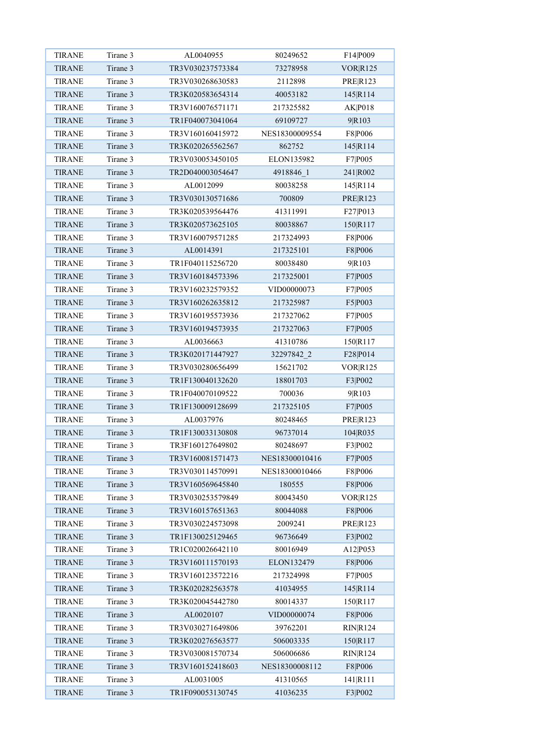| <b>TIRANE</b> | Tirane 3 | AL0040955        | 80249652       | F14 P009        |
|---------------|----------|------------------|----------------|-----------------|
| <b>TIRANE</b> | Tirane 3 | TR3V030237573384 | 73278958       | <b>VORR125</b>  |
| <b>TIRANE</b> | Tirane 3 | TR3V030268630583 | 2112898        | <b>PRER123</b>  |
| <b>TIRANE</b> | Tirane 3 | TR3K020583654314 | 40053182       | 145 R114        |
| <b>TIRANE</b> | Tirane 3 | TR3V160076571171 | 217325582      | AK P018         |
| <b>TIRANE</b> | Tirane 3 | TR1F040073041064 | 69109727       | 9R103           |
| <b>TIRANE</b> | Tirane 3 | TR3V160160415972 | NES18300009554 | F8 P006         |
| <b>TIRANE</b> | Tirane 3 | TR3K020265562567 | 862752         | 145 R114        |
| <b>TIRANE</b> | Tirane 3 | TR3V030053450105 | ELON135982     | F7 P005         |
| <b>TIRANE</b> | Tirane 3 | TR2D040003054647 | 4918846 1      | 241 R002        |
| <b>TIRANE</b> | Tirane 3 | AL0012099        | 80038258       | 145 R114        |
| <b>TIRANE</b> | Tirane 3 | TR3V030130571686 | 700809         | <b>PRE R123</b> |
| TIRANE        | Tirane 3 | TR3K020539564476 | 41311991       | F27 P013        |
| <b>TIRANE</b> | Tirane 3 | TR3K020573625105 | 80038867       | 150 R117        |
| <b>TIRANE</b> | Tirane 3 | TR3V160079571285 | 217324993      | F8 P006         |
| <b>TIRANE</b> | Tirane 3 | AL0014391        | 217325101      | F8 P006         |
| <b>TIRANE</b> | Tirane 3 | TR1F040115256720 | 80038480       | 9R103           |
| <b>TIRANE</b> | Tirane 3 | TR3V160184573396 | 217325001      | F7 P005         |
| <b>TIRANE</b> | Tirane 3 | TR3V160232579352 | VID00000073    | F7 P005         |
| <b>TIRANE</b> | Tirane 3 | TR3V160262635812 | 217325987      | F5 P003         |
| TIRANE        | Tirane 3 | TR3V160195573936 | 217327062      | F7 P005         |
| <b>TIRANE</b> | Tirane 3 | TR3V160194573935 | 217327063      | F7 P005         |
| <b>TIRANE</b> | Tirane 3 | AL0036663        | 41310786       | 150 R117        |
| <b>TIRANE</b> | Tirane 3 | TR3K020171447927 | 32297842 2     | F28 P014        |
| <b>TIRANE</b> | Tirane 3 | TR3V030280656499 | 15621702       | VOR R125        |
| <b>TIRANE</b> | Tirane 3 | TR1F130040132620 | 18801703       | F3 P002         |
| <b>TIRANE</b> | Tirane 3 | TR1F040070109522 | 700036         | 9R103           |
| <b>TIRANE</b> | Tirane 3 | TR1F130009128699 | 217325105      | F7 P005         |
| <b>TIRANE</b> | Tirane 3 | AL0037976        | 80248465       | <b>PRER123</b>  |
| <b>TIRANE</b> | Tirane 3 | TR1F130033130808 | 96737014       | 104 R035        |
| <b>TIRANE</b> | Tirane 3 | TR3F160127649802 | 80248697       | F3 P002         |
| <b>TIRANE</b> | Tirane 3 | TR3V160081571473 | NES18300010416 | F7 P005         |
| <b>TIRANE</b> | Tirane 3 | TR3V030114570991 | NES18300010466 | F8 P006         |
| <b>TIRANE</b> | Tirane 3 | TR3V160569645840 | 180555         | F8 P006         |
| <b>TIRANE</b> | Tirane 3 | TR3V030253579849 | 80043450       | VOR R125        |
| <b>TIRANE</b> | Tirane 3 | TR3V160157651363 | 80044088       | F8 P006         |
| <b>TIRANE</b> | Tirane 3 | TR3V030224573098 | 2009241        | <b>PRER123</b>  |
| <b>TIRANE</b> | Tirane 3 | TR1F130025129465 | 96736649       | F3 P002         |
| <b>TIRANE</b> | Tirane 3 | TR1C020026642110 | 80016949       | A12 P053        |
| <b>TIRANE</b> | Tirane 3 | TR3V160111570193 | ELON132479     | F8 P006         |
| <b>TIRANE</b> | Tirane 3 | TR3V160123572216 | 217324998      | F7 P005         |
| <b>TIRANE</b> | Tirane 3 | TR3K020282563578 | 41034955       | 145 R114        |
| <b>TIRANE</b> | Tirane 3 | TR3K020045442780 | 80014337       | 150 R117        |
| <b>TIRANE</b> | Tirane 3 | AL0020107        | VID00000074    | F8 P006         |
| <b>TIRANE</b> | Tirane 3 | TR3V030271649806 | 39762201       | RIN R124        |
| <b>TIRANE</b> | Tirane 3 | TR3K020276563577 | 506003335      | 150 R117        |
| <b>TIRANE</b> | Tirane 3 | TR3V030081570734 | 506006686      | RIN R124        |
| <b>TIRANE</b> | Tirane 3 | TR3V160152418603 | NES18300008112 | F8 P006         |
| <b>TIRANE</b> | Tirane 3 | AL0031005        | 41310565       | 141 R111        |
| <b>TIRANE</b> | Tirane 3 | TR1F090053130745 | 41036235       | F3 P002         |
|               |          |                  |                |                 |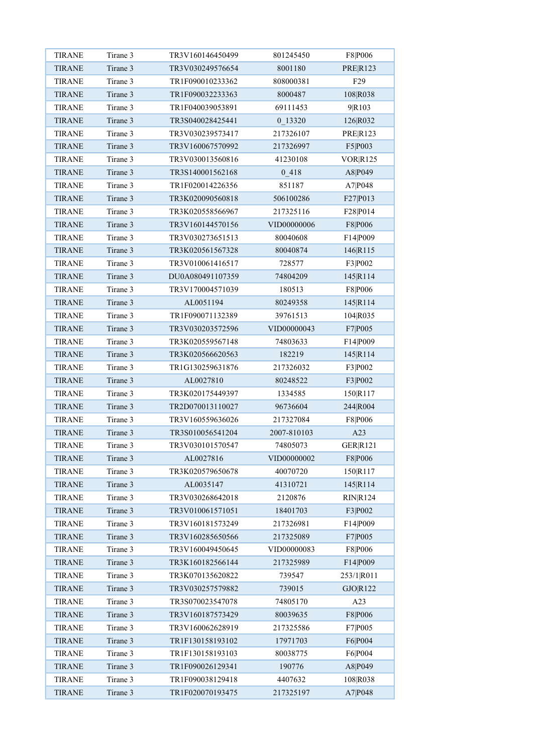| <b>TIRANE</b> | Tirane 3             | TR3V160146450499              | 801245450   | F8 P006         |
|---------------|----------------------|-------------------------------|-------------|-----------------|
| <b>TIRANE</b> | Tirane 3             | TR3V030249576654              | 8001180     | <b>PRER123</b>  |
| <b>TIRANE</b> | Tirane 3             | TR1F090010233362              | 808000381   | F <sub>29</sub> |
| <b>TIRANE</b> | Tirane 3             | TR1F090032233363              | 8000487     | 108 R038        |
| <b>TIRANE</b> | Tirane 3             | TR1F040039053891              | 69111453    | 9R103           |
| <b>TIRANE</b> | Tirane 3             | TR3S040028425441              | 0 13320     | 126 R032        |
| <b>TIRANE</b> | Tirane 3             | TR3V030239573417              | 217326107   | <b>PRE R123</b> |
| <b>TIRANE</b> | Tirane 3             | TR3V160067570992              | 217326997   | F5 P003         |
| <b>TIRANE</b> | Tirane 3             | TR3V030013560816              | 41230108    | VOR R125        |
| <b>TIRANE</b> | Tirane 3             | TR3S140001562168              | 0418        | A8 P049         |
| <b>TIRANE</b> | Tirane 3             | TR1F020014226356              | 851187      | A7 P048         |
| <b>TIRANE</b> | Tirane 3             | TR3K020090560818              | 506100286   | F27 P013        |
| <b>TIRANE</b> | Tirane 3             | TR3K020558566967              | 217325116   | F28 P014        |
| <b>TIRANE</b> | Tirane 3             | TR3V160144570156              | VID00000006 | F8 P006         |
| <b>TIRANE</b> | Tirane 3             | TR3V030273651513              | 80040608    | F14 P009        |
| <b>TIRANE</b> | Tirane 3             | TR3K020561567328              | 80040874    | 146 R115        |
| <b>TIRANE</b> | Tirane 3             | TR3V010061416517              | 728577      | F3 P002         |
| <b>TIRANE</b> | Tirane 3             | DU0A080491107359              | 74804209    | 145 R114        |
| <b>TIRANE</b> | Tirane 3             | TR3V170004571039              | 180513      | F8 P006         |
| <b>TIRANE</b> | Tirane 3             | AL0051194                     | 80249358    | 145 R114        |
| <b>TIRANE</b> | Tirane 3             | TR1F090071132389              | 39761513    | 104 R035        |
| <b>TIRANE</b> | Tirane 3             | TR3V030203572596              | VID00000043 | F7 P005         |
| <b>TIRANE</b> | Tirane 3             | TR3K020559567148              | 74803633    | F14 P009        |
| <b>TIRANE</b> | Tirane 3             | TR3K020566620563              | 182219      | 145 R114        |
| <b>TIRANE</b> | Tirane 3             | TR1G130259631876              | 217326032   | F3 P002         |
| <b>TIRANE</b> | Tirane 3             | AL0027810                     | 80248522    | F3 P002         |
| <b>TIRANE</b> | Tirane 3             | TR3K020175449397              | 1334585     | 150 R117        |
| <b>TIRANE</b> | Tirane 3             | TR2D070013110027              | 96736604    | 244 R004        |
| <b>TIRANE</b> | Tirane 3             | TR3V160559636026              | 217327084   | F8 P006         |
| <b>TIRANE</b> | Tirane 3             | TR3S010056541204              | 2007-810103 | A23             |
| <b>TIRANE</b> | Tirane 3             |                               |             |                 |
|               | Tirane 3             | TR3V030101570547<br>AL0027816 | 74805073    | <b>GER R121</b> |
| <b>TIRANE</b> | Tirane 3             |                               | VID00000002 | F8 P006         |
| <b>TIRANE</b> | Tirane 3             | TR3K020579650678              | 40070720    | 150 R117        |
| <b>TIRANE</b> |                      | AL0035147                     | 41310721    | 145 R114        |
| <b>TIRANE</b> | Tirane 3<br>Tirane 3 | TR3V030268642018              | 2120876     | <b>RIN R124</b> |
| <b>TIRANE</b> |                      | TR3V010061571051              | 18401703    | F3 P002         |
| <b>TIRANE</b> | Tirane 3             | TR3V160181573249              | 217326981   | F14 P009        |
| <b>TIRANE</b> | Tirane 3             | TR3V160285650566              | 217325089   | F7 P005         |
| TIRANE        | Tirane 3             | TR3V160049450645              | VID00000083 | F8 P006         |
| <b>TIRANE</b> | Tirane 3             | TR3K160182566144              | 217325989   | F14 P009        |
| <b>TIRANE</b> | Tirane 3             | TR3K070135620822              | 739547      | 253/1 R011      |
| <b>TIRANE</b> | Tirane 3             | TR3V030257579882              | 739015      | GJO R122        |
| <b>TIRANE</b> | Tirane 3             | TR3S070023547078              | 74805170    | A23             |
| <b>TIRANE</b> | Tirane 3             | TR3V160187573429              | 80039635    | F8 P006         |
| <b>TIRANE</b> | Tirane 3             | TR3V160062628919              | 217325586   | F7 P005         |
| <b>TIRANE</b> | Tirane 3             | TR1F130158193102              | 17971703    | F6 P004         |
| <b>TIRANE</b> | Tirane 3             | TR1F130158193103              | 80038775    | F6 P004         |
| <b>TIRANE</b> | Tirane 3             | TR1F090026129341              | 190776      | A8 P049         |
| <b>TIRANE</b> | Tirane 3             | TR1F090038129418              | 4407632     | 108 R038        |
| <b>TIRANE</b> | Tirane 3             | TR1F020070193475              | 217325197   | A7 P048         |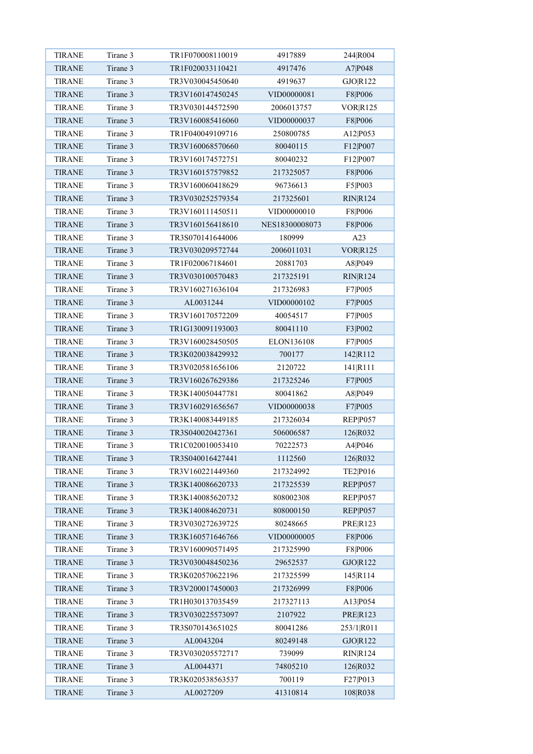| <b>TIRANE</b> | Tirane 3 | TR1F070008110019 | 4917889        | 244 R004            |
|---------------|----------|------------------|----------------|---------------------|
| <b>TIRANE</b> | Tirane 3 | TR1F020033110421 | 4917476        | A7 P048             |
| <b>TIRANE</b> | Tirane 3 | TR3V030045450640 | 4919637        | GJO R122            |
| <b>TIRANE</b> | Tirane 3 | TR3V160147450245 | VID00000081    | F8 P006             |
| <b>TIRANE</b> | Tirane 3 | TR3V030144572590 | 2006013757     | VOR R125            |
| <b>TIRANE</b> | Tirane 3 | TR3V160085416060 | VID00000037    | F8 P006             |
| <b>TIRANE</b> | Tirane 3 | TR1F040049109716 | 250800785      | A12 P053            |
| <b>TIRANE</b> | Tirane 3 | TR3V160068570660 | 80040115       | F12 P007            |
| <b>TIRANE</b> | Tirane 3 | TR3V160174572751 | 80040232       | F12 P007            |
| <b>TIRANE</b> | Tirane 3 | TR3V160157579852 | 217325057      | F8 P006             |
| <b>TIRANE</b> | Tirane 3 | TR3V160060418629 | 96736613       | F5 P003             |
| <b>TIRANE</b> | Tirane 3 | TR3V030252579354 | 217325601      | <b>RIN R124</b>     |
| <b>TIRANE</b> | Tirane 3 | TR3V160111450511 | VID00000010    | F8 P006             |
| <b>TIRANE</b> | Tirane 3 | TR3V160156418610 | NES18300008073 | F8 P006             |
| <b>TIRANE</b> | Tirane 3 | TR3S070141644006 | 180999         | A23                 |
| <b>TIRANE</b> | Tirane 3 | TR3V030209572744 | 2006011031     | <b>VORR125</b>      |
| <b>TIRANE</b> | Tirane 3 | TR1F020067184601 | 20881703       | A8 P049             |
| <b>TIRANE</b> | Tirane 3 | TR3V030100570483 | 217325191      | <b>RIN R124</b>     |
| <b>TIRANE</b> | Tirane 3 | TR3V160271636104 | 217326983      | F7 P005             |
| <b>TIRANE</b> | Tirane 3 | AL0031244        | VID00000102    | F7 P005             |
| <b>TIRANE</b> | Tirane 3 | TR3V160170572209 | 40054517       | F7 P005             |
| <b>TIRANE</b> | Tirane 3 | TR1G130091193003 | 80041110       | F3 P002             |
| <b>TIRANE</b> | Tirane 3 | TR3V160028450505 | ELON136108     | F7 P005             |
| <b>TIRANE</b> | Tirane 3 | TR3K020038429932 | 700177         | 142 R112            |
| <b>TIRANE</b> | Tirane 3 | TR3V020581656106 | 2120722        | 141 R111            |
| <b>TIRANE</b> | Tirane 3 | TR3V160267629386 | 217325246      | F7 P005             |
| <b>TIRANE</b> | Tirane 3 | TR3K140050447781 | 80041862       | A8 P049             |
| <b>TIRANE</b> | Tirane 3 | TR3V160291656567 | VID00000038    | F7 P005             |
| <b>TIRANE</b> | Tirane 3 | TR3K140083449185 | 217326034      | REP <sub>P057</sub> |
| <b>TIRANE</b> | Tirane 3 | TR3S040020427361 | 506006587      | 126 R032            |
| <b>TIRANE</b> | Tirane 3 | TR1C020010053410 | 70222573       | A4 P046             |
| <b>TIRANE</b> | Tirane 3 | TR3S040016427441 | 1112560        | 126 R032            |
| <b>TIRANE</b> | Tirane 3 | TR3V160221449360 | 217324992      | TE2 P016            |
| <b>TIRANE</b> | Tirane 3 | TR3K140086620733 | 217325539      | REP P057            |
| <b>TIRANE</b> | Tirane 3 | TR3K140085620732 | 808002308      | REP P057            |
| <b>TIRANE</b> | Tirane 3 | TR3K140084620731 | 808000150      | REP <sub>P057</sub> |
| <b>TIRANE</b> | Tirane 3 | TR3V030272639725 | 80248665       | <b>PRE R123</b>     |
| <b>TIRANE</b> | Tirane 3 | TR3K160571646766 | VID00000005    | F8 P006             |
| <b>TIRANE</b> | Tirane 3 | TR3V160090571495 | 217325990      | F8 P006             |
| <b>TIRANE</b> | Tirane 3 | TR3V030048450236 | 29652537       | GJO R122            |
| <b>TIRANE</b> | Tirane 3 | TR3K020570622196 | 217325599      | 145 R 114           |
| <b>TIRANE</b> | Tirane 3 | TR3V200017450003 | 217326999      | F8 P006             |
| <b>TIRANE</b> | Tirane 3 | TR1H030137035459 | 217327113      | A13 P054            |
| <b>TIRANE</b> | Tirane 3 | TR3V030225573097 | 2107922        | PRE R123            |
| <b>TIRANE</b> | Tirane 3 | TR3S070143651025 | 80041286       | 253/1 R011          |
| <b>TIRANE</b> | Tirane 3 | AL0043204        | 80249148       | GJO R122            |
| <b>TIRANE</b> | Tirane 3 | TR3V030205572717 | 739099         | RIN R124            |
| <b>TIRANE</b> | Tirane 3 | AL0044371        | 74805210       | 126 R032            |
| <b>TIRANE</b> | Tirane 3 | TR3K020538563537 | 700119         | F27 P013            |
| <b>TIRANE</b> | Tirane 3 | AL0027209        | 41310814       | 108 R038            |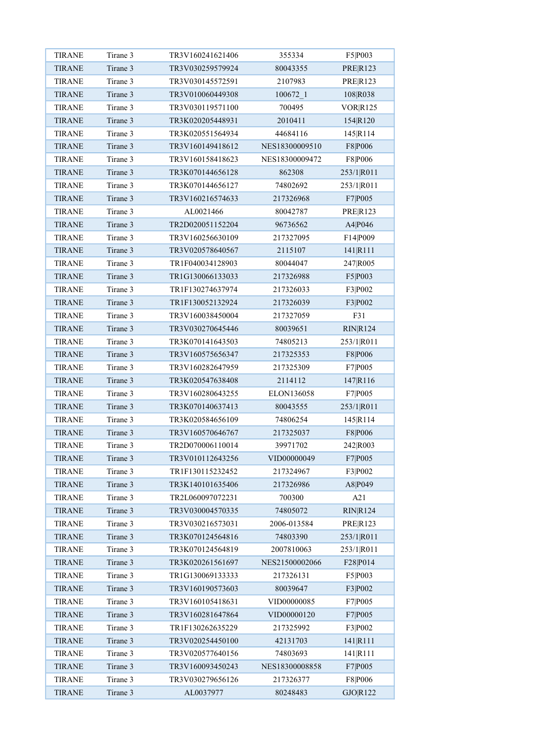| <b>TIRANE</b> | Tirane 3 | TR3V160241621406 | 355334         | F5 P003         |
|---------------|----------|------------------|----------------|-----------------|
| <b>TIRANE</b> | Tirane 3 | TR3V030259579924 | 80043355       | <b>PRER123</b>  |
| <b>TIRANE</b> | Tirane 3 | TR3V030145572591 | 2107983        | <b>PRE R123</b> |
| <b>TIRANE</b> | Tirane 3 | TR3V010060449308 | 100672 1       | 108 R038        |
| <b>TIRANE</b> | Tirane 3 | TR3V030119571100 | 700495         | VOR R125        |
| <b>TIRANE</b> | Tirane 3 | TR3K020205448931 | 2010411        | 154 R120        |
| <b>TIRANE</b> | Tirane 3 | TR3K020551564934 | 44684116       | 145 R114        |
| <b>TIRANE</b> | Tirane 3 | TR3V160149418612 | NES18300009510 | F8 P006         |
| <b>TIRANE</b> | Tirane 3 | TR3V160158418623 | NES18300009472 | F8 P006         |
| <b>TIRANE</b> | Tirane 3 | TR3K070144656128 | 862308         | 253/1 R011      |
| <b>TIRANE</b> | Tirane 3 | TR3K070144656127 | 74802692       | 253/1 R011      |
| <b>TIRANE</b> | Tirane 3 | TR3V160216574633 | 217326968      | F7 P005         |
| <b>TIRANE</b> | Tirane 3 | AL0021466        | 80042787       | <b>PRER123</b>  |
| <b>TIRANE</b> | Tirane 3 | TR2D020051152204 | 96736562       | A4 P046         |
| <b>TIRANE</b> | Tirane 3 | TR3V160256630109 | 217327095      | F14 P009        |
| <b>TIRANE</b> | Tirane 3 | TR3V020578640567 | 2115107        | 141 R111        |
| <b>TIRANE</b> | Tirane 3 | TR1F040034128903 | 80044047       | 247 R005        |
| <b>TIRANE</b> | Tirane 3 | TR1G130066133033 | 217326988      | F5 P003         |
| <b>TIRANE</b> | Tirane 3 | TR1F130274637974 | 217326033      | F3 P002         |
| <b>TIRANE</b> | Tirane 3 | TR1F130052132924 | 217326039      | F3 P002         |
| <b>TIRANE</b> | Tirane 3 | TR3V160038450004 | 217327059      | F31             |
| <b>TIRANE</b> | Tirane 3 | TR3V030270645446 | 80039651       | <b>RIN R124</b> |
| <b>TIRANE</b> | Tirane 3 | TR3K070141643503 | 74805213       | 253/1 R011      |
| <b>TIRANE</b> | Tirane 3 | TR3V160575656347 | 217325353      | F8 P006         |
| <b>TIRANE</b> | Tirane 3 | TR3V160282647959 | 217325309      | F7 P005         |
| <b>TIRANE</b> | Tirane 3 | TR3K020547638408 | 2114112        | 147 R116        |
| <b>TIRANE</b> | Tirane 3 | TR3V160280643255 | ELON136058     | F7 P005         |
| <b>TIRANE</b> | Tirane 3 | TR3K070140637413 | 80043555       | 253/1 R011      |
| <b>TIRANE</b> | Tirane 3 | TR3K020584656109 | 74806254       | 145 R114        |
| <b>TIRANE</b> | Tirane 3 | TR3V160570646767 | 217325037      | F8 P006         |
| <b>TIRANE</b> | Tirane 3 | TR2D070006110014 | 39971702       | 242 R003        |
| <b>TIRANE</b> | Tirane 3 | TR3V010112643256 | VID00000049    | F7 P005         |
| <b>TIRANE</b> | Tirane 3 | TR1F130115232452 | 217324967      | F3 P002         |
| <b>TIRANE</b> | Tirane 3 | TR3K140101635406 | 217326986      | A8 P049         |
| <b>TIRANE</b> | Tirane 3 | TR2L060097072231 | 700300         | A21             |
| <b>TIRANE</b> | Tirane 3 | TR3V030004570335 | 74805072       | RIN R124        |
| <b>TIRANE</b> | Tirane 3 | TR3V030216573031 | 2006-013584    | <b>PRER123</b>  |
| <b>TIRANE</b> | Tirane 3 | TR3K070124564816 | 74803390       | 253/1 R011      |
| <b>TIRANE</b> | Tirane 3 | TR3K070124564819 | 2007810063     | 253/1 R011      |
| <b>TIRANE</b> | Tirane 3 | TR3K020261561697 | NES21500002066 | F28 P014        |
| <b>TIRANE</b> | Tirane 3 | TR1G130069133333 | 217326131      | F5 P003         |
| <b>TIRANE</b> | Tirane 3 | TR3V160190573603 | 80039647       | F3 P002         |
| <b>TIRANE</b> | Tirane 3 | TR3V160105418631 | VID00000085    | F7 P005         |
| <b>TIRANE</b> | Tirane 3 | TR3V160281647864 | VID00000120    | F7 P005         |
| <b>TIRANE</b> | Tirane 3 | TR1F130262635229 | 217325992      | F3 P002         |
| <b>TIRANE</b> | Tirane 3 | TR3V020254450100 | 42131703       | 141 R111        |
| <b>TIRANE</b> | Tirane 3 | TR3V020577640156 | 74803693       | 141 R111        |
| <b>TIRANE</b> | Tirane 3 | TR3V160093450243 | NES18300008858 | F7 P005         |
| <b>TIRANE</b> | Tirane 3 | TR3V030279656126 | 217326377      | F8 P006         |
| <b>TIRANE</b> | Tirane 3 | AL0037977        | 80248483       | GJO R122        |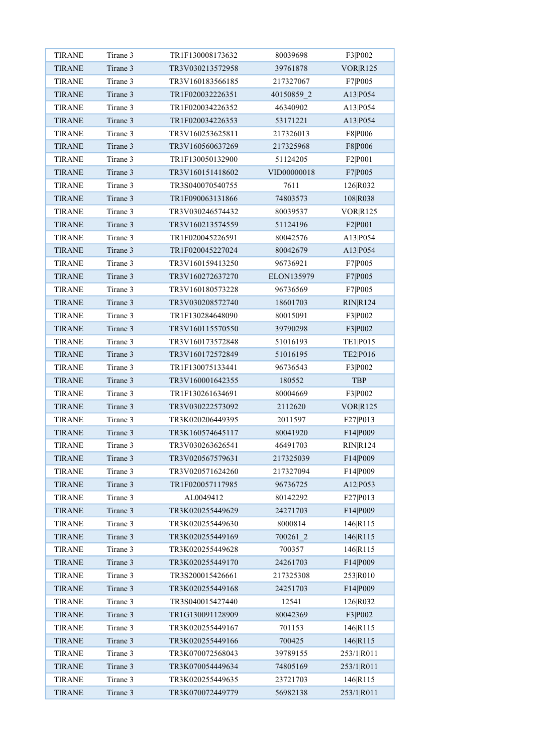| <b>TIRANE</b> | Tirane 3 | TR1F130008173632 | 80039698    | F3 P002         |
|---------------|----------|------------------|-------------|-----------------|
| <b>TIRANE</b> | Tirane 3 | TR3V030213572958 | 39761878    | <b>VOR R125</b> |
| <b>TIRANE</b> | Tirane 3 | TR3V160183566185 | 217327067   | F7 P005         |
| <b>TIRANE</b> | Tirane 3 | TR1F020032226351 | 40150859 2  | A13 P054        |
| <b>TIRANE</b> | Tirane 3 | TR1F020034226352 | 46340902    | A13 P054        |
| <b>TIRANE</b> | Tirane 3 | TR1F020034226353 | 53171221    | A13 P054        |
| <b>TIRANE</b> | Tirane 3 | TR3V160253625811 | 217326013   | F8 P006         |
| <b>TIRANE</b> | Tirane 3 | TR3V160560637269 | 217325968   | F8 P006         |
| <b>TIRANE</b> | Tirane 3 | TR1F130050132900 | 51124205    | F2 P001         |
| <b>TIRANE</b> | Tirane 3 | TR3V160151418602 | VID00000018 | F7 P005         |
| <b>TIRANE</b> | Tirane 3 | TR3S040070540755 | 7611        | 126 R032        |
| <b>TIRANE</b> | Tirane 3 | TR1F090063131866 | 74803573    | 108 R038        |
| <b>TIRANE</b> | Tirane 3 | TR3V030246574432 | 80039537    | VOR R125        |
| <b>TIRANE</b> | Tirane 3 | TR3V160213574559 | 51124196    | F2 P001         |
| <b>TIRANE</b> | Tirane 3 | TR1F020045226591 | 80042576    | A13 P054        |
| <b>TIRANE</b> | Tirane 3 | TR1F020045227024 | 80042679    | A13 P054        |
| <b>TIRANE</b> | Tirane 3 | TR3V160159413250 | 96736921    | F7 P005         |
| <b>TIRANE</b> | Tirane 3 | TR3V160272637270 | ELON135979  | F7 P005         |
| <b>TIRANE</b> | Tirane 3 | TR3V160180573228 | 96736569    | F7 P005         |
| <b>TIRANE</b> | Tirane 3 | TR3V030208572740 | 18601703    | <b>RIN R124</b> |
| <b>TIRANE</b> | Tirane 3 | TR1F130284648090 | 80015091    | F3 P002         |
| <b>TIRANE</b> | Tirane 3 | TR3V160115570550 | 39790298    | F3 P002         |
| <b>TIRANE</b> | Tirane 3 | TR3V160173572848 | 51016193    | TE1 P015        |
| <b>TIRANE</b> | Tirane 3 | TR3V160172572849 | 51016195    | TE2 P016        |
| <b>TIRANE</b> | Tirane 3 | TR1F130075133441 | 96736543    | F3 P002         |
| <b>TIRANE</b> | Tirane 3 | TR3V160001642355 | 180552      | <b>TBP</b>      |
| <b>TIRANE</b> | Tirane 3 | TR1F130261634691 | 80004669    | F3 P002         |
| <b>TIRANE</b> | Tirane 3 | TR3V030222573092 | 2112620     | <b>VOR R125</b> |
| <b>TIRANE</b> | Tirane 3 | TR3K020206449395 | 2011597     | F27 P013        |
| <b>TIRANE</b> | Tirane 3 | TR3K160574645117 | 80041920    | F14 P009        |
| <b>TIRANE</b> | Tirane 3 | TR3V030263626541 | 46491703    | <b>RIN R124</b> |
| <b>TIRANE</b> | Tirane 3 | TR3V020567579631 | 217325039   | F14 P009        |
| <b>TIRANE</b> | Tirane 3 | TR3V020571624260 | 217327094   | F14 P009        |
| <b>TIRANE</b> | Tirane 3 | TR1F020057117985 | 96736725    | A12 P053        |
| <b>TIRANE</b> | Tirane 3 | AL0049412        | 80142292    | F27 P013        |
| TIRANE        | Tirane 3 | TR3K020255449629 | 24271703    | F14 P009        |
| <b>TIRANE</b> | Tirane 3 | TR3K020255449630 | 8000814     | 146 R115        |
| <b>TIRANE</b> | Tirane 3 | TR3K020255449169 | 700261 2    | 146 R115        |
| <b>TIRANE</b> | Tirane 3 | TR3K020255449628 | 700357      | 146R115         |
| <b>TIRANE</b> | Tirane 3 | TR3K020255449170 | 24261703    | F14 P009        |
| <b>TIRANE</b> | Tirane 3 | TR3S200015426661 | 217325308   | 253 R010        |
| <b>TIRANE</b> | Tirane 3 | TR3K020255449168 | 24251703    | F14 P009        |
| <b>TIRANE</b> | Tirane 3 | TR3S040015427440 | 12541       | 126 R032        |
| <b>TIRANE</b> | Tirane 3 | TR1G130091128909 | 80042369    | F3 P002         |
| <b>TIRANE</b> | Tirane 3 | TR3K020255449167 | 701153      | 146R115         |
| <b>TIRANE</b> | Tirane 3 | TR3K020255449166 | 700425      | 146R115         |
| <b>TIRANE</b> | Tirane 3 | TR3K070072568043 | 39789155    | 253/1 R011      |
| <b>TIRANE</b> | Tirane 3 | TR3K070054449634 | 74805169    | 253/1 R011      |
| <b>TIRANE</b> | Tirane 3 | TR3K020255449635 | 23721703    | 146 R115        |
| <b>TIRANE</b> | Tirane 3 | TR3K070072449779 | 56982138    | 253/1 R011      |
|               |          |                  |             |                 |